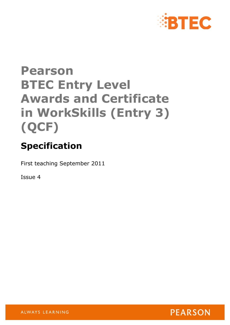

# **Pearson BTEC Entry Level Awards and Certificate in WorkSkills (Entry 3) (QCF)**

# **Specification**

First teaching September 2011

Issue 4

**PEARSON** 

ALWAYS LEARNING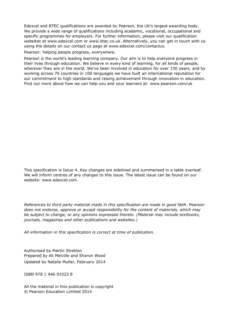Edexcel and BTEC qualifications are awarded by Pearson, the UK's largest awarding body. We provide a wide range of qualifications including academic, vocational, occupational and specific programmes for employers. For further information, please visit our qualification websites at www.edexcel.com or www.btec.co.uk. Alternatively, you can get in touch with us using the details on our contact us page at www.edexcel.com/contactus.

Pearson: helping people progress, everywhere.

Pearson is the world's leading learning company. Our aim is to help everyone progress in their lives through education. We believe in every kind of learning, for all kinds of people, wherever they are in the world. We've been involved in education for over 150 years, and by working across 70 countries in 100 languages we have built an international reputation for our commitment to high standards and raising achievement through innovation in education. Find out more about how we can help you and your learners at: www.pearson.com/uk

This specification is Issue 4. Key changes are sidelined and summarised in a table overleaf. We will inform centres of any changes to this issue. The latest issue can be found on our website: www.edexcel.com

*References to third party material made in this specification are made in good faith. Pearson does not endorse, approve or accept responsibility for the content of materials, which may be subject to change, or any opinions expressed therein. (Material may include textbooks, journals, magazines and other publications and websites.)* 

*All information in this specification is correct at time of publication.*

Authorised by Martin Stretton Prepared by Ali Melville and Sharon Wood Updated by Natalie Muller, February 2014

ISBN 978 1 446 91023 8

All the material in this publication is copyright © Pearson Education Limited 2014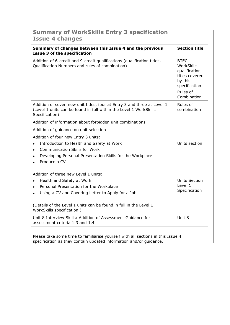# **Summary of WorkSkills Entry 3 specification Issue 4 changes**

| Summary of changes between this Issue 4 and the previous<br><b>Issue 3 of the specification</b>                                                                                                                                                                      | <b>Section title</b>                                                                                                |
|----------------------------------------------------------------------------------------------------------------------------------------------------------------------------------------------------------------------------------------------------------------------|---------------------------------------------------------------------------------------------------------------------|
| Addition of 6-credit and 9-credit qualifications (qualification titles,<br>Qualification Numbers and rules of combination)                                                                                                                                           | <b>BTEC</b><br>WorkSkills<br>qualification<br>titles covered<br>by this<br>specification<br>Rules of<br>Combination |
| Addition of seven new unit titles, four at Entry 3 and three at Level 1<br>(Level 1 units can be found in full within the Level 1 WorkSkills<br>Specification)                                                                                                       | Rules of<br>combination                                                                                             |
| Addition of information about forbidden unit combinations                                                                                                                                                                                                            |                                                                                                                     |
| Addition of guidance on unit selection                                                                                                                                                                                                                               |                                                                                                                     |
| Addition of four new Entry 3 units:<br>Introduction to Health and Safety at Work<br><b>Communication Skills for Work</b><br>$\bullet$<br>Developing Personal Presentation Skills for the Workplace<br>Produce a CV                                                   | Units section                                                                                                       |
| Addition of three new Level 1 units:<br>Health and Safety at Work<br>Personal Presentation for the Workplace<br>Using a CV and Covering Letter to Apply for a Job<br>(Details of the Level 1 units can be found in full in the Level 1<br>WorkSkills specification.) | <b>Units Section</b><br>Level 1<br>Specification                                                                    |
| Unit 8 Interview Skills: Addition of Assessment Guidance for<br>assessment criteria 1.3 and 1.4                                                                                                                                                                      | Unit 8                                                                                                              |

Please take some time to familiarise yourself with all sections in this Issue 4 specification as they contain updated information and/or guidance.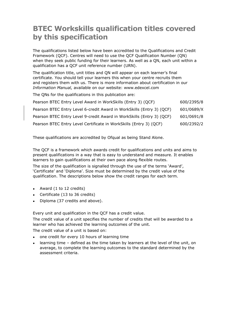# **BTEC Workskills qualification titles covered by this specification**

The qualifications listed below have been accredited to the Qualifications and Credit Framework (QCF). Centres will need to use the QCF Qualification Number (QN) when they seek public funding for their learners. As well as a QN, each unit within a qualification has a QCF unit reference number (URN).

The qualification title, unit titles and QN will appear on each learner's final certificate. You should tell your learners this when your centre recruits them and registers them with us. There is more information about certification in our *Information Manual,* available on our website: www.edexcel.com

The QNs for the qualifications in this publication are:

| Pearson BTEC Entry Level Award in WorkSkills (Entry 3) (QCF)          | 600/2395/8 |
|-----------------------------------------------------------------------|------------|
| Pearson BTEC Entry Level 6-credit Award in WorkSkills (Entry 3) (QCF) | 601/0689/X |
| Pearson BTEC Entry Level 9-credit Award in WorkSkills (Entry 3) (QCF) | 601/0691/8 |
| Pearson BTEC Entry Level Certificate in WorkSkills (Entry 3) (QCF)    | 600/2392/2 |

These qualifications are accredited by Ofqual as being Stand Alone.

The QCF is a framework which awards credit for qualifications and units and aims to present qualifications in a way that is easy to understand and measure. It enables learners to gain qualifications at their own pace along flexible routes.

The size of the qualification is signalled through the use of the terms 'Award', 'Certificate' and 'Diploma'. Size must be determined by the credit value of the qualification. The descriptions below show the credit ranges for each term.

- Award  $(1 \text{ to } 12 \text{ credits})$
- Certificate (13 to 36 credits)
- Diploma (37 credits and above).

Every unit and qualification in the QCF has a credit value.

The credit value of a unit specifies the number of credits that will be awarded to a learner who has achieved the learning outcomes of the unit.

The credit value of a unit is based on:

- one credit for every 10 hours of learning time
- learning time defined as the time taken by learners at the level of the unit, on average, to complete the learning outcomes to the standard determined by the assessment criteria.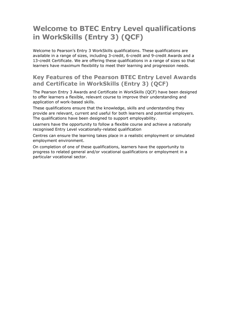# **Welcome to BTEC Entry Level qualifications in WorkSkills (Entry 3) (QCF)**

Welcome to Pearson's Entry 3 WorkSkills qualifications. These qualifications are available in a range of sizes, including 3-credit, 6-credit and 9-credit Awards and a 13-credit Certificate. We are offering these qualifications in a range of sizes so that learners have maximum flexibility to meet their learning and progression needs.

## **Key Features of the Pearson BTEC Entry Level Awards and Certificate in WorkSkills (Entry 3) (QCF)**

The Pearson Entry 3 Awards and Certificate in WorkSkills (QCF) have been designed to offer learners a flexible, relevant course to improve their understanding and application of work-based skills.

These qualifications ensure that the knowledge, skills and understanding they provide are relevant, current and useful for both learners and potential employers. The qualifications have been designed to support employability.

Learners have the opportunity to follow a flexible course and achieve a nationally recognised Entry Level vocationally-related qualification

Centres can ensure the learning takes place in a realistic employment or simulated employment environment.

On completion of one of these qualifications, learners have the opportunity to progress to related general and/or vocational qualifications or employment in a particular vocational sector.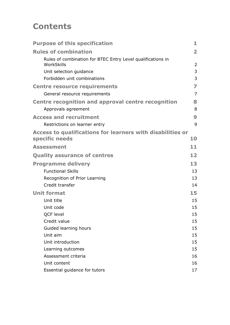# **Contents**

| <b>Purpose of this specification</b>                                         | 1                       |
|------------------------------------------------------------------------------|-------------------------|
| <b>Rules of combination</b>                                                  | $\overline{\mathbf{2}}$ |
| Rules of combination for BTEC Entry Level qualifications in<br>WorkSkills    | $\overline{2}$          |
| Unit selection guidance                                                      | 3                       |
| Forbidden unit combinations                                                  | 3                       |
| <b>Centre resource requirements</b>                                          | 7                       |
| General resource requirements                                                | $\overline{7}$          |
| Centre recognition and approval centre recognition                           | 8                       |
| Approvals agreement                                                          | 8                       |
| <b>Access and recruitment</b>                                                | 9                       |
| Restrictions on learner entry                                                | 9                       |
| Access to qualifications for learners with disabilities or<br>specific needs | 10                      |
| <b>Assessment</b>                                                            | 11                      |
| <b>Quality assurance of centres</b>                                          | 12                      |
| <b>Programme delivery</b>                                                    | 13                      |
| <b>Functional Skills</b>                                                     | 13                      |
| Recognition of Prior Learning                                                | 13                      |
| Credit transfer                                                              | 14                      |
| <b>Unit format</b>                                                           | 15                      |
| Unit title                                                                   | 15                      |
| Unit code                                                                    | 15                      |
| QCF level                                                                    | 15                      |
| Credit value                                                                 | 15                      |
| Guided learning hours                                                        | 15                      |
| Unit aim                                                                     | 15                      |
| Unit introduction                                                            | 15                      |
| Learning outcomes                                                            | 15                      |
| Assessment criteria                                                          | 16                      |
| Unit content                                                                 | 16                      |
| Essential guidance for tutors                                                | 17                      |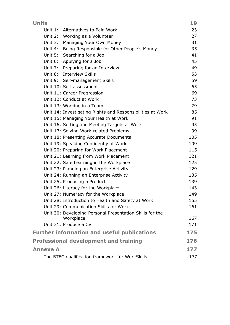| <b>Units</b>    |                                                                       | 19  |
|-----------------|-----------------------------------------------------------------------|-----|
| Unit $1:$       | Alternatives to Paid Work                                             | 23  |
| Unit $2:$       | Working as a Volunteer                                                | 27  |
| Unit 3:         | Managing Your Own Money                                               | 31  |
| Unit 4:         | Being Responsible for Other People's Money                            | 35  |
|                 | Unit 5: Searching for a Job                                           | 41  |
|                 | Unit 6: Applying for a Job                                            | 45  |
|                 | Unit 7: Preparing for an Interview                                    | 49  |
|                 | Unit 8: Interview Skills                                              | 53  |
|                 | Unit 9: Self-management Skills                                        | 59  |
|                 | Unit 10: Self-assessment                                              | 65  |
|                 | Unit 11: Career Progression                                           | 69  |
|                 | Unit 12: Conduct at Work                                              | 73  |
|                 | Unit 13: Working in a Team                                            | 79  |
|                 | Unit 14: Investigating Rights and Responsibilities at Work            | 85  |
|                 | Unit 15: Managing Your Health at Work                                 | 91  |
|                 | Unit 16: Setting and Meeting Targets at Work                          | 95  |
|                 | Unit 17: Solving Work-related Problems                                | 99  |
|                 | Unit 18: Presenting Accurate Documents                                | 105 |
|                 | Unit 19: Speaking Confidently at Work                                 | 109 |
|                 | Unit 20: Preparing for Work Placement                                 | 115 |
|                 | Unit 21: Learning from Work Placement                                 | 121 |
|                 | Unit 22: Safe Learning in the Workplace                               | 125 |
|                 | Unit 23: Planning an Enterprise Activity                              | 129 |
|                 | Unit 24: Running an Enterprise Activity                               | 135 |
|                 | Unit 25: Producing a Product                                          | 139 |
|                 | Unit 26: Literacy for the Workplace                                   | 143 |
|                 | Unit 27: Numeracy for the Workplace                                   | 149 |
|                 | Unit 28: Introduction to Health and Safety at Work                    | 155 |
|                 | Unit 29: Communication Skills for Work                                | 161 |
|                 | Unit 30: Developing Personal Presentation Skills for the<br>Workplace | 167 |
|                 | Unit 31: Produce a CV                                                 | 171 |
|                 | <b>Further information and useful publications</b>                    | 175 |
|                 | <b>Professional development and training</b>                          | 176 |
| <b>Annexe A</b> |                                                                       | 177 |
|                 | The BTEC qualification framework for WorkSkills                       | 177 |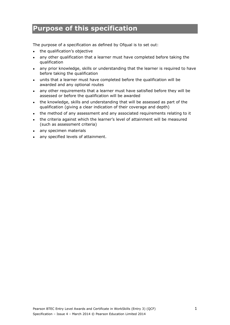# <span id="page-8-0"></span>**Purpose of this specification**

The purpose of a specification as defined by Ofqual is to set out:

- the qualification's objective
- any other qualification that a learner must have completed before taking the qualification
- any prior knowledge, skills or understanding that the learner is required to have before taking the qualification
- units that a learner must have completed before the qualification will be awarded and any optional routes
- any other requirements that a learner must have satisfied before they will be assessed or before the qualification will be awarded
- the knowledge, skills and understanding that will be assessed as part of the qualification (giving a clear indication of their coverage and depth)
- the method of any assessment and any associated requirements relating to it
- the criteria against which the learner's level of attainment will be measured (such as assessment criteria)
- any specimen materials
- any specified levels of attainment.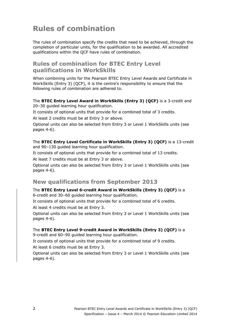# <span id="page-9-0"></span>**Rules of combination**

The rules of combination specify the credits that need to be achieved, through the completion of particular units, for the qualification to be awarded. All accredited qualifications within the QCF have rules of combination.

## <span id="page-9-1"></span>**Rules of combination for BTEC Entry Level qualifications in WorkSkills**

When combining units for the Pearson BTEC Entry Level Awards and Certificate in WorkSkills (Entry 3) (QCF), it is the centre's responsibility to ensure that the following rules of combination are adhered to.

#### The **BTEC Entry Level Award in WorkSkills (Entry 3) (QCF)** is a 3-credit and 20–30 guided learning hour qualification.

It consists of optional units that provide for a combined total of 3 credits.

At least 2 credits must be at Entry 3 or above.

Optional units can also be selected from Entry 3 or Level 1 WorkSkills units (see pages 4-6).

The **BTEC Entry Level Certificate in WorkSkills (Entry 3) (QCF)** is a 13-credit and 90-130 quided learning hour qualification.

It consists of optional units that provide for a combined total of 13 credits.

At least 7 credits must be at Entry 3 or above.

Optional units can also be selected from Entry 3 or Level 1 WorkSkills units (see pages 4-6).

## **New qualifications from September 2013**

The **BTEC Entry Level 6-credit Award in WorkSkills (Entry 3) (QCF)** is a 6-credit and 30–60 guided learning hour qualification.

It consists of optional units that provide for a combined total of 6 credits.

At least 4 credits must be at Entry 3.

Optional units can also be selected from Entry 3 or Level 1 WorkSkills units (see pages 4-6).

#### The **BTEC Entry Level 9-credit Award in WorkSkills (Entry 3) (QCF)** is a

9-credit and 60–90 guided learning hour qualification.

It consists of optional units that provide for a combined total of 9 credits.

At least 6 credits must be at Entry 3.

Optional units can also be selected from Entry 3 or Level 1 WorkSkills units (see pages 4-6).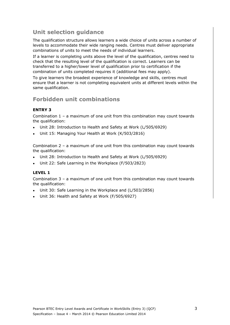# <span id="page-10-0"></span>**Unit selection guidance**

The qualification structure allows learners a wide choice of units across a number of levels to accommodate their wide ranging needs. Centres must deliver appropriate combinations of units to meet the needs of individual learners.

If a learner is completing units above the level of the qualification, centres need to check that the resulting level of the qualification is correct. Learners can be transferred to a higher/lower level of qualification prior to certification if the combination of units completed requires it (additional fees may apply).

To give learners the broadest experience of knowledge and skills, centres must ensure that a learner is not completing equivalent units at different levels within the same qualification.

## <span id="page-10-1"></span>**Forbidden unit combinations**

#### **ENTRY 3**

Combination 1 – a maximum of one unit from this combination may count towards the qualification:

- Unit 28: Introduction to Health and Safety at Work (L/505/6929)
- Unit 15: Managing Your Health at Work (K/503/2816)

Combination 2 – a maximum of one unit from this combination may count towards the qualification:

- Unit 28: Introduction to Health and Safety at Work (L/505/6929)
- Unit 22: Safe Learning in the Workplace (F/503/2823)

#### **LEVEL 1**

Combination 3 – a maximum of one unit from this combination may count towards the qualification:

- Unit 30: Safe Learning in the Workplace and (L/503/2856)
- Unit 36: Health and Safety at Work (F/505/6927)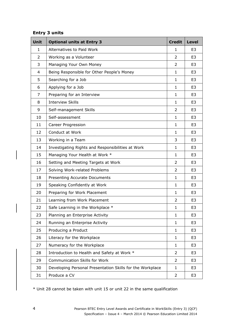#### **Entry 3 units**

| Unit           | <b>Optional units at Entry 3</b>                          | <b>Credit</b>  | <b>Level</b>   |
|----------------|-----------------------------------------------------------|----------------|----------------|
| $\mathbf{1}$   | Alternatives to Paid Work                                 | $\mathbf{1}$   | E <sub>3</sub> |
| $\overline{2}$ | Working as a Volunteer                                    | $\overline{2}$ | E <sub>3</sub> |
| 3              | Managing Your Own Money                                   | $\overline{2}$ | E <sub>3</sub> |
| 4              | Being Responsible for Other People's Money                | $\mathbf{1}$   | E <sub>3</sub> |
| 5              | Searching for a Job                                       | $\mathbf{1}$   | E <sub>3</sub> |
| 6              | Applying for a Job                                        | $\mathbf{1}$   | E <sub>3</sub> |
| 7              | Preparing for an Interview                                | $\mathbf{1}$   | E <sub>3</sub> |
| 8              | <b>Interview Skills</b>                                   | 1              | E3             |
| 9              | Self-management Skills                                    | $\overline{2}$ | E <sub>3</sub> |
| 10             | Self-assessment                                           | 1              | E <sub>3</sub> |
| 11             | Career Progression                                        | $\mathbf{1}$   | E <sub>3</sub> |
| 12             | Conduct at Work                                           | 1              | E <sub>3</sub> |
| 13             | Working in a Team                                         | 3              | E <sub>3</sub> |
| 14             | Investigating Rights and Responsibilities at Work         | $\mathbf{1}$   | E <sub>3</sub> |
| 15             | Managing Your Health at Work *                            | $\mathbf{1}$   | E <sub>3</sub> |
| 16             | Setting and Meeting Targets at Work                       | $\overline{2}$ | E <sub>3</sub> |
| 17             | Solving Work-related Problems                             | $\overline{2}$ | E <sub>3</sub> |
| 18             | <b>Presenting Accurate Documents</b>                      | 1              | E <sub>3</sub> |
| 19             | Speaking Confidently at Work                              | $\mathbf{1}$   | E <sub>3</sub> |
| 20             | Preparing for Work Placement                              | 1              | E <sub>3</sub> |
| 21             | Learning from Work Placement                              | $\overline{2}$ | E <sub>3</sub> |
| 22             | Safe Learning in the Workplace *                          | $\mathbf{1}$   | E <sub>3</sub> |
| 23             | Planning an Enterprise Activity                           | $\mathbf{1}$   | E3             |
| 24             | Running an Enterprise Activity                            | 1              | E3             |
| 25             | Producing a Product                                       | $\mathbf{1}$   | E3             |
| 26             | Literacy for the Workplace                                | $\mathbf{1}$   | E3             |
| 27             | Numeracy for the Workplace                                | 1              | E3             |
| 28             | Introduction to Health and Safety at Work *               | 2              | E <sub>3</sub> |
| 29             | <b>Communication Skills for Work</b>                      | $\overline{2}$ | E <sub>3</sub> |
| 30             | Developing Personal Presentation Skills for the Workplace | $\mathbf{1}$   | E3             |
| 31             | Produce a CV                                              | $\overline{2}$ | E3             |

\* Unit 28 cannot be taken with unit 15 or unit 22 in the same qualification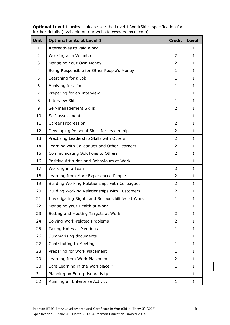**Optional Level 1 units –** please see the Level 1 WorkSkills specification for further details (available on our website www.edexcel.com)

| <b>Unit</b>    | <b>Optional units at Level 1</b>                  | <b>Credit</b>  | <b>Level</b> |
|----------------|---------------------------------------------------|----------------|--------------|
| $\mathbf{1}$   | Alternatives to Paid Work                         | 1              | $\mathbf{1}$ |
| $\overline{2}$ | Working as a Volunteer                            | $\overline{2}$ | $\mathbf{1}$ |
| 3              | Managing Your Own Money                           | $\overline{2}$ | $\mathbf{1}$ |
| 4              | Being Responsible for Other People's Money        | $\mathbf{1}$   | $\mathbf{1}$ |
| 5              | Searching for a Job                               | $\mathbf{1}$   | $\mathbf{1}$ |
| 6              | Applying for a Job                                | $\mathbf{1}$   | $\mathbf{1}$ |
| 7              | Preparing for an Interview                        | $\mathbf{1}$   | $\mathbf{1}$ |
| 8              | <b>Interview Skills</b>                           | $\mathbf{1}$   | $\mathbf{1}$ |
| 9              | Self-management Skills                            | 2              | $\mathbf{1}$ |
| 10             | Self-assessment                                   | $\mathbf{1}$   | $\mathbf{1}$ |
| 11             | <b>Career Progression</b>                         | 2              | $\mathbf{1}$ |
| 12             | Developing Personal Skills for Leadership         | $\overline{2}$ | $\mathbf{1}$ |
| 13             | Practising Leadership Skills with Others          | 2              | $\mathbf{1}$ |
| 14             | Learning with Colleagues and Other Learners       | $\overline{2}$ | $\mathbf{1}$ |
| 15             | Communicating Solutions to Others                 | 2              | $\mathbf{1}$ |
| 16             | Positive Attitudes and Behaviours at Work         | $\mathbf{1}$   | $\mathbf{1}$ |
| 17             | Working in a Team                                 | 3              | $\mathbf{1}$ |
| 18             | Learning from More Experienced People             | $\overline{2}$ | $\mathbf{1}$ |
| 19             | Building Working Relationships with Colleagues    | $\overline{2}$ | $\mathbf{1}$ |
| 20             | Building Working Relationships with Customers     | $\overline{2}$ | $\mathbf{1}$ |
| 21             | Investigating Rights and Responsibilities at Work | $\mathbf{1}$   | $\mathbf{1}$ |
| 22             | Managing your Health at Work                      | 1              | 1            |
| 23             | Setting and Meeting Targets at Work               | $\overline{2}$ | 1            |
| 24             | Solving Work-related Problems                     | $\overline{2}$ | $\mathbf{1}$ |
| 25             | Taking Notes at Meetings                          | 1              | $\mathbf{1}$ |
| 26             | Summarising documents                             | $\mathbf{1}$   | $\mathbf{1}$ |
| 27             | Contributing to Meetings                          | 1              | $\mathbf{1}$ |
| 28             | Preparing for Work Placement                      | $\mathbf{1}$   | $\mathbf{1}$ |
| 29             | Learning from Work Placement                      | 2              | $\mathbf{1}$ |
| 30             | Safe Learning in the Workplace *                  | 1              | $\mathbf{1}$ |
| 31             | Planning an Enterprise Activity                   | $\mathbf{1}$   | $\mathbf{1}$ |
| 32             | Running an Enterprise Activity                    | $\mathbf{1}$   | $\mathbf{1}$ |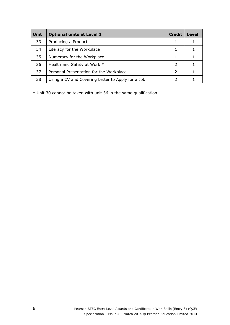| <b>Unit</b> | <b>Optional units at Level 1</b>                  | <b>Credit</b> | Level |
|-------------|---------------------------------------------------|---------------|-------|
| 33          | Producing a Product                               |               |       |
| 34          | Literacy for the Workplace                        |               |       |
| 35          | Numeracy for the Workplace                        |               |       |
| 36          | Health and Safety at Work *                       | 2             |       |
| 37          | Personal Presentation for the Workplace           | $\mathcal{L}$ |       |
| 38          | Using a CV and Covering Letter to Apply for a Job |               |       |

\* Unit 30 cannot be taken with unit 36 in the same qualification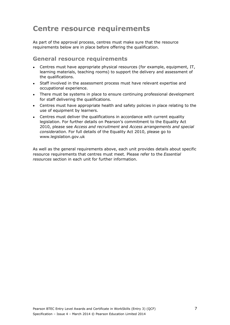# <span id="page-14-0"></span>**Centre resource requirements**

As part of the approval process, centres must make sure that the resource requirements below are in place before offering the qualification.

#### <span id="page-14-1"></span>**General resource requirements**

- Centres must have appropriate physical resources (for example, equipment, IT, learning materials, teaching rooms) to support the delivery and assessment of the qualifications.
- Staff involved in the assessment process must have relevant expertise and occupational experience.
- There must be systems in place to ensure continuing professional development for staff delivering the qualifications.
- Centres must have appropriate health and safety policies in place relating to the use of equipment by learners.
- Centres must deliver the qualifications in accordance with current equality legislation. For further details on Pearson's commitment to the Equality Act 2010, please see *Access and recruitment* and *Access arrangements and special consideration.* For full details of the Equality Act 2010, please go to www.legislation.gov.uk

As well as the general requirements above, each unit provides details about specific resource requirements that centres must meet. Please refer to the *Essential resources* section in each unit for further information.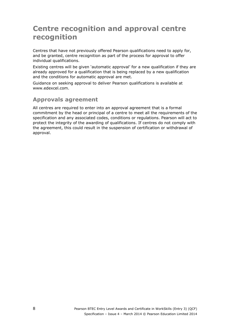# <span id="page-15-0"></span>**Centre recognition and approval centre recognition**

Centres that have not previously offered Pearson qualifications need to apply for, and be granted, centre recognition as part of the process for approval to offer individual qualifications.

Existing centres will be given 'automatic approval' for a new qualification if they are already approved for a qualification that is being replaced by a new qualification and the conditions for automatic approval are met.

Guidance on seeking approval to deliver Pearson qualifications is available at www.edexcel.com.

## <span id="page-15-1"></span>**Approvals agreement**

All centres are required to enter into an approval agreement that is a formal commitment by the head or principal of a centre to meet all the requirements of the specification and any associated codes, conditions or regulations. Pearson will act to protect the integrity of the awarding of qualifications. If centres do not comply with the agreement, this could result in the suspension of certification or withdrawal of approval.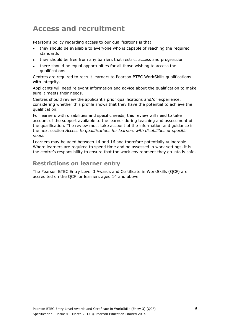# <span id="page-16-0"></span>**Access and recruitment**

Pearson's policy regarding access to our qualifications is that:

- they should be available to everyone who is capable of reaching the required standards
- they should be free from any barriers that restrict access and progression
- there should be equal opportunities for all those wishing to access the qualifications.

Centres are required to recruit learners to Pearson BTEC WorkSkills qualifications with integrity.

Applicants will need relevant information and advice about the qualification to make sure it meets their needs.

Centres should review the applicant's prior qualifications and/or experience, considering whether this profile shows that they have the potential to achieve the qualification.

For learners with disabilities and specific needs, this review will need to take account of the support available to the learner during teaching and assessment of the qualification. The review must take account of the information and guidance in the next section *Access to qualifications for learners with disabilities or specific needs*.

Learners may be aged between 14 and 16 and therefore potentially vulnerable. Where learners are required to spend time and be assessed in work settings, it is the centre's responsibility to ensure that the work environment they go into is safe.

#### <span id="page-16-1"></span>**Restrictions on learner entry**

The Pearson BTEC Entry Level 3 Awards and Certificate in WorkSkills (QCF) are accredited on the QCF for learners aged 14 and above.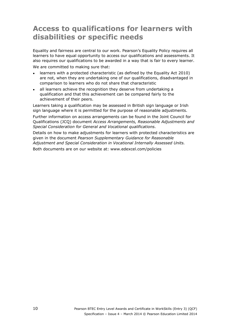# <span id="page-17-0"></span>**Access to qualifications for learners with disabilities or specific needs**

Equality and fairness are central to our work. Pearson's Equality Policy requires all learners to have equal opportunity to access our qualifications and assessments. It also requires our qualifications to be awarded in a way that is fair to every learner. We are committed to making sure that:

- learners with a protected characteristic (as defined by the Equality Act 2010) are not, when they are undertaking one of our qualifications, disadvantaged in comparison to learners who do not share that characteristic
- all learners achieve the recognition they deserve from undertaking a qualification and that this achievement can be compared fairly to the achievement of their peers.

Learners taking a qualification may be assessed in British sign language or Irish sign language where it is permitted for the purpose of reasonable adjustments.

Further information on access arrangements can be found in the Joint Council for Qualifications (JCQ) document *Access Arrangements, Reasonable Adjustments and Special Consideration for General and Vocational qualifications*.

Details on how to make adjustments for learners with protected characteristics are given in the document *Pearson Supplementary Guidance for Reasonable Adjustment and Special Consideration in Vocational Internally Assessed Units.*  Both documents are on our website at: www.edexcel.com/policies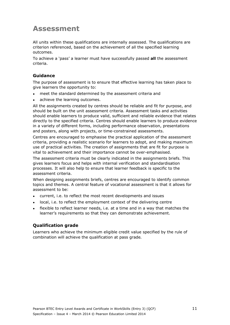# <span id="page-18-0"></span>**Assessment**

All units within these qualifications are internally assessed. The qualifications are criterion referenced, based on the achievement of all the specified learning outcomes.

To achieve a 'pass' a learner must have successfully passed **all** the assessment criteria.

#### **Guidance**

The purpose of assessment is to ensure that effective learning has taken place to give learners the opportunity to:

- meet the standard determined by the assessment criteria and
- achieve the learning outcomes.

All the assignments created by centres should be reliable and fit for purpose, and should be built on the unit assessment criteria. Assessment tasks and activities should enable learners to produce valid, sufficient and reliable evidence that relates directly to the specified criteria. Centres should enable learners to produce evidence in a variety of different forms, including performance observation, presentations and posters, along with projects, or time-constrained assessments.

Centres are encouraged to emphasise the practical application of the assessment criteria, providing a realistic scenario for learners to adopt, and making maximum use of practical activities. The creation of assignments that are fit for purpose is vital to achievement and their importance cannot be over-emphasised.

The assessment criteria must be clearly indicated in the assignments briefs. This gives learners focus and helps with internal verification and standardisation processes. It will also help to ensure that learner feedback is specific to the assessment criteria.

When designing assignments briefs, centres are encouraged to identify common topics and themes. A central feature of vocational assessment is that it allows for assessment to be:

- current, i.e. to reflect the most recent developments and issues
- local, i.e. to reflect the employment context of the delivering centre
- flexible to reflect learner needs, i.e. at a time and in a way that matches the learner's requirements so that they can demonstrate achievement.

#### **Qualification grade**

Learners who achieve the minimum eligible credit value specified by the rule of combination will achieve the qualification at pass grade*.*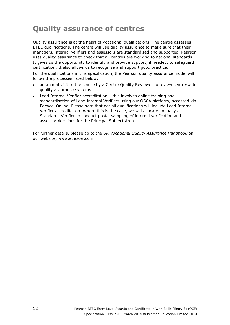# <span id="page-19-0"></span>**Quality assurance of centres**

Quality assurance is at the heart of vocational qualifications. The centre assesses BTEC qualifications. The centre will use quality assurance to make sure that their managers, internal verifiers and assessors are standardised and supported. Pearson uses quality assurance to check that all centres are working to national standards. It gives us the opportunity to identify and provide support, if needed, to safeguard certification. It also allows us to recognise and support good practice.

For the qualifications in this specification, the Pearson quality assurance model will follow the processes listed below:

- an annual visit to the centre by a Centre Quality Reviewer to review centre-wide quality assurance systems
- Lead Internal Verifier accreditation this involves online training and standardisation of Lead Internal Verifiers using our OSCA platform, accessed via Edexcel Online. Please note that not all qualifications will include Lead Internal Verifier accreditation. Where this is the case, we will allocate annually a Standards Verifier to conduct postal sampling of internal verification and assessor decisions for the Principal Subject Area.

For further details, please go to the *UK Vocational Quality Assurance Handbook* on our website, www.edexcel.com.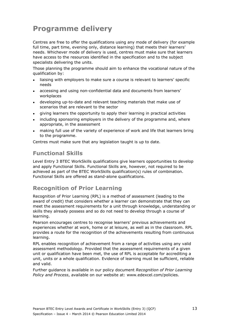# <span id="page-20-0"></span>**Programme delivery**

Centres are free to offer the qualifications using any mode of delivery (for example full time, part time, evening only, distance learning) that meets their learners' needs. Whichever mode of delivery is used, centres must make sure that learners have access to the resources identified in the specification and to the subject specialists delivering the units.

Those planning the programme should aim to enhance the vocational nature of the qualification by:

- liaising with employers to make sure a course is relevant to learners' specific needs
- accessing and using non-confidential data and documents from learners' workplaces
- developing up-to-date and relevant teaching materials that make use of scenarios that are relevant to the sector
- giving learners the opportunity to apply their learning in practical activities
- including sponsoring employers in the delivery of the programme and, where appropriate, in the assessment
- making full use of the variety of experience of work and life that learners bring to the programme.

Centres must make sure that any legislation taught is up to date.

## <span id="page-20-1"></span>**Functional Skills**

Level Entry 3 BTEC WorkSkills qualifications give learners opportunities to develop and apply Functional Skills. Functional Skills are, however, not required to be achieved as part of the BTEC WorkSkills qualification(s) rules of combination. Functional Skills are offered as stand-alone qualifications.

## <span id="page-20-2"></span>**Recognition of Prior Learning**

Recognition of Prior Learning (RPL) is a method of assessment (leading to the award of credit) that considers whether a learner can demonstrate that they can meet the assessment requirements for a unit through knowledge, understanding or skills they already possess and so do not need to develop through a course of learning.

Pearson encourages centres to recognise learners' previous achievements and experiences whether at work, home or at leisure, as well as in the classroom. RPL provides a route for the recognition of the achievements resulting from continuous learning.

RPL enables recognition of achievement from a range of activities using any valid assessment methodology. Provided that the assessment requirements of a given unit or qualification have been met, the use of RPL is acceptable for accrediting a unit, units or a whole qualification. Evidence of learning must be sufficient, reliable and valid.

Further guidance is available in our policy document *Recognition of Prior Learning Policy and Process*, available on our website at: www.edexcel.com/policies.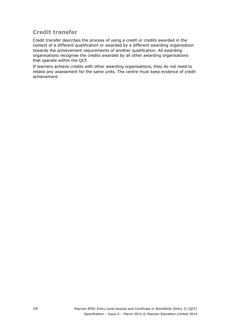## <span id="page-21-0"></span>**Credit transfer**

Credit transfer describes the process of using a credit or credits awarded in the context of a different qualification or awarded by a different awarding organisation towards the achievement requirements of another qualification. All awarding organisations recognise the credits awarded by all other awarding organisations that operate within the QCF.

If learners achieve credits with other awarding organisations, they do not need to retake any assessment for the same units. The centre must keep evidence of credit achievement.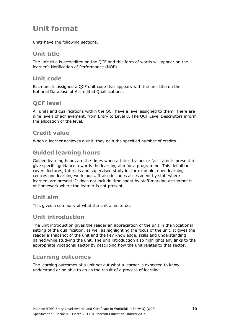# <span id="page-22-0"></span>**Unit format**

Units have the following sections.

#### <span id="page-22-1"></span>**Unit title**

The unit title is accredited on the QCF and this form of words will appear on the learner's Notification of Performance (NOP).

## <span id="page-22-2"></span>**Unit code**

Each unit is assigned a QCF unit code that appears with the unit title on the National Database of Accredited Qualifications.

## <span id="page-22-3"></span>**QCF level**

All units and qualifications within the QCF have a level assigned to them. There are nine levels of achievement, from Entry to Level 8. The QCF Level Descriptors inform the allocation of the level.

## <span id="page-22-4"></span>**Credit value**

When a learner achieves a unit, they gain the specified number of credits.

## <span id="page-22-5"></span>**Guided learning hours**

Guided learning hours are the times when a tutor, trainer or facilitator is present to give specific guidance towards the learning aim for a programme. This definition covers lectures, tutorials and supervised study in, for example, open learning centres and learning workshops. It also includes assessment by staff where learners are present. It does not include time spent by staff marking assignments or homework where the learner is not present.

#### <span id="page-22-6"></span>**Unit aim**

This gives a summary of what the unit aims to do.

#### <span id="page-22-7"></span>**Unit introduction**

The unit introduction gives the reader an appreciation of the unit in the vocational setting of the qualification, as well as highlighting the focus of the unit. It gives the reader a snapshot of the unit and the key knowledge, skills and understanding gained while studying the unit. The unit introduction also highlights any links to the appropriate vocational sector by describing how the unit relates to that sector.

#### <span id="page-22-8"></span>**Learning outcomes**

The learning outcomes of a unit set out what a learner is expected to know, understand or be able to do as the result of a process of learning.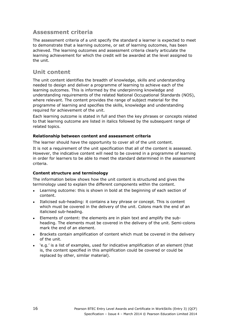#### **Assessment criteria**

The assessment criteria of a unit specify the standard a learner is expected to meet to demonstrate that a learning outcome, or set of learning outcomes, has been achieved. The learning outcomes and assessment criteria clearly articulate the learning achievement for which the credit will be awarded at the level assigned to the unit.

## **Unit content**

The unit content identifies the breadth of knowledge, skills and understanding needed to design and deliver a programme of learning to achieve each of the learning outcomes. This is informed by the underpinning knowledge and understanding requirements of the related National Occupational Standards (NOS), where relevant. The content provides the range of subject material for the programme of learning and specifies the skills, knowledge and understanding required for achievement of the unit.

Each learning outcome is stated in full and then the key phrases or concepts related to that learning outcome are listed in italics followed by the subsequent range of related topics.

#### **Relationship between content and assessment criteria**

The learner should have the opportunity to cover all of the unit content.

It is not a requirement of the unit specification that all of the content is assessed. However, the indicative content will need to be covered in a programme of learning in order for learners to be able to meet the standard determined in the assessment criteria.

#### **Content structure and terminology**

The information below shows how the unit content is structured and gives the terminology used to explain the different components within the content.

- Learning outcome: this is shown in bold at the beginning of each section of content.
- Italicised sub-heading: it contains a key phrase or concept. This is content which must be covered in the delivery of the unit. Colons mark the end of an italicised sub-heading.
- Elements of content: the elements are in plain text and amplify the subheading. The elements must be covered in the delivery of the unit. Semi-colons mark the end of an element.
- Brackets contain amplification of content which must be covered in the delivery of the unit.
- 'e.g.' is a list of examples, used for indicative amplification of an element (that is, the content specified in this amplification could be covered or could be replaced by other, similar material).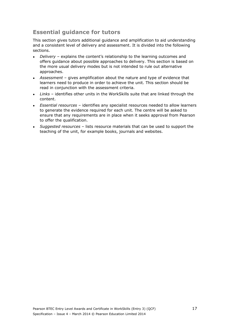# **Essential guidance for tutors**

This section gives tutors additional guidance and amplification to aid understanding and a consistent level of delivery and assessment. It is divided into the following sections.

- *Delivery* explains the content's relationship to the learning outcomes and offers guidance about possible approaches to delivery. This section is based on the more usual delivery modes but is not intended to rule out alternative approaches.
- *Assessment* gives amplification about the nature and type of evidence that learners need to produce in order to achieve the unit. This section should be read in conjunction with the assessment criteria.
- Links identifies other units in the WorkSkills suite that are linked through the content.
- *Essential resources* identifies any specialist resources needed to allow learners to generate the evidence required for each unit. The centre will be asked to ensure that any requirements are in place when it seeks approval from Pearson to offer the qualification.
- *Suggested resources* lists resource materials that can be used to support the teaching of the unit, for example books, journals and websites.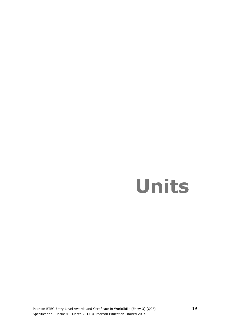# <span id="page-26-0"></span>**Units**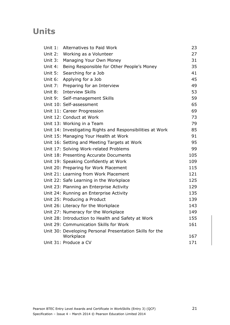# **Units**

| Unit $1$ : | Alternatives to Paid Work                                  | 23  |
|------------|------------------------------------------------------------|-----|
| Unit 2:    | Working as a Volunteer                                     | 27  |
| Unit $3:$  | Managing Your Own Money                                    | 31  |
| Unit 4:    | Being Responsible for Other People's Money                 | 35  |
| Unit 5:    | Searching for a Job                                        | 41  |
| Unit 6:    | Applying for a Job                                         | 45  |
| Unit 7:    | Preparing for an Interview                                 | 49  |
| Unit 8:    | <b>Interview Skills</b>                                    | 53  |
| Unit 9:    | Self-management Skills                                     | 59  |
|            | Unit 10: Self-assessment                                   | 65  |
|            | Unit 11: Career Progression                                | 69  |
|            | Unit 12: Conduct at Work                                   | 73  |
|            | Unit 13: Working in a Team                                 | 79  |
|            | Unit 14: Investigating Rights and Responsibilities at Work | 85  |
|            | Unit 15: Managing Your Health at Work                      | 91  |
|            | Unit 16: Setting and Meeting Targets at Work               | 95  |
|            | Unit 17: Solving Work-related Problems                     | 99  |
|            | Unit 18: Presenting Accurate Documents                     | 105 |
|            | Unit 19: Speaking Confidently at Work                      | 109 |
|            | Unit 20: Preparing for Work Placement                      | 115 |
|            | Unit 21: Learning from Work Placement                      | 121 |
|            | Unit 22: Safe Learning in the Workplace                    | 125 |
|            | Unit 23: Planning an Enterprise Activity                   | 129 |
|            | Unit 24: Running an Enterprise Activity                    | 135 |
|            | Unit 25: Producing a Product                               | 139 |
|            | Unit 26: Literacy for the Workplace                        | 143 |
|            | Unit 27: Numeracy for the Workplace                        | 149 |
|            | Unit 28: Introduction to Health and Safety at Work         | 155 |
|            | Unit 29: Communication Skills for Work                     | 161 |
|            | Unit 30: Developing Personal Presentation Skills for the   |     |
|            | Workplace                                                  | 167 |
|            | Unit 31: Produce a CV                                      | 171 |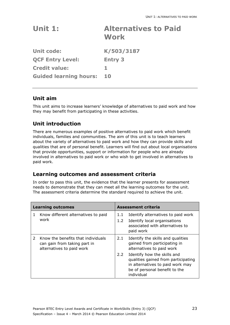<span id="page-30-0"></span>

| Unit $1:$                     | <b>Alternatives to Paid</b><br><b>Work</b> |
|-------------------------------|--------------------------------------------|
| <b>Unit code:</b>             | K/503/3187                                 |
| <b>QCF Entry Level:</b>       | <b>Entry 3</b>                             |
| <b>Credit value:</b>          | 1.                                         |
| <b>Guided learning hours:</b> | 10                                         |

## **Unit aim**

This unit aims to increase learners' knowledge of alternatives to paid work and how they may benefit from participating in these activities.

## **Unit introduction**

There are numerous examples of positive alternatives to paid work which benefit individuals, families and communities. The aim of this unit is to teach learners about the variety of alternatives to paid work and how they can provide skills and qualities that are of personal benefit. Learners will find out about local organisations that provide opportunities, support or information for people who are already involved in alternatives to paid work or who wish to get involved in alternatives to paid work.

#### **Learning outcomes and assessment criteria**

In order to pass this unit, the evidence that the learner presents for assessment needs to demonstrate that they can meet all the learning outcomes for the unit. The assessment criteria determine the standard required to achieve the unit.

| <b>Learning outcomes</b> |                                                                                                 | <b>Assessment criteria</b> |                                                                                                                                                       |
|--------------------------|-------------------------------------------------------------------------------------------------|----------------------------|-------------------------------------------------------------------------------------------------------------------------------------------------------|
| 1                        | Know different alternatives to paid<br>work                                                     | 1.1<br>1.2 <sub>1</sub>    | Identify alternatives to paid work<br>Identify local organisations<br>associated with alternatives to<br>paid work                                    |
|                          | Know the benefits that individuals<br>can gain from taking part in<br>alternatives to paid work | 2.1                        | Identify the skills and qualities<br>gained from participating in<br>alternatives to paid work                                                        |
|                          |                                                                                                 | $2.2^{\circ}$              | Identify how the skills and<br>qualities gained from participating<br>in alternatives to paid work may<br>be of personal benefit to the<br>individual |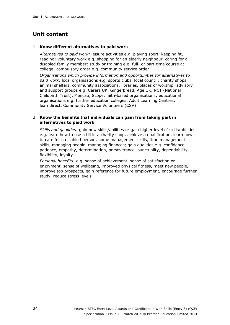## **Unit content**

#### 1 **Know different alternatives to paid work**

*Alternatives to paid work:* leisure activities e.g. playing sport, keeping fit, reading; voluntary work e.g. shopping for an elderly neighbour, caring for a disabled family member; study or training e.g. full- or part-time course at college; compulsory order e.g. community service order

*Organisations which provide information and opportunities for alternatives to paid work:* local organisations e.g. sports clubs, local council, charity shops, animal shelters, community associations, libraries, places of worship; advisory and support groups e.g. Carers UK, Gingerbread, Age UK, NCT (National Childbirth Trust), Mencap, Scope, faith-based organisations; educational organisations e.g. further education colleges, Adult Learning Centres, learndirect, Community Service Volunteers (CSV)

#### 2 **Know the benefits that individuals can gain from taking part in alternatives to paid work**

*Skills and qualities:* gain new skills/abilities or gain higher level of skills/abilities e.g. learn how to use a till in a charity shop, achieve a qualification, learn how to care for a disabled person, home management skills, time management skills, managing people, managing finances; gain qualities e.g. confidence, patience, empathy, determination, perseverance, punctuality, dependability, flexibility, loyalty

*Personal benefits:* e.g. sense of achievement, sense of satisfaction or enjoyment, sense of wellbeing, improved physical fitness, meet new people, improve job prospects, gain reference for future employment, encourage further study, reduce stress levels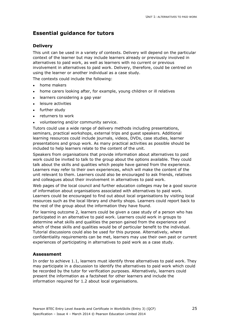## **Essential guidance for tutors**

#### **Delivery**

This unit can be used in a variety of contexts. Delivery will depend on the particular context of the learner but may include learners already or previously involved in alternatives to paid work, as well as learners with no current or previous involvement in alternatives to paid work. Delivery, therefore, could be centred on using the learner or another individual as a case study.

The contexts could include the following:

- home makers
- home carers looking after, for example, young children or ill relatives
- learners considering a gap year
- leisure activities
- further study
- returners to work
- volunteering and/or community service.

Tutors could use a wide range of delivery methods including presentations, seminars, practical workshops, external trips and guest speakers. Additional learning resources could include journals, videos, DVDs, case studies, learner presentations and group work. As many practical activities as possible should be included to help learners relate to the content of the unit.

Speakers from organisations that provide information about alternatives to paid work could be invited to talk to the group about the options available. They could talk about the skills and qualities which people have gained from the experience. Learners may refer to their own experiences, which will make the content of the unit relevant to them. Learners could also be encouraged to ask friends, relatives and colleagues about their involvement in alternatives to paid work.

Web pages of the local council and further education colleges may be a good source of information about organisations associated with alternatives to paid work. Learners could be encouraged to find out about local organisations by visiting local resources such as the local library and charity shops. Learners could report back to the rest of the group about the information they have found.

For learning outcome 2, learners could be given a case study of a person who has participated in an alternative to paid work. Learners could work in groups to determine what skills and qualities the person gained from the experience and which of these skills and qualities would be of particular benefit to the individual. Tutorial discussions could also be used for this purpose. Alternatively, where confidentiality requirements can be met, learners may use their own past or current experiences of participating in alternatives to paid work as a case study.

#### **Assessment**

In order to achieve 1.1, learners must identify three alternatives to paid work. They may participate in a discussion to identify the alternatives to paid work which could be recorded by the tutor for verification purposes. Alternatively, learners could present the information as a factsheet for other learners and include the information required for 1.2 about local organisations.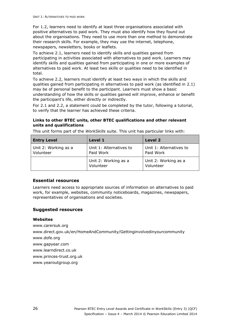For 1.2, learners need to identify at least three organisations associated with positive alternatives to paid work. They must also identify how they found out about the organisations. They need to use more than one method to demonstrate their research skills. For example, they may use the internet, telephone, newspapers, newsletters, books or leaflets.

To achieve 2.1, learners need to identify skills and qualities gained from participating in activities associated with alternatives to paid work. Learners may identify skills and qualities gained from participating in one or more examples of alternatives to paid work. At least two skills or qualities need to be identified in total.

To achieve 2.2, learners must identify at least two ways in which the skills and qualities gained from participating in alternatives to paid work (as identified in 2.1) may be of personal benefit to the participant. Learners must show a basic understanding of how the skills or qualities gained will improve, enhance or benefit the participant's life, either directly or indirectly.

For 2.1 and 2.2, a statement could be completed by the tutor, following a tutorial, to verify that the learner has achieved these criteria.

#### **Links to other BTEC units, other BTEC qualifications and other relevant units and qualifications**

|  |  | This unit forms part of the WorkSkills suite. This unit has particular links with: |
|--|--|------------------------------------------------------------------------------------|

| <b>Entry Level</b>                | Level 1                              | Level 2                              |
|-----------------------------------|--------------------------------------|--------------------------------------|
| Unit 2: Working as a<br>Volunteer | Unit 1: Alternatives to<br>Paid Work | Unit 1: Alternatives to<br>Paid Work |
|                                   | Unit 2: Working as a<br>Volunteer    | Unit 2: Working as a<br>Volunteer    |

#### **Essential resources**

Learners need access to appropriate sources of information on alternatives to paid work, for example, websites, community noticeboards, magazines, newspapers, representatives of organisations and societies.

#### **Suggested resources**

#### **Websites**

www.carersuk.org www.direct.gov.uk/en/HomeAndCommunity/Gettinginvolvedinyourcommunity www.dofe.org www.gapyear.com www.learndirect.co.uk www.princes-trust.org.uk www.yearoutgroup.org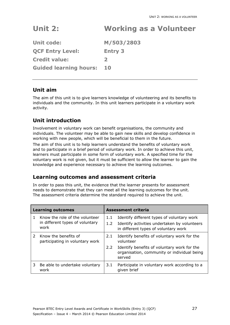# <span id="page-34-0"></span>**Unit 2: Working as a Volunteer**

| <b>Unit code:</b>             | M/503/2803     |
|-------------------------------|----------------|
| <b>QCF Entry Level:</b>       | <b>Entry 3</b> |
| <b>Credit value:</b>          | $\mathbf{z}$   |
| <b>Guided learning hours:</b> | 10             |

## **Unit aim**

The aim of this unit is to give learners knowledge of volunteering and its benefits to individuals and the community. In this unit learners participate in a voluntary work activity.

## **Unit introduction**

Involvement in voluntary work can benefit organisations, the community and individuals. The volunteer may be able to gain new skills and develop confidence in working with new people, which will be beneficial to them in the future.

The aim of this unit is to help learners understand the benefits of voluntary work and to participate in a brief period of voluntary work. In order to achieve this unit, learners must participate in some form of voluntary work. A specified time for the voluntary work is not given, but it must be sufficient to allow the learner to gain the knowledge and experience necessary to achieve the learning outcomes.

#### **Learning outcomes and assessment criteria**

In order to pass this unit, the evidence that the learner presents for assessment needs to demonstrate that they can meet all the learning outcomes for the unit. The assessment criteria determine the standard required to achieve the unit.

| <b>Learning outcomes</b> |                                                                           | <b>Assessment criteria</b> |                                                                                                                                    |  |
|--------------------------|---------------------------------------------------------------------------|----------------------------|------------------------------------------------------------------------------------------------------------------------------------|--|
|                          | Know the role of the volunteer<br>in different types of voluntary<br>work | 1.1<br>1.2 <sub>1</sub>    | Identify different types of voluntary work<br>Identify activities undertaken by volunteers<br>in different types of voluntary work |  |
| $\mathcal{P}$            | Know the benefits of<br>participating in voluntary work                   | 2.1                        | Identify benefits of voluntary work for the<br>volunteer                                                                           |  |
|                          |                                                                           | $2.2^{\circ}$              | Identify benefits of voluntary work for the<br>organisation, community or individual being<br>served                               |  |
| 3                        | Be able to undertake voluntary<br>work                                    | 3.1                        | Participate in voluntary work according to a<br>given brief                                                                        |  |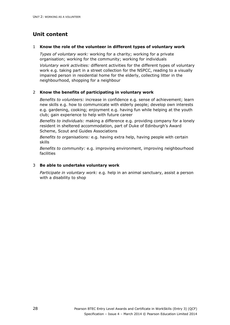# **Unit content**

#### 1 **Know the role of the volunteer in different types of voluntary work**

*Types of voluntary work:* working for a charity; working for a private organisation; working for the community; working for individuals

*Voluntary work activities:* different activities for the different types of voluntary work e.g. taking part in a street collection for the NSPCC, reading to a visually impaired person in residential home for the elderly, collecting litter in the neighbourhood, shopping for a neighbour

#### 2 **Know the benefits of participating in voluntary work**

*Benefits to volunteers:* increase in confidence e.g. sense of achievement; learn new skills e.g. how to communicate with elderly people; develop own interests e.g. gardening, cooking; enjoyment e.g. having fun while helping at the youth club; gain experience to help with future career

*Benefits to individuals:* making a difference e.g. providing company for a lonely resident in sheltered accommodation, part of Duke of Edinburgh's Award Scheme, Scout and Guides Associations

*Benefits to organisations:* e.g. having extra help, having people with certain skills

*Benefits to community:* e.g. improving environment, improving neighbourhood facilities

#### 3 **Be able to undertake voluntary work**

*Participate in voluntary work:* e.g. help in an animal sanctuary, assist a person with a disability to shop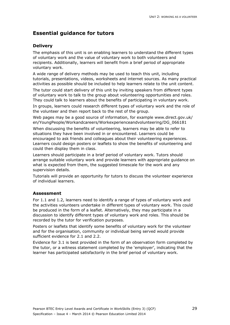## **Delivery**

The emphasis of this unit is on enabling learners to understand the different types of voluntary work and the value of voluntary work to both volunteers and recipients. Additionally, learners will benefit from a brief period of appropriate voluntary work.

A wide range of delivery methods may be used to teach this unit, including tutorials, presentations, videos, worksheets and internet sources. As many practical activities as possible should be included to help learners relate to the unit content.

The tutor could start delivery of this unit by inviting speakers from different types of voluntary work to talk to the group about volunteering opportunities and roles. They could talk to learners about the benefits of participating in voluntary work.

In groups, learners could research different types of voluntary work and the role of the volunteer and then report back to the rest of the group.

Web pages may be a good source of information, for example www.direct.gov.uk/ en/YoungPeople/Workandcareers/Workexperienceandvolunteering/DG\_066181 When discussing the benefits of volunteering, learners may be able to refer to situations they have been involved in or encountered. Learners could be encouraged to ask friends and colleagues about their volunteering experiences. Learners could design posters or leaflets to show the benefits of volunteering and could then display them in class.

Learners should participate in a brief period of voluntary work. Tutors should arrange suitable voluntary work and provide learners with appropriate guidance on what is expected from them, the suggested timescale for the work and any supervision details.

Tutorials will provide an opportunity for tutors to discuss the volunteer experience of individual learners.

## **Assessment**

For 1.1 and 1.2, learners need to identify a range of types of voluntary work and the activities volunteers undertake in different types of voluntary work. This could be produced in the form of a leaflet. Alternatively, they may participate in a discussion to identify different types of voluntary work and roles. This should be recorded by the tutor for verification purposes.

Posters or leaflets that identify some benefits of voluntary work for the volunteer and for the organisation, community or individual being served would provide sufficient evidence for 2.1 and 2.2.

Evidence for 3.1 is best provided in the form of an observation form completed by the tutor, or a witness statement completed by the 'employer', indicating that the learner has participated satisfactorily in the brief period of voluntary work.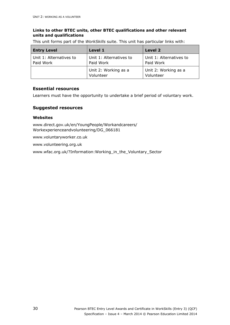## **Links to other BTEC units, other BTEC qualifications and other relevant units and qualifications**

This unit forms part of the *WorkSkills* suite. This unit has particular links with:

| <b>Entry Level</b>                   | Level 1                              | <b>Level 2</b>                       |
|--------------------------------------|--------------------------------------|--------------------------------------|
| Unit 1: Alternatives to<br>Paid Work | Unit 1: Alternatives to<br>Paid Work | Unit 1: Alternatives to<br>Paid Work |
|                                      | Unit 2: Working as a<br>Volunteer    | Unit 2: Working as a<br>Volunteer    |

## **Essential resources**

Learners must have the opportunity to undertake a brief period of voluntary work.

## **Suggested resources**

## **Websites**

www.direct.gov.uk/en/YoungPeople/Workandcareers/ Workexperienceandvolunteering/DG\_066181

www.voluntaryworker.co.uk

www.volunteering.org.uk

www.wfac.org.uk/?Information:Working\_in\_the\_Voluntary\_Sector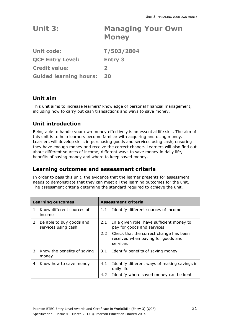| Unit 3:                       | <b>Managing Your Own</b><br><b>Money</b> |
|-------------------------------|------------------------------------------|
| <b>Unit code:</b>             | T/503/2804                               |
| <b>QCF Entry Level:</b>       | <b>Entry 3</b>                           |
| <b>Credit value:</b>          | $\mathbf{z}$                             |
| <b>Guided learning hours:</b> | 20                                       |

# **Unit aim**

This unit aims to increase learners' knowledge of personal financial management, including how to carry out cash transactions and ways to save money.

# **Unit introduction**

Being able to handle your own money effectively is an essential life skill. The aim of this unit is to help learners become familiar with acquiring and using money. Learners will develop skills in purchasing goods and services using cash, ensuring they have enough money and receive the correct change. Learners will also find out about different sources of income, different ways to save money in daily life, benefits of saving money and where to keep saved money.

# **Learning outcomes and assessment criteria**

|    | <b>Learning outcomes</b>                        | <b>Assessment criteria</b> |                                                                                                                                                                     |
|----|-------------------------------------------------|----------------------------|---------------------------------------------------------------------------------------------------------------------------------------------------------------------|
| 1. | Know different sources of<br>income             | 1.1                        | Identify different sources of income                                                                                                                                |
| 2  | Be able to buy goods and<br>services using cash | 2.1<br>$2.2 -$             | In a given role, have sufficient money to<br>pay for goods and services<br>Check that the correct change has been<br>received when paying for goods and<br>services |
| 3  | Know the benefits of saving<br>money            | 3.1                        | Identify benefits of saving money                                                                                                                                   |
| 4  | Know how to save money                          | 4.1                        | Identify different ways of making savings in<br>daily life                                                                                                          |
|    |                                                 | 4.2                        | Identify where saved money can be kept                                                                                                                              |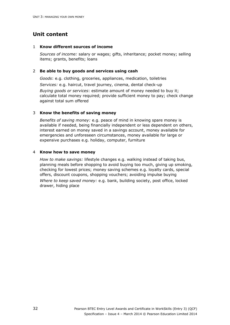#### 1 **Know different sources of income**

*Sources of income:* salary or wages; gifts, inheritance; pocket money; selling items; grants, benefits; loans

## 2 **Be able to buy goods and services using cash**

*Goods*: e.g. clothing, groceries, appliances, medication, toiletries

*Services:* e.g. haircut, travel journey, cinema, dental check-up

*Buying goods or services*: estimate amount of money needed to buy it; calculate total money required; provide sufficient money to pay; check change against total sum offered

## 3 **Know the benefits of saving money**

*Benefits of saving money:* e.g. peace of mind in knowing spare money is available if needed, being financially independent or less dependent on others, interest earned on money saved in a savings account, money available for emergencies and unforeseen circumstances, money available for large or expensive purchases e.g. holiday, computer, furniture

#### 4 **Know how to save money**

*How to make savings:* lifestyle changes e.g. walking instead of taking bus, planning meals before shopping to avoid buying too much, giving up smoking, checking for lowest prices; money saving schemes e.g. loyalty cards, special offers, discount coupons, shopping vouchers; avoiding impulse buying *Where to keep saved money:* e.g. bank, building society, post office, locked drawer, hiding place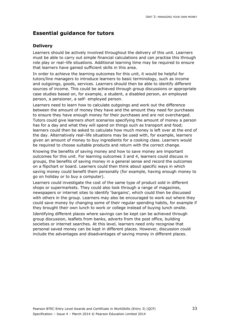## **Delivery**

Learners should be actively involved throughout the delivery of this unit. Learners must be able to carry out simple financial calculations and can practise this through role play or real–life situations. Additional learning time may be required to ensure that learners have gained sufficient skills in this area.

In order to achieve the learning outcomes for this unit, it would be helpful for tutors/line managers to introduce learners to basic terminology, such as income and outgoings, goods, services. Learners should then be able to identify different sources of income. This could be achieved through group discussions or appropriate case studies based on, for example, a student, a disabled person, an employed person, a pensioner, a self- employed person.

Learners need to learn how to calculate outgoings and work out the difference between the amount of money they have and the amount they need for purchases to ensure they have enough money for their purchases and are not overcharged. Tutors could give learners short scenarios specifying the amount of money a person has for a day and what they will spend on things such as transport and food; learners could then be asked to calculate how much money is left over at the end of the day. Alternatively real–life situations may be used with, for example, learners given an amount of money to buy ingredients for a cooking class. Learners would be required to choose suitable products and return with the correct change.

Knowing the benefits of saving money and how to save money are important outcomes for this unit. For learning outcomes 3 and 4, learners could discuss in groups, the benefits of saving money in a general sense and record the outcomes on a flipchart or board. Learners could then think about specific ways in which saving money could benefit them personally (for example, having enough money to go on holiday or to buy a computer).

Learners could investigate the cost of the same type of product sold in different shops or supermarkets. They could also look through a range of magazines, newspapers or internet sites to identify 'bargains', which could then be discussed with others in the group. Learners may also be encouraged to work out where they could save money by changing some of their regular spending habits, for example if they brought their own lunch to work or college instead of buying lunch onsite.

Identifying different places where savings can be kept can be achieved through group discussion, leaflets from banks, adverts from the post office, building societies or internet searches. At this level, learners need only recognise that personal saved money can be kept in different places. However, discussion could include the advantages and disadvantages of saving money in different places.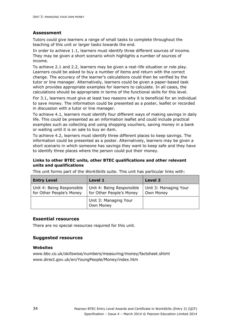## **Assessment**

Tutors could give learners a range of small tasks to complete throughout the teaching of this unit or larger tasks towards the end.

In order to achieve 1.1, learners must identify three different sources of income. They may be given a short scenario which highlights a number of sources of income.

To achieve 2.1 and 2.2, learners may be given a real–life situation or role play. Learners could be asked to buy a number of items and return with the correct change. The accuracy of the learner's calculations could then be verified by the tutor or line manager. Alternatively, learners could be given a paper-based task which provides appropriate examples for learners to calculate. In all cases, the calculations should be appropriate in terms of the functional skills for this level.

For 3.1, learners must give at least two reasons why it is beneficial for an individual to save money. The information could be presented as a poster, leaflet or recorded in discussion with a tutor or line manager.

To achieve 4.1, learners must identify four different ways of making savings in daily life. This could be presented as an information leaflet and could include practical examples such as collecting and using shopping vouchers, saving money in a bank or waiting until it is on sale to buy an item.

To achieve 4.2, learners must identify three different places to keep savings. The information could be presented as a poster. Alternatively, learners may be given a short scenario in which someone has savings they want to keep safe and they have to identify three places where the person could put their money.

## **Links to other BTEC units, other BTEC qualifications and other relevant units and qualifications**

This unit forms part of the *WorkSkills* suite. This unit has particular links with:

| <b>Entry Level</b>                                    | Level 1                                               | <b>Level 2</b>                     |
|-------------------------------------------------------|-------------------------------------------------------|------------------------------------|
| Unit 4: Being Responsible<br>for Other People's Money | Unit 4: Being Responsible<br>for Other People's Money | Unit 3: Managing Your<br>Own Money |
|                                                       | Unit 3: Managing Your<br>Own Money                    |                                    |

## **Essential resources**

There are no special resources required for this unit.

## **Suggested resources**

#### **Websites**

www.bbc.co.uk/skillswise/numbers/measuring/money/factsheet.shtml www.direct.gov.uk/en/YoungPeople/Money/index.htm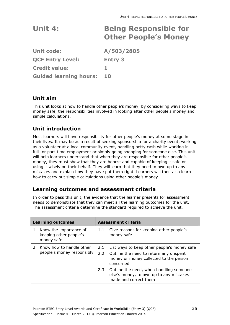| Unit 4:                       | <b>Being Responsible for</b><br><b>Other People's Money</b> |
|-------------------------------|-------------------------------------------------------------|
| <b>Unit code:</b>             | A/503/2805                                                  |
| <b>QCF Entry Level:</b>       | <b>Entry 3</b>                                              |
| <b>Credit value:</b>          | 1.                                                          |
| <b>Guided learning hours:</b> | 10                                                          |
|                               |                                                             |

# **Unit aim**

This unit looks at how to handle other people's money, by considering ways to keep money safe, the responsibilities involved in looking after other people's money and simple calculations.

# **Unit introduction**

Most learners will have responsibility for other people's money at some stage in their lives. It may be as a result of seeking sponsorship for a charity event, working as a volunteer at a local community event, handling petty cash while working in full- or part-time employment or simply going shopping for someone else. This unit will help learners understand that when they are responsible for other people's money, they must show that they are honest and capable of keeping it safe or using it wisely on their behalf. They will learn that they need to own up to any mistakes and explain how they have put them right. Learners will then also learn how to carry out simple calculations using other people's money.

# **Learning outcomes and assessment criteria**

|   | <b>Learning outcomes</b>                                       |                         | <b>Assessment criteria</b>                                                                                                                   |
|---|----------------------------------------------------------------|-------------------------|----------------------------------------------------------------------------------------------------------------------------------------------|
| 1 | Know the importance of<br>keeping other people's<br>money safe | 1.1                     | Give reasons for keeping other people's<br>money safe                                                                                        |
|   | 2 Know how to handle other<br>people's money responsibly       | 2.1<br>2.2 <sub>2</sub> | List ways to keep other people's money safe<br>Outline the need to return any unspent<br>money or money collected to the person<br>concerned |
|   |                                                                | 2.3                     | Outline the need, when handling someone<br>else's money, to own up to any mistakes<br>made and correct them                                  |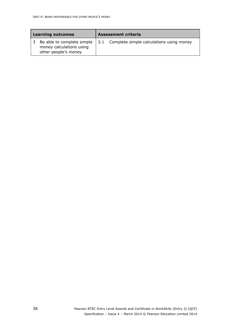| <b>Learning outcomes</b>                                                       |     | <b>Assessment criteria</b>               |
|--------------------------------------------------------------------------------|-----|------------------------------------------|
| Be able to complete simple<br>money calculations using<br>other people's money | 3.1 | Complete simple calculations using money |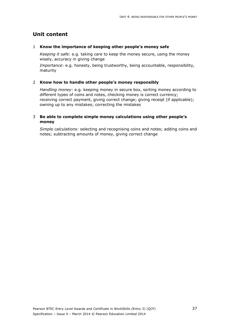#### 1 **Know the importance of keeping other people's money safe**

*Keeping it safe:* e.g. taking care to keep the money secure, using the money wisely, accuracy in giving change

*Importance*: e.g. honesty, being trustworthy, being accountable, responsibility, maturity

#### 2 **Know how to handle other people's money responsibly**

*Handling money*: e.g. keeping money in secure box, sorting money according to different types of coins and notes, checking money is correct currency; receiving correct payment, giving correct change; giving receipt (if applicable); owning up to any mistakes; correcting the mistakes

## 3 **Be able to complete simple money calculations using other people's money**

*Simple calculations*: selecting and recognising coins and notes; adding coins and notes; subtracting amounts of money, giving correct change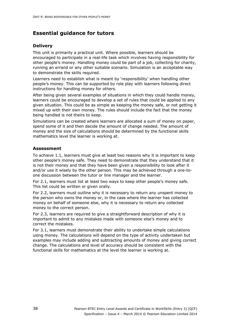## **Delivery**

This unit is primarily a practical unit. Where possible, learners should be encouraged to participate in a real-life task which involves having responsibility for other people's money. Handling money could be part of a job, collecting for charity, running an errand or any other suitable scenario. Simulation is an acceptable way to demonstrate the skills required.

Learners need to establish what is meant by 'responsibility' when handling other people's money. This can be supported by role play with learners following direct instructions for handling money for others.

After being given several examples of situations in which they could handle money, learners could be encouraged to develop a set of rules that could be applied to any given situation. This could be as simple as keeping the money safe, or not getting it mixed up with their own money. The rules should include the fact that the money being handled is not theirs to keep.

Simulations can be created where learners are allocated a sum of money on paper, spend some of it and then decide the amount of change needed. The amount of money and the size of calculations should be determined by the functional skills mathematics level the learner is working at.

# **Assessment**

To achieve 1.1, learners must give at least two reasons why it is important to keep other people's money safe. They need to demonstrate that they understand that it is not their money and that they have been given a responsibility to look after it and/or use it wisely by the other person. This may be achieved through a one-toone discussion between the tutor or line manager and the learner.

For 2.1, learners must list at least two ways to keep other people's money safe. This list could be written or given orally.

For 2.2, learners must outline why it is necessary to return any unspent money to the person who owns the money or, in the case where the learner has collected money on behalf of someone else, why it is necessary to return any collected money to the correct person.

For 2.3, learners are required to give a straightforward description of why it is important to admit to any mistakes made with someone else's money and to correct the mistakes.

For 3.1, learners must demonstrate their ability to undertake simple calculations using money. The calculations will depend on the type of activity undertaken but examples may include adding and subtracting amounts of money and giving correct change. The calculations and level of accuracy should be consistent with the functional skills for mathematics at the level the learner is working at.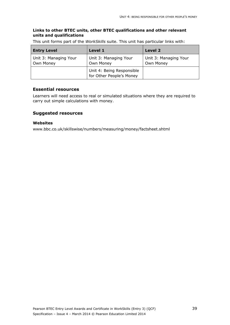## **Links to other BTEC units, other BTEC qualifications and other relevant units and qualifications**

This unit forms part of the *WorkSkills* suite. This unit has particular links with:

| <b>Entry Level</b>                 | Level 1                                               | Level 2                            |
|------------------------------------|-------------------------------------------------------|------------------------------------|
| Unit 3: Managing Your<br>Own Money | Unit 3: Managing Your<br>Own Money                    | Unit 3: Managing Your<br>Own Money |
|                                    | Unit 4: Being Responsible<br>for Other People's Money |                                    |

#### **Essential resources**

Learners will need access to real or simulated situations where they are required to carry out simple calculations with money.

## **Suggested resources**

#### **Websites**

www.bbc.co.uk/skillswise/numbers/measuring/money/factsheet.shtml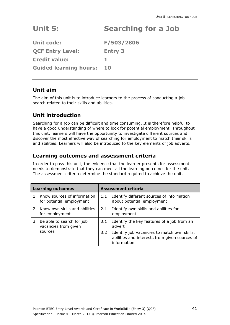# **Unit 5: Searching for a Job**

**Unit code: F/503/2806 QCF Entry Level: Entry 3 Credit value: 1 Guided learning hours: 10** 

# **Unit aim**

The aim of this unit is to introduce learners to the process of conducting a job search related to their skills and abilities.

# **Unit introduction**

Searching for a job can be difficult and time consuming. It is therefore helpful to have a good understanding of where to look for potential employment. Throughout this unit, learners will have the opportunity to investigate different sources and discover the most effective way of searching for employment to match their skills and abilities. Learners will also be introduced to the key elements of job adverts.

# **Learning outcomes and assessment criteria**

|   | <b>Learning outcomes</b>                                |               | <b>Assessment criteria</b>                                                                                  |  |
|---|---------------------------------------------------------|---------------|-------------------------------------------------------------------------------------------------------------|--|
|   | Know sources of information<br>for potential employment | 1.1           | Identify different sources of information<br>about potential employment                                     |  |
|   | 2 Know own skills and abilities<br>for employment       | 2.1           | Identify own skills and abilities for<br>employment                                                         |  |
| 3 | Be able to search for job<br>vacancies from given       | 3.1           | Identify the key features of a job from an<br>advert                                                        |  |
|   | sources                                                 | $3.2^{\circ}$ | Identify job vacancies to match own skills,<br>abilities and interests from given sources of<br>information |  |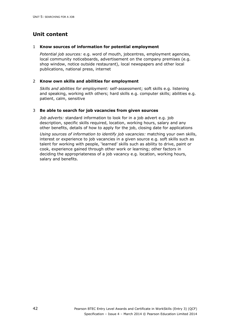#### 1 **Know sources of information for potential employment**

*Potential job sources:* e.g. word of mouth, jobcentres, employment agencies, local community noticeboards, advertisement on the company premises (e.g. shop window, notice outside restaurant), local newspapers and other local publications, national press, internet

#### 2 **Know own skills and abilities for employment**

*Skills and abilities for employment:* self-assessment; soft skills e.g. listening and speaking, working with others; hard skills e.g. computer skills; abilities e.g. patient, calm, sensitive

## 3 **Be able to search for job vacancies from given sources**

*Job adverts:* standard information to look for in a job advert e.g. job description, specific skills required, location, working hours, salary and any other benefits, details of how to apply for the job, closing date for applications *Using sources of information to identify job vacancies:* matching your own skills, interest or experience to job vacancies in a given source e.g. soft skills such as talent for working with people, 'learned' skills such as ability to drive, paint or cook, experience gained through other work or learning; other factors in deciding the appropriateness of a job vacancy e.g. location, working hours, salary and benefits.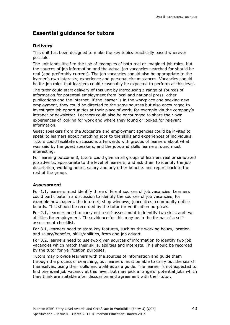# **Delivery**

This unit has been designed to make the key topics practically based wherever possible.

The unit lends itself to the use of examples of both real or imagined job roles, but the sources of job information and the actual job vacancies searched for should be real (and preferably current). The job vacancies should also be appropriate to the learner's own interests, experience and personal circumstances. Vacancies should be for job roles that learners could reasonably be expected to perform at this level.

The tutor could start delivery of this unit by introducing a range of sources of information for potential employment from local and national press, other publications and the internet. If the learner is in the workplace and seeking new employment, they could be directed to the same sources but also encouraged to investigate job opportunities at their place of work, for example via the company's intranet or newsletter. Learners could also be encouraged to share their own experiences of looking for work and where they found or looked for relevant information.

Guest speakers from the Jobcentre and employment agencies could be invited to speak to learners about matching jobs to the skills and experiences of individuals. Tutors could facilitate discussions afterwards with groups of learners about what was said by the guest speakers, and the jobs and skills learners found most interesting.

For learning outcome 3, tutors could give small groups of learners real or simulated job adverts, appropriate to the level of learners, and ask them to identify the job description, working hours, salary and any other benefits and report back to the rest of the group.

## **Assessment**

For 1.1, learners must identify three different sources of job vacancies. Learners could participate in a discussion to identify the sources of job vacancies, for example newspapers, the internet, shop windows, jobcentres, community notice boards. This should be recorded by the tutor for verification purposes.

For 2.1, learners need to carry out a self-assessment to identify two skills and two abilities for employment. The evidence for this may be in the format of a selfassessment checklist.

For 3.1, learners need to state key features, such as the working hours, location and salary/benefits, skills/abilities, from one job advert.

For 3.2, learners need to use two given sources of information to identify two job vacancies which match their skills, abilities and interests. This should be recorded by the tutor for verification purposes.

Tutors may provide learners with the sources of information and guide them through the process of searching, but learners must be able to carry out the search themselves, using their skills and abilities as a guide. The learner is not expected to find one ideal job vacancy at this level, but may pick a range of potential jobs which they think are suitable after discussion and agreement with their tutor.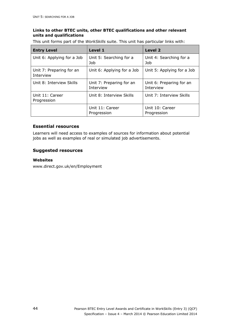## **Links to other BTEC units, other BTEC qualifications and other relevant units and qualifications**

This unit forms part of the *WorkSkills* suite. This unit has particular links with:

| <b>Entry Level</b>                    | Level 1                               | Level 2                               |
|---------------------------------------|---------------------------------------|---------------------------------------|
| Unit 6: Applying for a Job            | Unit 5: Searching for a<br>Job        | Unit 4: Searching for a<br>Job        |
| Unit 7: Preparing for an<br>Interview | Unit 6: Applying for a Job            | Unit 5: Applying for a Job            |
| Unit 8: Interview Skills              | Unit 7: Preparing for an<br>Interview | Unit 6: Preparing for an<br>Interview |
| Unit 11: Career<br>Progression        | Unit 8: Interview Skills              | Unit 7: Interview Skills              |
|                                       | Unit 11: Career<br>Progression        | Unit 10: Career<br>Progression        |

# **Essential resources**

Learners will need access to examples of sources for information about potential jobs as well as examples of real or simulated job advertisements.

## **Suggested resources**

#### **Websites**

www.direct.gov.uk/en/Employment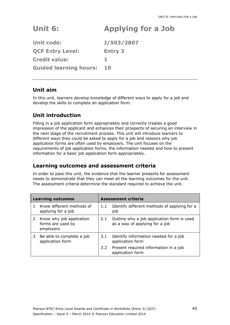# **Unit 6: Applying for a Job**

**Unit code: J/503/2807 QCF Entry Level: Entry 3 Credit value: 1 Guided learning hours: 10** 

# **Unit aim**

In this unit, learners develop knowledge of different ways to apply for a job and develop the skills to complete an application form.

# **Unit introduction**

Filling in a job application form appropriately and correctly creates a good impression of the applicant and enhances their prospects of securing an interview in the next stage of the recruitment process. This unit will introduce learners to different ways they could be asked to apply for a job and reasons why job application forms are often used by employers. The unit focuses on the requirements of job application forms, the information needed and how to present information for a basic job application form appropriately.

# **Learning outcomes and assessment criteria**

|   | <b>Learning outcomes</b>                                   |               | Assessment criteria                                                          |  |
|---|------------------------------------------------------------|---------------|------------------------------------------------------------------------------|--|
|   | Know different methods of<br>applying for a job            | 1.1           | Identify different methods of applying for a<br>job                          |  |
| 2 | Know why job application<br>forms are used by<br>employers | 2.1           | Outline why a job application form is used<br>as a way of applying for a job |  |
| 3 | Be able to complete a job<br>application form              | 3.1           | Identify information needed for a job<br>application form                    |  |
|   |                                                            | $3.2^{\circ}$ | Present required information in a job<br>application form                    |  |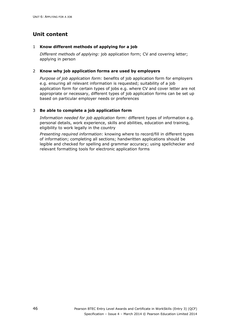## 1 **Know different methods of applying for a job**

*Different methods of applying:* job application form; CV and covering letter; applying in person

## 2 **Know why job application forms are used by employers**

*Purpose of job application form:* benefits of job application form for employers e.g. ensuring all relevant information is requested; suitability of a job application form for certain types of jobs e.g. where CV and cover letter are not appropriate or necessary, different types of job application forms can be set up based on particular employer needs or preferences

## 3 **Be able to complete a job application form**

*Information needed for job application form:* different types of information e.g. personal details, work experience, skills and abilities, education and training, eligibility to work legally in the country

*Presenting required information*: knowing where to record/fill in different types of information; completing all sections; handwritten applications should be legible and checked for spelling and grammar accuracy; using spellchecker and relevant formatting tools for electronic application forms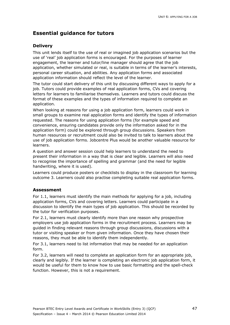# **Delivery**

This unit lends itself to the use of real or imagined job application scenarios but the use of 'real' job application forms is encouraged. For the purposes of learner engagement, the learner and tutor/line manager should agree that the job application, whether simulated or real, is suitable in terms of the learner's interests, personal career situation, and abilities. Any application forms and associated application information should reflect the level of the learner.

The tutor could start delivery of this unit by discussing different ways to apply for a job. Tutors could provide examples of real application forms, CVs and covering letters for learners to familiarise themselves. Learners and tutors could discuss the format of these examples and the types of information required to complete an application.

When looking at reasons for using a job application form, learners could work in small groups to examine real application forms and identify the types of information requested. The reasons for using application forms (for example speed and convenience, ensuring candidates provide only the information asked for in the application form) could be explored through group discussions. Speakers from human resources or recruitment could also be invited to talk to learners about the use of job application forms. Jobcentre Plus would be another valuable resource for learners.

A question and answer session could help learners to understand the need to present their information in a way that is clear and legible. Learners will also need to recognise the importance of spelling and grammar (and the need for legible handwriting, where it is used).

Learners could produce posters or checklists to display in the classroom for learning outcome 3. Learners could also practise completing suitable real application forms.

## **Assessment**

For 1.1, learners must identify the main methods for applying for a job, including application forms, CVs and covering letters. Learners could participate in a discussion to identify the main types of job application. This should be recorded by the tutor for verification purposes.

For 2.1, learners must clearly identify more than one reason why prospective employers use job application forms in the recruitment process. Learners may be guided in finding relevant reasons through group discussions, discussions with a tutor or visiting speaker or from given information. Once they have chosen their reasons, they must be able to identify them independently.

For 3.1, learners need to list information that may be needed for an application form.

For 3.2, learners will need to complete an application form for an appropriate job, clearly and legibly. If the learner is completing an electronic job application form, it would be useful for them to know how to use basic formatting and the spell-check function. However, this is not a requirement.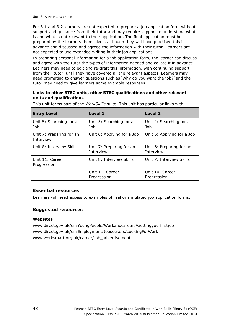For 3.1 and 3.2 learners are not expected to prepare a job application form without support and guidance from their tutor and may require support to understand what is and what is not relevant to their application. The final application must be prepared by the learners themselves, although they will have practised this in advance and discussed and agreed the information with their tutor. Learners are not expected to use extended writing in their job applications.

In preparing personal information for a job application form, the learner can discuss and agree with the tutor the types of information needed and collate it in advance. Learners may need to edit and re-draft this information, with continuing support from their tutor, until they have covered all the relevant aspects. Learners may need prompting to answer questions such as 'Why do you want the job?' and the tutor may need to give learners some example responses.

## **Links to other BTEC units, other BTEC qualifications and other relevant units and qualifications**

| <b>Entry Level</b>                                         | Level 1                               | <b>Level 2</b>                        |
|------------------------------------------------------------|---------------------------------------|---------------------------------------|
| Unit 5: Searching for a<br>Job                             | Unit 5: Searching for a<br>Job        | Unit 4: Searching for a<br>Job        |
| Unit 7: Preparing for an<br>Interview                      | Unit 6: Applying for a Job            | Unit 5: Applying for a Job            |
| Unit 8: Interview Skills                                   | Unit 7: Preparing for an<br>Interview | Unit 6: Preparing for an<br>Interview |
| Unit 8: Interview Skills<br>Unit 11: Career<br>Progression |                                       | Unit 7: Interview Skills              |
|                                                            | Unit 11: Career<br>Progression        | Unit 10: Career<br>Progression        |

This unit forms part of the *WorkSkills* suite. This unit has particular links with:

## **Essential resources**

Learners will need access to examples of real or simulated job application forms.

## **Suggested resources**

## **Websites**

www.direct.gov.uk/en/YoungPeople/Workandcareers/Gettingyourfirstjob www.direct.gov.uk/en/Employment/Jobseekers/LookingForWork www.worksmart.org.uk/career/job\_advertisements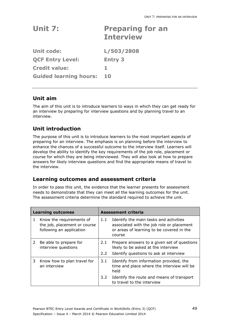| Unit 7:                       | <b>Preparing for an</b><br><b>Interview</b> |
|-------------------------------|---------------------------------------------|
| <b>Unit code:</b>             | L/503/2808                                  |
| <b>QCF Entry Level:</b>       | <b>Entry 3</b>                              |
| <b>Credit value:</b>          | 1.                                          |
| <b>Guided learning hours:</b> | 10                                          |

# **Unit aim**

The aim of this unit is to introduce learners to ways in which they can get ready for an interview by preparing for interview questions and by planning travel to an interview.

# **Unit introduction**

The purpose of this unit is to introduce learners to the most important aspects of preparing for an interview. The emphasis is on planning before the interview to enhance the chances of a successful outcome to the interview itself. Learners will develop the ability to identify the key requirements of the job role, placement or course for which they are being interviewed. They will also look at how to prepare answers for likely interview questions and find the appropriate means of travel to the interview.

# **Learning outcomes and assessment criteria**

|   | <b>Learning outcomes</b>                                                             |     | <b>Assessment criteria</b>                                                                                                                 |
|---|--------------------------------------------------------------------------------------|-----|--------------------------------------------------------------------------------------------------------------------------------------------|
| 1 | Know the requirements of<br>the job, placement or course<br>following an application | 1.1 | Identify the main tasks and activities<br>associated with the job role or placement<br>or areas of learning to be covered in the<br>course |
| 2 | Be able to prepare for<br>interview questions                                        | 2.1 | Prepare answers to a given set of questions<br>likely to be asked at the interview                                                         |
|   |                                                                                      | 2.2 | Identify questions to ask at interview                                                                                                     |
| 3 | Know how to plan travel for<br>an interview                                          | 3.1 | Identify from information provided, the<br>time and place where the interview will be<br>held                                              |
|   |                                                                                      | 3.2 | Identify the route and means of transport<br>to travel to the interview                                                                    |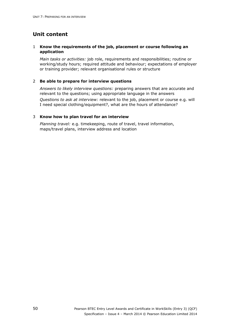## 1 **Know the requirements of the job, placement or course following an application**

*Main tasks or activities:* job role, requirements and responsibilities; routine or working/study hours; required attitude and behaviour; expectations of employer or training provider; relevant organisational rules or structure

#### 2 **Be able to prepare for interview questions**

*Answers to likely interview questions:* preparing answers that are accurate and relevant to the questions; using appropriate language in the answers *Questions to ask at interview:* relevant to the job, placement or course e.g. will I need special clothing/equipment?, what are the hours of attendance?

#### 3 **Know how to plan travel for an interview**

*Planning travel:* e.g. timekeeping, route of travel, travel information, maps/travel plans, interview address and location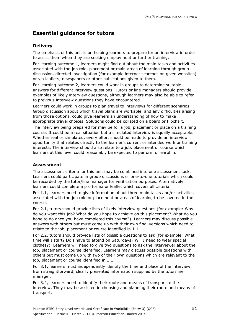# **Delivery**

The emphasis of this unit is on helping learners to prepare for an interview in order to assist them when they are seeking employment or further training.

For learning outcome 1, learners might find out about the main tasks and activities associated with the job role, placement or main areas of learning through group discussion, directed investigation (for example internet searches on given websites) or via leaflets, newspapers or other publications given to them.

For learning outcome 2, learners could work in groups to determine suitable answers for different interview questions. Tutors or line managers should provide examples of likely interview questions, although learners may also be able to refer to previous interview questions they have encountered.

Learners could work in groups to plan travel to interviews for different scenarios. Group discussion about which travel plans are workable, and any difficulties arising from those options, could give learners an understanding of how to make appropriate travel choices. Solutions could be collated on a board or flipchart.

The interview being prepared for may be for a job, placement or place on a training course. It could be a real situation but a simulated interview is equally acceptable. Whether real or simulated, every effort should be made to provide an interview opportunity that relates directly to the learner's current or intended work or training interests. The interview should also relate to a job, placement or course which learners at this level could reasonably be expected to perform or enrol in.

## **Assessment**

The assessment criteria for this unit may be combined into one assessment task. Learners could participate in group discussions or one-to-one tutorials which could be recorded by the tutor/line manager for verification purposes. Alternatively, learners could complete a pro forma or leaflet which covers all criteria.

For 1.1, learners need to give information about three main tasks and/or activities associated with the job role or placement or areas of learning to be covered in the course.

For 2.1, tutors should provide lists of likely interview questions (for example: Why do you want this job? What do you hope to achieve on this placement? What do you hope to do once you have completed this course?). Learners may discuss possible answers with others but must come up with their own final versions which need to relate to the job, placement or course identified in 1.1.

For 2.2, tutors should provide lists of possible questions to ask (for example: What time will I start? Do I have to attend on Saturdays? Will I need to wear special clothes?). Learners will need to give two questions to ask the interviewer about the job, placement or course identified. Learners may discuss possible questions with others but must come up with two of their own questions which are relevant to the job, placement or course identified in 1.1.

For 3.1, learners must independently identify the time and place of the interview from straightforward, clearly presented information supplied by the tutor/line manager.

For 3.2, learners need to identify their route and means of transport to the interview. They may be assisted in choosing and planning their route and means of transport.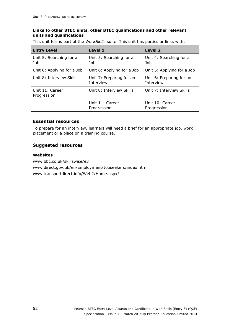## **Links to other BTEC units, other BTEC qualifications and other relevant units and qualifications**

This unit forms part of the *WorkSkills* suite. This unit has particular links with:

| <b>Entry Level</b>             | Level 1                               | <b>Level 2</b>                        |
|--------------------------------|---------------------------------------|---------------------------------------|
| Unit 5: Searching for a<br>Job | Unit 5: Searching for a<br>Job        | Unit 4: Searching for a<br>Job        |
| Unit 6: Applying for a Job     | Unit 6: Applying for a Job            | Unit 5: Applying for a Job            |
| Unit 8: Interview Skills       | Unit 7: Preparing for an<br>Interview | Unit 6: Preparing for an<br>Interview |
| Unit 11: Career<br>Progression | Unit 8: Interview Skills              | Unit 7: Interview Skills              |
|                                | Unit 11: Career<br>Progression        | Unit 10: Career<br>Progression        |

## **Essential resources**

To prepare for an interview, learners will need a brief for an appropriate job, work placement or a place on a training course.

## **Suggested resources**

## **Websites**

www.bbc.co.uk/skillswise/e3 www.direct.gov.uk/en/Employment/Jobseekers/index.htm www.transportdirect.info/Web2/Home.aspx?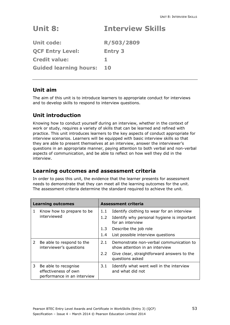# **Unit 8: Interview Skills**

| <b>Unit code:</b>             | R/503/2809     |
|-------------------------------|----------------|
| <b>QCF Entry Level:</b>       | <b>Entry 3</b> |
| <b>Credit value:</b>          |                |
| <b>Guided learning hours:</b> | 10             |

# **Unit aim**

The aim of this unit is to introduce learners to appropriate conduct for interviews and to develop skills to respond to interview questions.

# **Unit introduction**

Knowing how to conduct yourself during an interview, whether in the context of work or study, requires a variety of skills that can be learned and refined with practice. This unit introduces learners to the key aspects of conduct appropriate for interview scenarios. Learners will be equipped with basic interview skills so that they are able to present themselves at an interview, answer the interviewer's questions in an appropriate manner, paying attention to both verbal and non-verbal aspects of communication, and be able to reflect on how well they did in the interview.

# **Learning outcomes and assessment criteria**

|                | <b>Learning outcomes</b>                                                    |               | <b>Assessment criteria</b>                                                |
|----------------|-----------------------------------------------------------------------------|---------------|---------------------------------------------------------------------------|
| 1              | Know how to prepare to be                                                   | 1.1           | Identify clothing to wear for an interview                                |
|                | interviewed                                                                 | 1.2           | Identify why personal hygiene is important<br>for an interview            |
|                |                                                                             | 1.3           | Describe the job role                                                     |
|                |                                                                             | 1.4           | List possible interview questions                                         |
| $\overline{2}$ | Be able to respond to the<br>interviewer's questions                        | 2.1           | Demonstrate non-verbal communication to<br>show attention in an interview |
|                |                                                                             | $2.2^{\circ}$ | Give clear, straightforward answers to the<br>questions asked             |
| 3.             | Be able to recognise<br>effectiveness of own<br>performance in an interview | 3.1           | Identify what went well in the interview<br>and what did not              |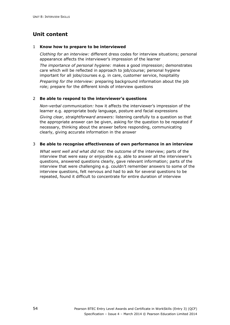#### 1 **Know how to prepare to be interviewed**

*Clothing for an interview:* different dress codes for interview situations; personal appearance affects the interviewer's impression of the learner

*The importance of personal hygiene:* makes a good impression; demonstrates care which will be reflected in approach to job/course; personal hygiene important for all jobs/courses e.g. in care, customer service, hospitality

*Preparing for the interview:* preparing background information about the job role; prepare for the different kinds of interview questions

#### 2 **Be able to respond to the interviewer's questions**

*Non-verbal communication:* how it affects the interviewer's impression of the learner e.g. appropriate body language, posture and facial expressions *Giving clear, straightforward answers:* listening carefully to a question so that the appropriate answer can be given, asking for the question to be repeated if necessary, thinking about the answer before responding, communicating clearly, giving accurate information in the answer

#### 3 **Be able to recognise effectiveness of own performance in an interview**

*What went well and what did not:* the outcome of the interview; parts of the interview that were easy or enjoyable e.g. able to answer all the interviewer's questions, answered questions clearly, gave relevant information; parts of the interview that were challenging e.g. couldn't remember answers to some of the interview questions, felt nervous and had to ask for several questions to be repeated, found it difficult to concentrate for entire duration of interview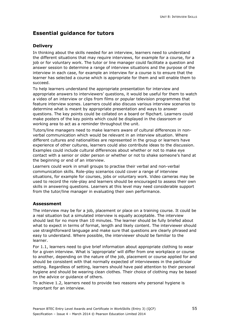# **Delivery**

In thinking about the skills needed for an interview, learners need to understand the different situations that may require interviews, for example for a course, for a job or for voluntary work. The tutor or line manager could facilitate a question and answer session to determine a range of interview situations and the purpose of the interview in each case, for example an interview for a course is to ensure that the learner has selected a course which is appropriate for them and will enable them to succeed.

To help learners understand the appropriate presentation for interview and appropriate answers to interviewers' questions, it would be useful for them to watch a video of an interview or clips from films or popular television programmes that feature interview scenes. Learners could also discuss various interview scenarios to determine what is meant by appropriate presentation and ways to answer questions. The key points could be collated on a board or flipchart. Learners could make posters of the key points which could be displayed in the classroom or working area to act as a reminder throughout the unit.

Tutors/line managers need to make learners aware of cultural differences in nonverbal communication which would be relevant in an interview situation. Where different cultures and nationalities are represented in the group or learners have experience of other cultures, learners could also contribute ideas to the discussion. Examples could include cultural differences about whether or not to make eye contact with a senior or older person or whether or not to shake someone's hand at the beginning or end of an interview.

Learners could work in small groups to practise their verbal and non-verbal communication skills. Role-play scenarios could cover a range of interview situations, for example for courses, jobs or voluntary work. Video cameras may be used to record the role-play and learners should be encouraged to assess their own skills in answering questions. Learners at this level may need considerable support from the tutor/line manager in evaluating their own performance.

## **Assessment**

The interview may be for a job, placement or place on a training course. It could be a real situation but a simulated interview is equally acceptable. The interview should last for no more than 10 minutes. The learner should be fully briefed about what to expect in terms of format, length and likely content. The interviewer should use straightforward language and make sure that questions are clearly phrased and easy to understand. Where possible, the interviewer should be familiar to the learner.

For 1.1, learners need to give brief information about appropriate clothing to wear for a given interview. What is 'appropriate' will differ from one workplace or course to another, depending on the nature of the job, placement or course applied for and should be consistent with that normally expected of interviewees in the particular setting. Regardless of setting, learners should have paid attention to their personal hygiene and should be wearing clean clothes. Their choice of clothing may be based on the advice or guidance of others.

To achieve 1.2, learners need to provide two reasons why personal hygiene is important for an interview.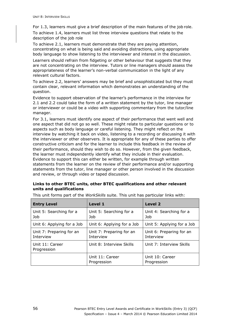For 1.3, learners must give a brief description of the main features of the job role.

To achieve 1.4, learners must list three interview questions that relate to the description of the job role

To achieve 2.1, learners must demonstrate that they are paying attention, concentrating on what is being said and avoiding distractions, using appropriate body language to show listening to the interviewer and interest in the discussion.

Learners should refrain from fidgeting or other behaviour that suggests that they are not concentrating on the interview. Tutors or line managers should assess the appropriateness of the learner's non-verbal communication in the light of any relevant cultural factors.

To achieve 2.2, learners' answers may be brief and unsophisticated but they must contain clear, relevant information which demonstrates an understanding of the question.

Evidence to support observation of the learner's performance in the interview for 2.1 and 2.2 could take the form of a written statement by the tutor, line manager or interviewer or could be a video with supporting commentary from the tutor/line manager.

For 3.1, learners must identify one aspect of their performance that went well and one aspect that did not go so well. These might relate to particular questions or to aspects such as body language or careful listening. They might reflect on the interview by watching it back on video, listening to a recording or discussing it with the interviewer or other observers. It is appropriate for any of these parties to offer constructive criticism and for the learner to include this feedback in the review of their performance, should they wish to do so. However, from the given feedback, the learner must independently identify what they include in their evaluation. Evidence to support this can either be written, for example through written statements from the learner on the review of their performance and/or supporting statements from the tutor, line manager or other person involved in the discussion and review, or through video or taped discussion.

## **Links to other BTEC units, other BTEC qualifications and other relevant units and qualifications**

| <b>Entry Level</b>                                         | Level 1                                                  | <b>Level 2</b>                        |
|------------------------------------------------------------|----------------------------------------------------------|---------------------------------------|
| Unit 5: Searching for a<br>Job                             | Unit 5: Searching for a<br>Job                           | Unit 4: Searching for a<br>Job        |
| Unit 6: Applying for a Job                                 | Unit 6: Applying for a Job<br>Unit 5: Applying for a Job |                                       |
| Unit 7: Preparing for an<br>Interview                      | Unit 7: Preparing for an<br>Interview                    | Unit 6: Preparing for an<br>Interview |
| Unit 8: Interview Skills<br>Unit 11: Career<br>Progression |                                                          | Unit 7: Interview Skills              |
|                                                            | Unit 11: Career<br>Progression                           | Unit 10: Career<br>Progression        |

This unit forms part of the *WorkSkills* suite. This unit has particular links with: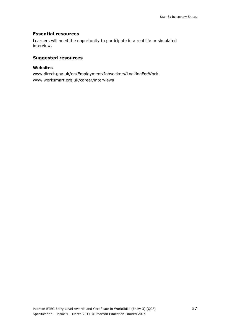## **Essential resources**

Learners will need the opportunity to participate in a real life or simulated interview.

## **Suggested resources**

#### **Websites**

www.direct.gov.uk/en/Employment/Jobseekers/LookingForWork www.worksmart.org.uk/career/interviews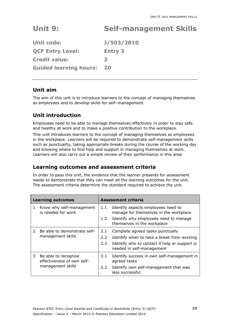# **Unit 9: Self-management Skills**

| <b>Unit code:</b>             | <b>J/503/2810</b> |
|-------------------------------|-------------------|
| <b>QCF Entry Level:</b>       | <b>Entry 3</b>    |
| <b>Credit value:</b>          | $\mathbf{z}$      |
| <b>Guided learning hours:</b> | 20                |

# **Unit aim**

The aim of this unit is to introduce learners to the concept of managing themselves as employees and to develop skills for self–management.

# **Unit introduction**

Employees need to be able to manage themselves effectively in order to stay safe and healthy at work and to make a positive contribution to the workplace.

This unit introduces learners to the concept of managing themselves as employees in the workplace. Learners will be required to demonstrate self-management skills such as punctuality, taking appropriate breaks during the course of the working day and knowing where to find help and support in managing themselves at work. Learners will also carry out a simple review of their performance in this area.

# **Learning outcomes and assessment criteria**

|               | <b>Learning outcomes</b>                                                |                      | <b>Assessment criteria</b>                                                                                                                                   |
|---------------|-------------------------------------------------------------------------|----------------------|--------------------------------------------------------------------------------------------------------------------------------------------------------------|
| 1             | Know why self-management<br>is needed for work                          | 1.1<br>$1.2^{\circ}$ | Identify aspects employees need to<br>manage for themselves in the workplace<br>Identify why employees need to manage<br>themselves in the workplace         |
| $\mathcal{P}$ | Be able to demonstrate self-<br>management skills                       | 2.1<br>2.2<br>2.3    | Complete agreed tasks punctually<br>Identify when to take a break from working<br>Identify who to contact if help or support is<br>needed in self-management |
| 3             | Be able to recognise<br>effectiveness of own self-<br>management skills | 3.1<br>3.2           | Identify success in own self-management in<br>agreed tasks<br>Identify own self-management that was<br>less successful                                       |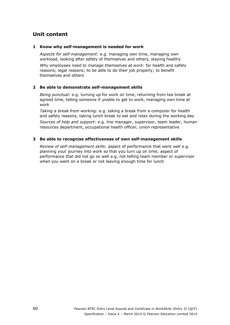#### **1 Know why self-management is needed for work**

*Aspects for self-management:* e.g. managing own time, managing own workload, looking after safety of themselves and others, staying healthy

*Why employees need to manage themselves at work:* for health and safety reasons; legal reasons; to be able to do their job properly; to benefit themselves and others

## **2 Be able to demonstrate self-management skills**

*Being punctual*: e.g. turning up for work on time, returning from tea break at agreed time, telling someone if unable to get to work, managing own time at work

*Taking a break from working:* e.g. taking a break from a computer for health and safety reasons, taking lunch break to eat and relax during the working day

*Sources of help and support:* e.g. line manager, supervisor, team leader, human resources department, occupational health officer, union representative

## **3 Be able to recognise effectiveness of own self-management skills**

*Review of self-management skills*: aspect of performance that went well e.g. planning your journey into work so that you turn up on time; aspect of performance that did not go so well e.g. not telling team member or supervisor when you went on a break or not leaving enough time for lunch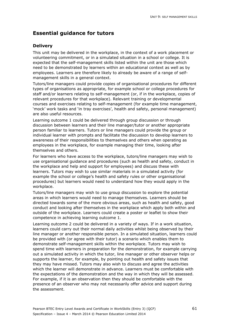## **Delivery**

This unit may be delivered in the workplace, in the context of a work placement or volunteering commitment, or in a simulated situation in a school or college. It is expected that the self-management skills listed within the unit are those which need to be demonstrated by learners within an educational context as well as by employees. Learners are therefore likely to already be aware of a range of selfmanagement skills in a general context.

Tutors/line managers could provide copies of organisational procedures for different types of organisations as appropriate, for example school or college procedures for staff and/or learners relating to self-management (or, if in the workplace, copies of relevant procedures for that workplace). Relevant training or developmental courses and exercises relating to self-management (for example time management, 'mock' work tasks and 'in tray exercises', health and safety, personal management) are also useful resources.

Learning outcome 1 could be delivered through group discussion or through discussion between learners and their line manager/tutor or another appropriate person familiar to learners. Tutors or line managers could provide the group or individual learner with prompts and facilitate the discussion to develop learners to awareness of their responsibilities to themselves and others when operating as employees in the workplace, for example managing their time, looking after themselves and others.

For learners who have access to the workplace, tutors/line managers may wish to use organisational guidance and procedures (such as health and safety, conduct in the workplace and help and support for employees) and discuss these with learners. Tutors may wish to use similar materials in a simulated activity (for example the school or college's health and safety rules or other organisational procedures) but learners would need to understand how they would apply in the workplace.

Tutors/line managers may wish to use group discussion to explore the potential areas in which learners would need to manage themselves. Learners should be directed towards some of the more obvious areas, such as health and safety, good conduct and looking after themselves in the workplace which apply both within and outside of the workplace. Learners could create a poster or leaflet to show their competence in achieving learning outcome 1.

Learning outcome 2 could be delivered in a variety of ways. If in a work situation, learners could carry out their normal daily activities whilst being observed by their line manager or another responsible person. In a simulated situation, learners could be provided with (or agree with their tutor) a scenario which enables them to demonstrate self-management skills within the workplace. Tutors may wish to spend time with learners in preparation for the demonstration, for example carrying out a simulated activity in which the tutor, line manager or other observer helps or supports the learner, for example, by pointing out health and safety issues that they may have missed. Tutors may also wish to discuss and agree the activities which the learner will demonstrate in advance. Learners must be comfortable with the expectations of the demonstration and the way in which they will be assessed. For example, if it is an observation then they should be comfortable with the presence of an observer who may not necessarily offer advice and support during the assessment.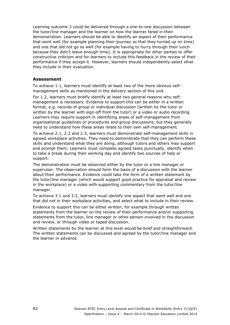Learning outcome 3 could be delivered through a one-to-one discussion between the tutor/line manager and the learner on how the learner fared in their demonstration. Learners should be able to identify an aspect of their performance that went well (for example planning their journey so that they turned up on time) and one that did not go so well (for example having to hurry through their lunch because they didn't leave enough time). It is appropriate for other parties to offer constructive criticism and for learners to include this feedback in the review of their performance if they accept it. However, learners should independently select what they include in their evaluation.

## **Assessment**

To achieve 1.1, learners must identify at least two of the more obvious selfmanagement skills as mentioned in the delivery section of this unit.

For 1.2, learners must briefly identify at least two general reasons why selfmanagement is necessary. Evidence to support this can be either in a written format, e.g. records of group or individual discussion (written by the tutor or written by the learner with sign-off from the tutor) or a video or audio recording. Learners may require support in identifying areas of self-management from organisational guidelines or procedures and group discussions, but they generally need to understand how these areas relate to their own self-management.

To achieve 2.1, 2.2 and 2.3, learners must demonstrate self-management skills in agreed workplace activities. They need to demonstrate that they can perform these skills and understand what they are doing, although tutors and others may support and prompt them. Learners must complete agreed tasks punctually, identify when to take a break during their working day and identify two sources of help or support.

The demonstration must be observed either by the tutor or a line manager or supervisor. The observation should form the basis of a discussion with the learner about their performance. Evidence could take the form of a written statement by the tutor/line manager (which would support good practice for appraisal and review in the workplace) or a video with supporting commentary from the tutor/line manager.

To achieve 3.1 and 3.2, learners must identify one aspect that went well and one that did not in their workplace activities, and select what to include in their review.

Evidence to support this can be either written, for example through written statements from the learner on the review of their performance and/or supporting statements from the tutor, line manager or other person involved in the discussion and review, or through video or taped discussion.

Written statements by the learner at this level would be brief and straightforward. The written statements can be discussed and agreed by the tutor/line manager and the learner in advance.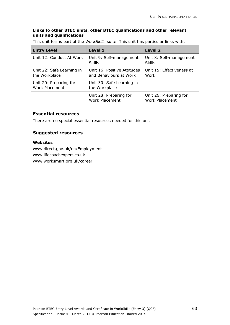## **Links to other BTEC units, other BTEC qualifications and other relevant units and qualifications**

This unit forms part of the *WorkSkills* suite. This unit has particular links with:

| <b>Entry Level</b>                              | Level 1                                               | Level 2                                  |
|-------------------------------------------------|-------------------------------------------------------|------------------------------------------|
| Unit 12: Conduct At Work                        | Unit 9: Self-management<br><b>Skills</b>              | Unit 8: Self-management<br><b>Skills</b> |
| Unit 22: Safe Learning in<br>the Workplace      | Unit 16: Positive Attitudes<br>and Behaviours at Work | Unit 15: Effectiveness at<br>Work        |
| Unit 20: Preparing for<br><b>Work Placement</b> | Unit 30: Safe Learning in<br>the Workplace            |                                          |
|                                                 | Unit 28: Preparing for<br><b>Work Placement</b>       | Unit 26: Preparing for<br>Work Placement |

#### **Essential resources**

There are no special essential resources needed for this unit.

## **Suggested resources**

## **Websites**

www.direct.gov.uk/en/Employment www.lifecoachexpert.co.uk www.worksmart.org.uk/career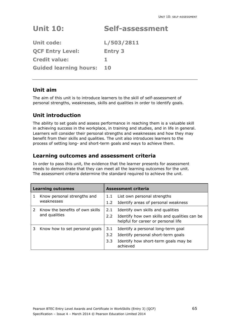# **Unit 10: Self-assessment**

**Unit code: L/503/2811 QCF Entry Level: Entry 3 Credit value: 1 Guided learning hours: 10** 

### **Unit aim**

The aim of this unit is to introduce learners to the skill of self-assessment of personal strengths, weaknesses, skills and qualities in order to identify goals.

# **Unit introduction**

The ability to set goals and assess performance in reaching them is a valuable skill in achieving success in the workplace, in training and studies, and in life in general. Learners will consider their personal strengths and weaknesses and how they may benefit from their skills and qualities. The unit also introduces learners to the process of setting long- and short-term goals and ways to achieve them.

### **Learning outcomes and assessment criteria**

| <b>Learning outcomes</b>            |                                                  | Assessment criteria  |                                                                                                                              |  |
|-------------------------------------|--------------------------------------------------|----------------------|------------------------------------------------------------------------------------------------------------------------------|--|
|                                     | Know personal strengths and<br>weaknesses        | 1.1<br>1.2           | List own personal strengths<br>Identify areas of personal weakness                                                           |  |
|                                     | Know the benefits of own skills<br>and qualities | 2.1<br>$2.2^{\circ}$ | Identify own skills and qualities<br>Identify how own skills and qualities can be<br>helpful for career or personal life     |  |
| Know how to set personal goals<br>3 |                                                  | 3.1<br>3.2<br>3.3    | Identify a personal long-term goal<br>Identify personal short-term goals<br>Identify how short-term goals may be<br>achieved |  |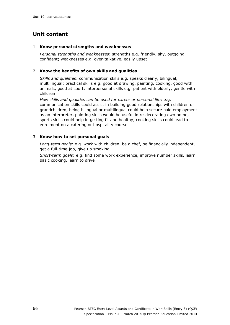#### 1 **Know personal strengths and weaknesses**

*Personal strengths and weaknesses*: strengths e.g. friendly, shy, outgoing, confident; weaknesses e.g. over-talkative, easily upset

#### 2 **Know the benefits of own skills and qualities**

*Skills and qualities*: communication skills e.g. speaks clearly, bilingual, multilingual; practical skills e.g. good at drawing, painting, cooking, good with animals, good at sport; interpersonal skills e.g. patient with elderly, gentle with children

*How skills and qualities can be used for career or personal life*: e.g. communication skills could assist in building good relationships with children or grandchildren, being bilingual or multilingual could help secure paid employment as an interpreter, painting skills would be useful in re-decorating own home, sports skills could help in getting fit and healthy, cooking skills could lead to enrolment on a catering or hospitality course

#### 3 **Know how to set personal goals**

*Long-term goals*: e.g. work with children, be a chef, be financially independent, get a full-time job, give up smoking

*Short-term goals*: e.g. find some work experience, improve number skills, learn basic cooking, learn to drive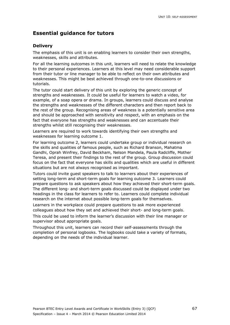#### **Delivery**

The emphasis of this unit is on enabling learners to consider their own strengths, weaknesses, skills and attributes.

For all the learning outcomes in this unit, learners will need to relate the knowledge to their personal experiences. Learners at this level may need considerable support from their tutor or line manager to be able to reflect on their own attributes and weaknesses. This might be best achieved through one-to-one discussions or tutorials.

The tutor could start delivery of this unit by exploring the generic concept of strengths and weaknesses. It could be useful for learners to watch a video, for example, of a soap opera or drama. In groups, learners could discuss and analyse the strengths and weaknesses of the different characters and then report back to the rest of the group. Recognising areas of weakness is a potentially sensitive area and should be approached with sensitivity and respect, with an emphasis on the fact that everyone has strengths and weaknesses and can accentuate their strengths whilst still recognising their weaknesses.

Learners are required to work towards identifying their own strengths and weaknesses for learning outcome 1.

For learning outcome 2, learners could undertake group or individual research on the skills and qualities of famous people, such as Richard Branson, Mahatma Gandhi, Oprah Winfrey, David Beckham, Nelson Mandela, Paula Radcliffe, Mother Teresa, and present their findings to the rest of the group. Group discussion could focus on the fact that everyone has skills and qualities which are useful in different situations but are not always recognised as important.

Tutors could invite guest speakers to talk to learners about their experiences of setting long-term and short-term goals for learning outcome 3. Learners could prepare questions to ask speakers about how they achieved their short-term goals. The different long- and short-term goals discussed could be displayed under two headings in the class for learners to refer to. Learners could complete individual research on the internet about possible long-term goals for themselves.

Learners in the workplace could prepare questions to ask more experienced colleagues about how they set and achieved their short- and long-term goals.

This could be used to inform the learner's discussion with their line manager or supervisor about appropriate goals.

Throughout this unit, learners can record their self-assessments through the completion of personal logbooks. The logbooks could take a variety of formats, depending on the needs of the individual learner.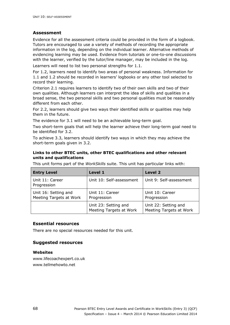#### **Assessment**

Evidence for all the assessment criteria could be provided in the form of a logbook. Tutors are encouraged to use a variety of methods of recording the appropriate information in the log, depending on the individual learner. Alternative methods of evidencing learning may be used. Evidence from tutorials or one-to-one discussions with the learner, verified by the tutor/line manager, may be included in the log.

Learners will need to list two personal strengths for 1.1.

For 1.2, learners need to identify two areas of personal weakness. Information for 1.1 and 1.2 should be recorded in learners' logbooks or any other tool selected to record their learning.

Criterion 2.1 requires learners to identify two of their own skills and two of their own qualities. Although learners can interpret the idea of skills and qualities in a broad sense, the two personal skills and two personal qualities must be reasonably different from each other.

For 2.2, learners should give two ways their identified skills or qualities may help them in the future.

The evidence for 3.1 will need to be an achievable long-term goal.

Two short-term goals that will help the learner achieve their long-term goal need to be identified for 3.2.

To achieve 3.3, learners should identify two ways in which they may achieve the short-term goals given in 3.2.

#### **Links to other BTEC units, other BTEC qualifications and other relevant units and qualifications**

This unit forms part of the *WorkSkills* suite. This unit has particular links with:

| <b>Entry Level</b>                              | Level 1                                         | Level 2                                         |
|-------------------------------------------------|-------------------------------------------------|-------------------------------------------------|
| Unit 11: Career<br>Progression                  | Unit 10: Self-assessment                        | Unit 9: Self-assessment                         |
| Unit 16: Setting and<br>Meeting Targets at Work | Unit 11: Career<br>Progression                  | Unit 10: Career<br>Progression                  |
|                                                 | Unit 23: Setting and<br>Meeting Targets at Work | Unit 22: Setting and<br>Meeting Targets at Work |

#### **Essential resources**

There are no special resources needed for this unit.

#### **Suggested resources**

#### **Websites**

www.lifecoachexpert.co.uk www.tellmehowto.net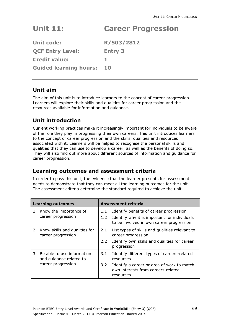# **Unit 11: Career Progression**

| <b>Unit code:</b>             | R/503/2812     |
|-------------------------------|----------------|
| <b>QCF Entry Level:</b>       | <b>Entry 3</b> |
| <b>Credit value:</b>          |                |
| <b>Guided learning hours:</b> | 10             |

### **Unit aim**

The aim of this unit is to introduce learners to the concept of career progression. Learners will explore their skills and qualities for career progression and the resources available for information and guidance.

## **Unit introduction**

Current working practices make it increasingly important for individuals to be aware of the role they play in progressing their own careers. This unit introduces learners to the concept of career progression and the skills, qualities and resources associated with it. Learners will be helped to recognise the personal skills and qualities that they can use to develop a career, as well as the benefits of doing so. They will also find out more about different sources of information and guidance for career progression.

### **Learning outcomes and assessment criteria**

| <b>Learning outcomes</b> |                                                                             | Assessment criteria  |                                                                                                                                                           |
|--------------------------|-----------------------------------------------------------------------------|----------------------|-----------------------------------------------------------------------------------------------------------------------------------------------------------|
| 1                        | Know the importance of<br>career progression                                | 1.1<br>1.2           | Identify benefits of career progression<br>Identify why it is important for individuals<br>to be involved in own career progression                       |
| 2                        | Know skills and qualities for<br>career progression                         | 2.1<br>$2.2^{\circ}$ | List types of skills and qualities relevant to<br>career progression<br>Identify own skills and qualities for career<br>progression                       |
| 3                        | Be able to use information<br>and guidance related to<br>career progression | 3.1<br>3.2           | Identify different types of careers-related<br>resources<br>Identify a career or area of work to match<br>own interests from careers-related<br>resources |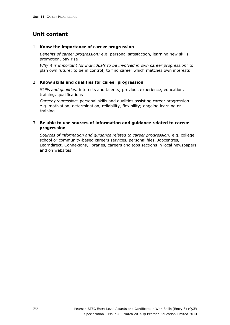#### 1 **Know the importance of career progression**

*Benefits of career progression:* e.g. personal satisfaction, learning new skills, promotion, pay rise

*Why it is important for individuals to be involved in own career progression:* to plan own future; to be in control; to find career which matches own interests

#### 2 **Know skills and qualities for career progression**

*Skills and qualities:* interests and talents; previous experience, education, training, qualifications

*Career progression:* personal skills and qualities assisting career progression e.g. motivation, determination, reliability, flexibility; ongoing learning or training

#### 3 **Be able to use sources of information and guidance related to career progression**

*Sources of information and guidance related to career progression:* e.g. college, school or community-based careers services, personal files, Jobcentres, Learndirect, Connexions, libraries, careers and jobs sections in local newspapers and on websites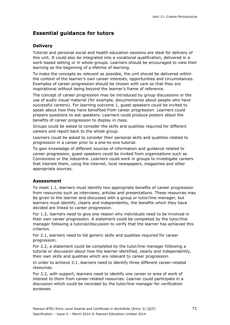### **Delivery**

Tutorial and personal social and health education sessions are ideal for delivery of this unit. It could also be integrated into a vocational qualification, delivered in a work-based setting or in whole groups. Learners should be encouraged to view their learning as the beginning of a lifetime of learning.

To make the concepts as relevant as possible, the unit should be delivered within the context of the learner's own career interests, opportunities and circumstances. Examples of career progression should be chosen with care so that they are inspirational without being beyond the learner's frame of reference.

The concept of career progression may be introduced by group discussions or the use of audio visual material (for example, documentaries about people who have successful careers). For learning outcome 1, guest speakers could be invited to speak about how they have benefited from career progression. Learners could prepare questions to ask speakers. Learners could produce posters about the benefits of career progression to display in class.

Groups could be asked to consider the skills and qualities required for different careers and report back to the whole group.

Learners could be asked to consider their personal skills and qualities related to progression in a career prior to a one-to-one tutorial.

To gain knowledge of different sources of information and guidance related to career progression, guest speakers could be invited from organisations such as Connexions or the Jobcentre. Learners could work in groups to investigate careers that interest them, using the internet, local newspapers, magazines and other appropriate sources.

### **Assessment**

To meet 1.1, learners must identify two appropriate benefits of career progression from resources such as interviews, articles and presentations. These resources may be given to the learner and discussed with a group or tutor/line manager, but learners must identify, clearly and independently, the benefits which they have decided are linked to career progression.

For 1.2, learners need to give one reason why individuals need to be involved in their own career progression. A statement could be completed by the tutor/line manager following a tutorial/discussion to verify that the learner has achieved this criterion.

For 2.1, learners need to list generic skills and qualities required for career progression.

For 2.2, a statement could be completed by the tutor/line manager following a tutorial or discussion about how the learner identified, clearly and independently, their own skills and qualities which are relevant to career progression.

In order to achieve 3.1, learners need to identify three different career-related resources.

For 3.2, with support, learners need to identify one career or area of work of interest to them from career-related resources. Learner could participate in a discussion which could be recorded by the tutor/line manager for verification purposes.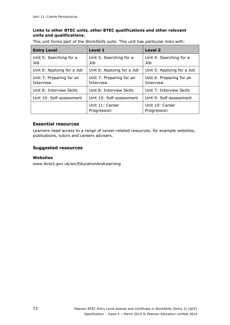#### **Links to other BTEC units, other BTEC qualifications and other relevant units and qualifications.**

This unit forms part of the *WorkSkills* suite. This unit has particular links with:

| <b>Entry Level</b>                    | Level 1                               | <b>Level 2</b>                        |
|---------------------------------------|---------------------------------------|---------------------------------------|
| Unit 5: Searching for a<br>Job        | Unit 5: Searching for a<br>Job        | Unit 4: Searching for a<br>Job        |
| Unit 6: Applying for a Job            | Unit 6: Applying for a Job            | Unit 5: Applying for a Job            |
| Unit 7: Preparing for an<br>Interview | Unit 7: Preparing for an<br>Interview | Unit 6: Preparing for an<br>Interview |
| Unit 8: Interview Skills              | Unit 8: Interview Skills              | Unit 7: Interview Skills              |
| Unit 10: Self-assessment              | Unit 10: Self-assessment              | Unit 9: Self-assessment               |
|                                       | Unit 11: Career<br>Progression        | Unit 10: Career<br>Progression        |

#### **Essential resources**

Learners need access to a range of career-related resources, for example websites, publications, tutors and careers advisers.

### **Suggested resources**

#### **Websites**

www.direct.gov.uk/en/EducationAndLearning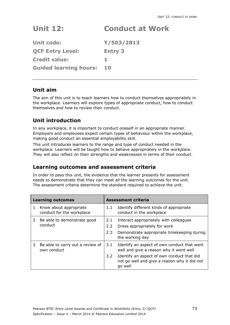# **Unit 12: Conduct at Work**

| <b>Unit code:</b>             | Y/503/2813     |
|-------------------------------|----------------|
| <b>QCF Entry Level:</b>       | <b>Entry 3</b> |
| <b>Credit value:</b>          |                |
| <b>Guided learning hours:</b> | 10             |

### **Unit aim**

The aim of this unit is to teach learners how to conduct themselves appropriately in the workplace. Learners will explore types of appropriate conduct, how to conduct themselves and how to review their conduct.

# **Unit introduction**

In any workplace, it is important to conduct oneself in an appropriate manner. Employers and employees expect certain types of behaviour within the workplace, making good conduct an essential employability skill.

This unit introduces learners to the range and type of conduct needed in the workplace. Learners will be taught how to behave appropriately in the workplace. They will also reflect on their strengths and weaknesses in terms of their conduct.

### **Learning outcomes and assessment criteria**

| <b>Learning outcomes</b> |                                                     | <b>Assessment criteria</b> |                                                                                                       |
|--------------------------|-----------------------------------------------------|----------------------------|-------------------------------------------------------------------------------------------------------|
| 1                        | Know about appropriate<br>conduct for the workplace | 1.1                        | Identify different kinds of appropriate<br>conduct in the workplace                                   |
| $\mathcal{L}$            | Be able to demonstrate good                         | 2.1                        | Interact appropriately with colleagues                                                                |
|                          | conduct                                             | $2.2^{\circ}$              | Dress appropriately for work                                                                          |
|                          |                                                     | 2.3                        | Demonstrate appropriate timekeeping during<br>the working day                                         |
| 3                        | Be able to carry out a review of<br>own conduct     | 3.1                        | Identify an aspect of own conduct that went<br>well and give a reason why it went well                |
|                          |                                                     | 3.2                        | Identify an aspect of own conduct that did<br>not go well and give a reason why it did not<br>go well |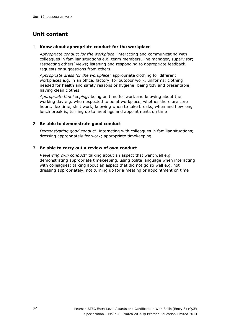#### 1 **Know about appropriate conduct for the workplace**

*Appropriate conduct for the workplace*: interacting and communicating with colleagues in familiar situations e.g. team members, line manager, supervisor; respecting others' views; listening and responding to appropriate feedback, requests or suggestions from others

*Appropriate dress for the workplace:* appropriate clothing for different workplaces e.g. in an office, factory, for outdoor work, uniforms; clothing needed for health and safety reasons or hygiene; being tidy and presentable; having clean clothes

*Appropriate timekeeping:* being on time for work and knowing about the working day e.g. when expected to be at workplace, whether there are core hours, flexitime, shift work, knowing when to take breaks, when and how long lunch break is, turning up to meetings and appointments on time

#### 2 **Be able to demonstrate good conduct**

*Demonstrating good conduct:* interacting with colleagues in familiar situations; dressing appropriately for work; appropriate timekeeping

#### 3 **Be able to carry out a review of own conduct**

*Reviewing own conduct:* talking about an aspect that went well e.g. demonstrating appropriate timekeeping, using polite language when interacting with colleagues; talking about an aspect that did not go so well e.g. not dressing appropriately, not turning up for a meeting or appointment on time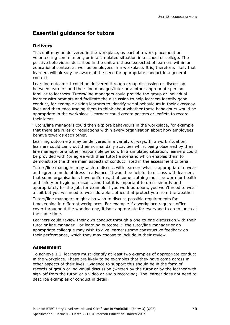### **Delivery**

This unit may be delivered in the workplace, as part of a work placement or volunteering commitment, or in a simulated situation in a school or college. The positive behaviours described in the unit are those expected of learners within an educational context as well as employees in a workplace. It is, therefore, likely that learners will already be aware of the need for appropriate conduct in a general context.

Learning outcome 1 could be delivered through group discussion or discussion between learners and their line manager/tutor or another appropriate person familiar to learners. Tutors/line managers could provide the group or individual learner with prompts and facilitate the discussion to help learners identify good conduct, for example asking learners to identify social behaviours in their everyday lives and then encouraging them to think about whether these behaviours would be appropriate in the workplace. Learners could create posters or leaflets to record their ideas.

Tutors/line managers could then explore behaviours in the workplace, for example that there are rules or regulations within every organisation about how employees behave towards each other.

Learning outcome 2 may be delivered in a variety of ways. In a work situation, learners could carry out their normal daily activities whilst being observed by their line manager or another responsible person. In a simulated situation, learners could be provided with (or agree with their tutor) a scenario which enables them to demonstrate the three main aspects of conduct listed in the assessment criteria.

Tutors/line managers may wish to discuss with learners what is appropriate to wear and agree a mode of dress in advance. It would be helpful to discuss with learners that some organisations have uniforms, that some clothing must be worn for health and safety or hygiene reasons, and that it is important to dress smartly and appropriately for the job, for example if you work outdoors, you won't need to wear a suit but you will need to wear durable clothes that protect you from the weather.

Tutors/line managers might also wish to discuss possible requirements for timekeeping in different workplaces. For example if a workplace requires office cover throughout the working day, it isn't appropriate for everyone to go to lunch at the same time.

Learners could review their own conduct through a one-to-one discussion with their tutor or line manager. For learning outcome 3, the tutor/line manager or an appropriate colleague may wish to give learners some constructive feedback on their performance, which they may choose to include in their review.

### **Assessment**

To achieve 1.1, learners must identify at least two examples of appropriate conduct in the workplace. These are likely to be examples that they have come across in other aspects of their lives. Evidence to support this should be in the form of records of group or individual discussion (written by the tutor or by the learner with sign-off from the tutor, or a video or audio recording). The learner does not need to describe examples of conduct in detail.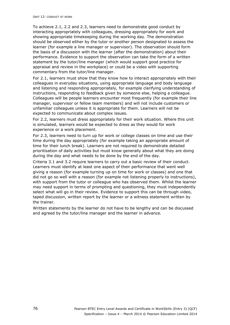To achieve 2.1, 2.2 and 2.3, learners need to demonstrate good conduct by interacting appropriately with colleagues, dressing appropriately for work and showing appropriate timekeeping during the working day. The demonstration should be observed either by the tutor or another person designated to assess the learner (for example a line manager or supervisor). The observation should form the basis of a discussion with the learner (after the demonstration) about their performance. Evidence to support the observation can take the form of a written statement by the tutor/line manager (which would support good practice for appraisal and review in the workplace) or could be a video with supporting commentary from the tutor/line manager.

For 2.1, learners must show that they know how to interact appropriately with their colleagues in everyday situations, using appropriate language and body language and listening and responding appropriately, for example clarifying understanding of instructions, responding to feedback given by someone else, helping a colleague. Colleagues will be people learners encounter most frequently (for example their line manager, supervisor or fellow team members) and will not include customers or unfamiliar colleagues unless it is appropriate for them. Learners will not be expected to communicate about complex issues.

For 2.2, learners must dress appropriately for their work situation. Where this unit is simulated, learners would be expected to dress as they would for work experience or a work placement.

For 2.3, learners need to turn up for work or college classes on time and use their time during the day appropriately (for example taking an appropriate amount of time for their lunch break). Learners are not required to demonstrate detailed prioritisation of daily activities but must know generally about what they are doing during the day and what needs to be done by the end of the day.

Criteria 3.1 and 3.2 require learners to carry out a basic review of their conduct. Learners must identify at least one aspect of their performance that went well giving a reason (for example turning up on time for work or classes) and one that did not go so well with a reason (for example not listening properly to instructions), with support from the tutor or colleague who has observed them. Whilst the learner may need support in terms of prompting and questioning, they must independently select what will go in their review. Evidence to support this can be through video, taped discussion, written report by the learner or a witness statement written by the trainer.

Written statements by the learner do not have to be lengthy and can be discussed and agreed by the tutor/line manager and the learner in advance.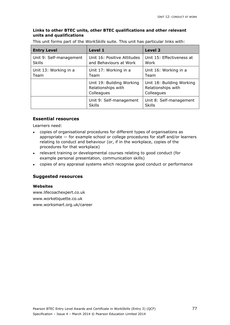#### **Links to other BTEC units, other BTEC qualifications and other relevant units and qualifications**

This unit forms part of the *WorkSkills* suite. This unit has particular links with:

| <b>Entry Level</b>                       | Level 1                                                        | Level 2                                                       |
|------------------------------------------|----------------------------------------------------------------|---------------------------------------------------------------|
| Unit 9: Self-management<br><b>Skills</b> | Unit 16: Positive Attitudes<br>and Behaviours at Work          | Unit 15: Effectiveness at<br>Work                             |
| Unit 13: Working in a<br>Team            | Unit 17: Working in a<br>Unit 16: Working in a<br>Team<br>Team |                                                               |
|                                          | Unit 19: Building Working<br>Relationships with<br>Colleagues  | Unit 18: Building Working<br>Relationships with<br>Colleagues |
|                                          | Unit 9: Self-management<br><b>Skills</b>                       | Unit 8: Self-management<br><b>Skills</b>                      |

#### **Essential resources**

Learners need:

- copies of organisational procedures for different types of organisations as appropriate — for example school or college procedures for staff and/or learners relating to conduct and behaviour (or, if in the workplace, copies of the procedures for that workplace)
- relevant training or developmental courses relating to good conduct (for example personal presentation, communication skills)
- copies of any appraisal systems which recognise good conduct or performance

#### **Suggested resources**

#### **Websites**

www.lifecoachexpert.co.uk www.worketiquette.co.uk www.worksmart.org.uk/career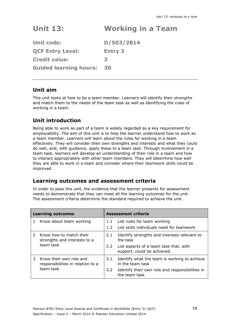# **Unit 13: Working in a Team**

**Unit code: D/503/2814 QCF Entry Level: Entry 3 Credit value: 3 Guided learning hours: 30** 

### **Unit aim**

This unit looks at how to be a team member. Learners will identify their strengths and match them to the needs of the team task as well as identifying the rules of working in a team.

# **Unit introduction**

Being able to work as part of a team is widely regarded as a key requirement for employability. The aim of this unit is to help the learner understand how to work as a team member. Learners will learn about the rules for working in a team effectively. They will consider their own strengths and interests and what they could do well, and, with guidance, apply these to a team task. Through involvement in a team task, learners will develop an understanding of their role in a team and how to interact appropriately with other team members. They will determine how well they are able to work in a team and consider where their teamwork skills could be improved.

### **Learning outcomes and assessment criteria**

| <b>Learning outcomes</b> |                                                                      | <b>Assessment criteria</b> |                                                                              |
|--------------------------|----------------------------------------------------------------------|----------------------------|------------------------------------------------------------------------------|
| 1                        | Know about team working                                              | $1.2^{\circ}$              | 1.1 List rules for team working<br>List skills individuals need for teamwork |
|                          |                                                                      |                            |                                                                              |
| $\mathcal{P}$            | Know how to match their<br>strengths and interests to a<br>team task | 2.1                        | Identify strengths and interests relevant to<br>the task                     |
|                          |                                                                      | $2.2 -$                    | List aspects of a team task that, with<br>support, could be achieved         |
| 3                        | Know their own role and<br>responsibilities in relation to a         | 3.1                        | Identify what the team is working to achieve<br>in the team task             |
|                          | team task                                                            | $3.2^{\circ}$              | Identify their own role and responsibilities in<br>the team task             |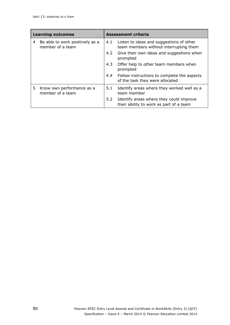| <b>Learning outcomes</b> |                                                     | <b>Assessment criteria</b> |                                                                                    |
|--------------------------|-----------------------------------------------------|----------------------------|------------------------------------------------------------------------------------|
| 4                        | Be able to work positively as a<br>member of a team | 4.1                        | Listen to ideas and suggestions of other<br>team members without interrupting them |
|                          |                                                     | 4.2                        | Give their own ideas and suggestions when<br>prompted                              |
|                          |                                                     | 4.3                        | Offer help to other team members when<br>prompted                                  |
|                          |                                                     | 4.4                        | Follow instructions to complete the aspects<br>of the task they were allocated     |
| 5.                       | Know own performance as a<br>member of a team       | 5.1                        | Identify areas where they worked well as a<br>team member                          |
|                          |                                                     | 5.2                        | Identify areas where they could improve<br>their ability to work as part of a team |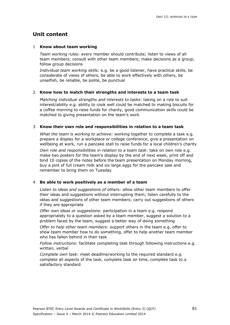#### 1 **Know about team working**

*Team working rules:* every member should contribute; listen to views of all team members; consult with other team members; make decisions as a group; follow group decisions

*Individual team working skills:* e.g. be a good listener, have practical skills, be considerate of views of others, be able to work effectively with others, be unselfish, be reliable, be polite, be punctual

#### 2 **Know how to match their strengths and interests to a team task**

*Matching individual strengths and interests to tasks*: taking on a role to suit interest/ability e.g. ability to cook well could be matched to making biscuits for a coffee morning to raise funds for charity, good communication skills could be matched to giving presentation on the team's work

#### 3 **Know their own role and responsibilities in relation to a team task**

*What the team is working to achieve:* working together to complete a task e.g. prepare a display for a workplace or college conference, give a presentation on wellbeing at work, run a pancake stall to raise funds for a local children's charity

*Own role and responsibilities in relation to a team task*: take on own role e.g. make two posters for the team's display by the end of next week, print off and bind 10 copies of the notes before the team presentation on Monday morning, buy a pint of full cream milk and six large eggs for the pancake sale and remember to bring them on Tuesday

#### 4 **Be able to work positively as a member of a team**

*Listen to ideas and suggestions of others:* allow other team members to offer their ideas and suggestions without interrupting them; listen carefully to the ideas and suggestions of other team members; carry out suggestions of others if they are appropriate

*Offer own ideas or suggestions:* participation in a team e.g. respond appropriately to a question asked by a team member, suggest a solution to a problem faced by the team, suggest a better way of doing something

*Offer to help other team members:* support others in the team e.g. offer to show team member how to do something, offer to help another team member who has fallen behind in their task

*Follow instructions:* facilitate completing task through following instructions e.g. written, verbal

*Complete own task:* meet deadline/working to the required standard e.g. complete all aspects of the task, complete task on time, complete task to a satisfactory standard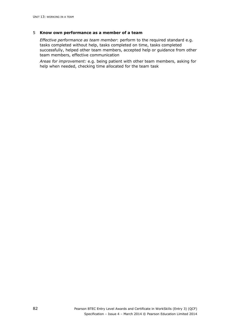#### 5 **Know own performance as a member of a team**

*Effective performance as team member*: perform to the required standard e.g. tasks completed without help, tasks completed on time, tasks completed successfully, helped other team members, accepted help or guidance from other team members, effective communication

*Areas for improvement:* e.g. being patient with other team members, asking for help when needed, checking time allocated for the team task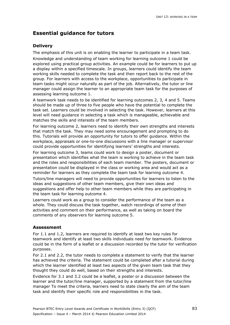### **Delivery**

The emphasis of this unit is on enabling the learner to participate in a team task. Knowledge and understanding of team working for learning outcome 1 could be explored using practical group activities. An example could be for learners to put up a display within a specified timescale. In groups, learners could identify the team working skills needed to complete the task and then report back to the rest of the group. For learners with access to the workplace, opportunities to participate in team tasks might occur naturally as part of the job. Alternatively, the tutor or line manager could assign the learner to an appropriate team task for the purposes of assessing learning outcome 1.

A teamwork task needs to be identified for learning outcomes 2, 3, 4 and 5. Teams should be made up of three to five people who have the potential to complete the task set. Learners could be involved in selecting the task. However, learners at this level will need guidance in selecting a task which is manageable, achievable and matches the skills and interests of the team members.

For learning outcome 2, learners need to identify their own strengths and interests that match the task. They may need some encouragement and prompting to do this. Tutorials will provide an opportunity for tutors to offer guidance. Within the workplace, appraisals or one-to-one discussions with a line manager or supervisor could provide opportunities for identifying learners' strengths and interests.

For learning outcome 3, teams could work to design a poster, document or presentation which identifies what the team is working to achieve in the team task and the roles and responsibilities of each team member. The posters, document or presentation could be displayed in the class or working area and would act as a reminder for learners as they complete the team task for learning outcome 4.

Tutors/line managers will need to provide opportunities for learners to listen to the ideas and suggestions of other team members, give their own ideas and suggestions and offer help to other team members while they are participating in the team task for learning outcome 4.

Learners could work as a group to consider the performance of the team as a whole. They could discuss the task together, watch recordings of some of their activities and comment on their performance, as well as taking on board the comments of any observers for learning outcome 5.

### **Assessment**

For 1.1 and 1.2, learners are required to identify at least two key rules for teamwork and identify at least two skills individuals need for teamwork. Evidence could be in the form of a leaflet or a discussion recorded by the tutor for verification purposes.

For 2.1 and 2.2, the tutor needs to complete a statement to verify that the learner has achieved the criteria. The statement could be completed after a tutorial during which the learner identified at least two aspects of the given team task that they thought they could do well, based on their strengths and interests.

Evidence for 3.1 and 3.2 could be a leaflet, a poster or a discussion between the learner and the tutor/line manager, supported by a statement from the tutor/line manager To meet the criteria, learners need to state clearly the aim of the team task and identify their specific role and responsibilities in the task.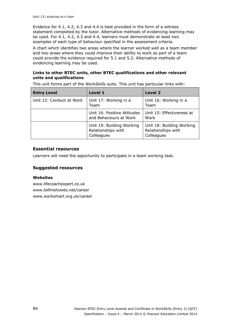Evidence for 4.1, 4.2, 4.3 and 4.4 is best provided in the form of a witness statement completed by the tutor. Alternative methods of evidencing learning may be used. For 4.1, 4.2, 4.3 and 4.4, learners must demonstrate at least two examples of each type of behaviour specified in the assessment criteria.

A chart which identifies two areas where the learner worked well as a team member and two areas where they could improve their ability to work as part of a team could provide the evidence required for 5.1 and 5.2. Alternative methods of evidencing learning may be used.

### **Links to other BTEC units, other BTEC qualifications and other relevant units and qualifications**

|  |  | This unit forms part of the <i>WorkSkills</i> suite. This unit has particular links with: |
|--|--|-------------------------------------------------------------------------------------------|

| <b>Entry Level</b>       | Level 1                                                       | Level 2                                                       |
|--------------------------|---------------------------------------------------------------|---------------------------------------------------------------|
| Unit 12: Conduct at Work | Unit 17: Working in a<br>Team                                 | Unit 16: Working in a<br>Team                                 |
|                          | Unit 16: Positive Attitudes<br>and Behaviours at Work         | Unit 15: Effectiveness at<br>Work                             |
|                          | Unit 19: Building Working<br>Relationships with<br>Colleagues | Unit 18: Building Working<br>Relationships with<br>Colleagues |

#### **Essential resources**

Learners will need the opportunity to participate in a team working task.

### **Suggested resources**

#### **Websites**

www.lifecoachexpert.co.uk www.tellmehowto.net/career www.worksmart.org.uk/career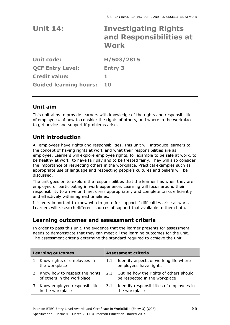| <b>Unit 14:</b>               | <b>Investigating Rights</b><br>and Responsibilities at<br>Work |
|-------------------------------|----------------------------------------------------------------|
| <b>Unit code:</b>             | H/503/2815                                                     |
| <b>QCF Entry Level:</b>       | <b>Entry 3</b>                                                 |
| <b>Credit value:</b>          | 1                                                              |
| <b>Guided learning hours:</b> | 10                                                             |

### **Unit aim**

This unit aims to provide learners with knowledge of the rights and responsibilities of employees, of how to consider the rights of others, and where in the workplace to get advice and support if problems arise.

# **Unit introduction**

All employees have rights and responsibilities. This unit will introduce learners to the concept of having rights at work and what their responsibilities are as employee. Learners will explore employee rights, for example to be safe at work, to be healthy at work, to have fair pay and to be treated fairly. They will also consider the importance of respecting others in the workplace. Practical examples such as appropriate use of language and respecting people's cultures and beliefs will be discussed.

The unit goes on to explore the responsibilities that the learner has when they are employed or participating in work experience. Learning will focus around their responsibility to arrive on time, dress appropriately and complete tasks efficiently and effectively within agreed timelines.

It is very important to know who to go to for support if difficulties arise at work. Learners will research different sources of support that available to them both.

### **Learning outcomes and assessment criteria**

| <b>Learning outcomes</b> |                                                              |     | <b>Assessment criteria</b>                                               |
|--------------------------|--------------------------------------------------------------|-----|--------------------------------------------------------------------------|
|                          | Know rights of employees in<br>the workplace                 | 1.1 | Identify aspects of working life where<br>employees have rights          |
|                          | Know how to respect the rights<br>of others in the workplace | 2.1 | Outline how the rights of others should<br>be respected in the workplace |
|                          | Know employee responsibilities<br>in the workplace           | 3.1 | Identify responsibilities of employees in<br>the workplace               |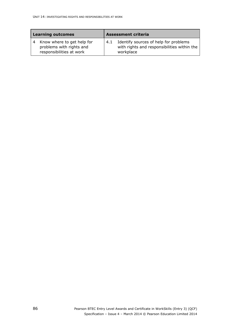| <b>Learning outcomes</b> |                                                                                    |     | <b>Assessment criteria</b>                                                                        |
|--------------------------|------------------------------------------------------------------------------------|-----|---------------------------------------------------------------------------------------------------|
|                          | Know where to get help for<br>problems with rights and<br>responsibilities at work | 4.1 | Identify sources of help for problems<br>with rights and responsibilities within the<br>workplace |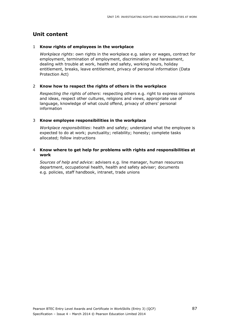#### 1 **Know rights of employees in the workplace**

*Workplace rights*: own rights in the workplace e.g. salary or wages, contract for employment, termination of employment, discrimination and harassment, dealing with trouble at work, health and safety, working hours, holiday entitlement, breaks, leave entitlement, privacy of personal information (Data Protection Act)

#### 2 **Know how to respect the rights of others in the workplace**

*Respecting the rights of others*: respecting others e.g. right to express opinions and ideas, respect other cultures, religions and views, appropriate use of language, knowledge of what could offend, privacy of others' personal information

#### 3 **Know employee responsibilities in the workplace**

*Workplace responsibilities*: health and safety; understand what the employee is expected to do at work; punctuality; reliability; honesty; complete tasks allocated; follow instructions

#### 4 **Know where to get help for problems with rights and responsibilities at work**

*Sources of help and advice*: advisers e.g. line manager, human resources department, occupational health, health and safety adviser; documents e.g. policies, staff handbook, intranet, trade unions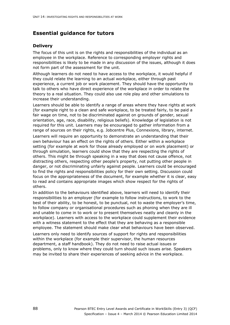### **Delivery**

The focus of this unit is on the rights and responsibilities of the individual as an employee in the workplace. Reference to corresponding employer rights and responsibilities is likely to be made in any discussion of the issues, although it does not form part of the assessment for the unit.

Although learners do not need to have access to the workplace, it would helpful if they could relate the learning to an actual workplace, either through past experience, a current job or work placement. They should have the opportunity to talk to others who have direct experience of the workplace in order to relate the theory to a real situation. They could also use role play and other simulations to increase their understanding.

Learners should be able to identify a range of areas where they have rights at work (for example right to a clean and safe workplace, to be treated fairly, to be paid a fair wage on time, not to be discriminated against on grounds of gender, sexual orientation, age, race, disability, religious beliefs). Knowledge of legislation is not required for this unit. Learners may be encouraged to gather information from a range of sources on their rights, e.g. Jobcentre Plus, Connexions, library, internet.

Learners will require an opportunity to demonstrate an understanding that their own behaviour has an effect on the rights of others. Either within a workplace setting (for example at work for those already employed or on work placement) or through simulation, learners could show that they are respecting the rights of others. This might be through speaking in a way that does not cause offence, not distracting others, respecting other people's property, not putting other people in danger, or not discriminating unfairly against people. Learners could be encouraged to find the rights and responsibilities policy for their own setting. Discussion could focus on the appropriateness of the document, for example whether it is clear, easy to read and contains appropriate images which show respect for the rights of others.

In addition to the behaviours identified above, learners will need to identify their responsibilities to an employer (for example to follow instructions, to work to the best of their ability, to be honest, to be punctual, not to waste the employer's time, to follow company or organisational procedures such as phoning when they are ill and unable to come in to work or to present themselves neatly and cleanly in the workplace). Learners with access to the workplace could supplement their evidence with a witness statement to the effect that they are behaving as a responsible employee. The statement should make clear what behaviours have been observed. Learners only need to identify sources of support for rights and responsibilities within the workplace (for example their supervisor, the human resources department, a staff handbook). They do not need to raise actual issues or problems, only to know where they could turn should such issues arise. Speakers may be invited to share their experiences of seeking advice in the workplace.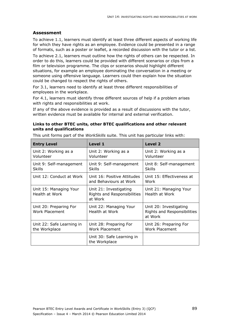#### **Assessment**

To achieve 1.1, learners must identify at least three different aspects of working life for which they have rights as an employee. Evidence could be presented in a range of formats, such as a poster or leaflet, a recorded discussion with the tutor or a list.

To achieve 2.1, learners must outline how the rights of others can be respected. In order to do this, learners could be provided with different scenarios or clips from a film or television programme. The clips or scenarios should highlight different situations, for example an employee dominating the conversation in a meeting or someone using offensive language. Learners could then explain how the situation could be changed to respect the rights of others.

For 3.1, learners need to identify at least three different responsibilities of employees in the workplace.

For 4.1, learners must identify three different sources of help if a problem arises with rights and responsibilities at work.

If any of the above evidence is provided as a result of discussions with the tutor, written evidence must be available for internal and external verification.

#### **Links to other BTEC units, other BTEC qualifications and other relevant units and qualifications**

This unit forms part of the *WorkSkills* suite. This unit has particular links with:

| <b>Entry Level</b>                         | Level 1                                                          | <b>Level 2</b>                                                   |
|--------------------------------------------|------------------------------------------------------------------|------------------------------------------------------------------|
| Unit 2: Working as a<br>Volunteer          | Unit 2: Working as a<br>Volunteer                                | Unit 2: Working as a<br>Volunteer                                |
| Unit 9: Self-management<br><b>Skills</b>   | Unit 9: Self-management<br><b>Skills</b>                         | Unit 8: Self-management<br><b>Skills</b>                         |
| Unit 12: Conduct at Work                   | Unit 16: Positive Attitudes<br>and Behaviours at Work            | Unit 15: Effectiveness at<br>Work                                |
| Unit 15: Managing Your<br>Health at Work   | Unit 21: Investigating<br>Rights and Responsibilities<br>at Work | Unit 21: Managing Your<br>Health at Work                         |
| Unit 20: Preparing For<br>Work Placement   | Unit 22: Managing Your<br>Health at Work                         | Unit 20: Investigating<br>Rights and Responsibilities<br>at Work |
| Unit 22: Safe Learning in<br>the Workplace | Unit 28: Preparing For<br><b>Work Placement</b>                  | Unit 26: Preparing For<br>Work Placement                         |
|                                            | Unit 30: Safe Learning in<br>the Workplace                       |                                                                  |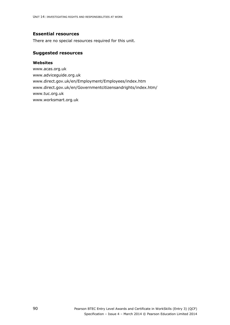#### **Essential resources**

There are no special resources required for this unit.

#### **Suggested resources**

#### **Websites**

www.acas.org.uk www.adviceguide.org.uk www.direct.gov.uk/en/Employment/Employees/index.htm www.direct.gov.uk/en/Governmentcitizensandrights/index.htm/ www.tuc.org.uk www.worksmart.org.uk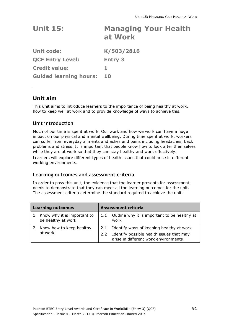| <b>Unit 15:</b> |         | <b>Managing Your Health</b> |  |
|-----------------|---------|-----------------------------|--|
|                 | at Work |                             |  |

| <b>Unit code:</b>             | K/503/2816     |
|-------------------------------|----------------|
| <b>QCF Entry Level:</b>       | <b>Entry 3</b> |
| <b>Credit value:</b>          |                |
| <b>Guided learning hours:</b> | 10             |

### **Unit aim**

This unit aims to introduce learners to the importance of being healthy at work, how to keep well at work and to provide knowledge of ways to achieve this.

### **Unit introduction**

Much of our time is spent at work. Our work and how we work can have a huge impact on our physical and mental wellbeing. During time spent at work, workers can suffer from everyday ailments and aches and pains including headaches, back problems and stress. It is important that people know how to look after themselves while they are at work so that they can stay healthy and work effectively. Learners will explore different types of health issues that could arise in different working environments.

### **Learning outcomes and assessment criteria**

| <b>Learning outcomes</b> |                                                   | <b>Assessment criteria</b> |                                                                                                                              |  |
|--------------------------|---------------------------------------------------|----------------------------|------------------------------------------------------------------------------------------------------------------------------|--|
|                          | Know why it is important to<br>be healthy at work |                            | Outline why it is important to be healthy at<br>work                                                                         |  |
|                          | Know how to keep healthy<br>at work               | 2.1<br>2.2                 | Identify ways of keeping healthy at work<br>Identify possible health issues that may<br>arise in different work environments |  |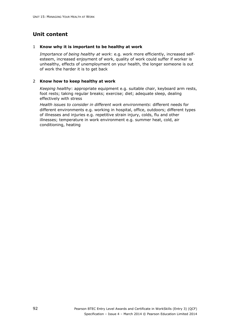#### 1 **Know why it is important to be healthy at work**

*Importance of being healthy at work*: e.g. work more efficiently, increased selfesteem, increased enjoyment of work, quality of work could suffer if worker is unhealthy, effects of unemployment on your health, the longer someone is out of work the harder it is to get back

#### 2 **Know how to keep healthy at work**

*Keeping healthy*: appropriate equipment e.g. suitable chair, keyboard arm rests, foot rests; taking regular breaks; exercise; diet; adequate sleep, dealing effectively with stress

*Health issues to consider in different work environments*: different needs for different environments e.g. working in hospital, office, outdoors; different types of illnesses and injuries e.g. repetitive strain injury, colds, flu and other illnesses; temperature in work environment e.g. summer heat, cold, air conditioning, heating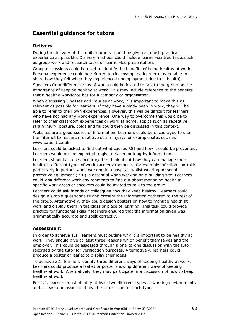#### **Delivery**

During the delivery of this unit, learners should be given as much practical experience as possible. Delivery methods could include learner-centred tasks such as group work and research tasks or learner-led presentations.

Group discussions could be used to identify the benefits of being healthy at work. Personal experience could be referred to (for example a learner may be able to share how they felt when they experienced unemployment due to ill health).

Speakers from different areas of work could be invited to talk to the group on the importance of keeping healthy at work. This may include reference to the benefits that a healthy workforce has for a company or organisation.

When discussing illnesses and injuries at work, it is important to make this as relevant as possible for learners. If they have already been in work, they will be able to refer to their own experiences. However, this will be difficult for learners who have not had any work experience. One way to overcome this would be to refer to their classroom experiences or work at home. Topics such as repetitive strain injury, posture, colds and flu could then be discussed in this context.

Websites are a good source of information. Learners could be encouraged to use the internet to research repetitive strain injury, for example sites such as www.patient.co.uk.

Learners could be asked to find out what causes RSI and how it could be prevented. Learners would not be expected to give detailed or lengthy information.

Learners should also be encouraged to think about how they can manage their health in different types of workplace environments, for example infection control is particularly important when working in a hospital, whilst wearing personal protective equipment (PPE) is essential when working on a building site. Learners could visit different work environments to find out about managing health in specific work areas or speakers could be invited to talk to the group.

Learners could ask friends or colleagues how they keep healthy. Learners could design a simple questionnaire and present the information gathered to the rest of the group. Alternatively, they could design posters on how to manage health at work and display them in the class or place of learning. This task could provide practice for functional skills if learners ensured that the information given was grammatically accurate and spelt correctly.

#### **Assessment**

In order to achieve 1.1, learners must outline why it is important to be healthy at work. They should give at least three reasons which benefit themselves and the employer. This could be assessed through a one-to-one discussion with the tutor, recorded by the tutor for verification purposes. Alternatively, learners could produce a poster or leaflet to display their ideas.

To achieve 2.1, learners identify three different ways of keeping healthy at work. Learners could produce a leaflet or poster showing different ways of keeping healthy at work. Alternatively, they may participate in a discussion of how to keep healthy at work.

For 2.2, learners must identify at least two different types of working environments and at least one associated health risk or issue for each type.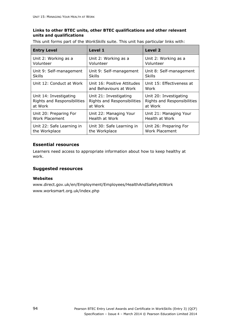#### **Links to other BTEC units, other BTEC qualifications and other relevant units and qualifications**

This unit forms part of the *WorkSkills* suite. This unit has particular links with:

| <b>Entry Level</b>          | Level 1                                               | <b>Level 2</b>                    |
|-----------------------------|-------------------------------------------------------|-----------------------------------|
| Unit 2: Working as a        | Unit 2: Working as a                                  | Unit 2: Working as a              |
| Volunteer                   | Volunteer                                             | Volunteer                         |
| Unit 9: Self-management     | Unit 9: Self-management                               | Unit 8: Self-management           |
| <b>Skills</b>               | Skills                                                | Skills                            |
| Unit 12: Conduct at Work    | Unit 16: Positive Attitudes<br>and Behaviours at Work | Unit 15: Effectiveness at<br>Work |
| Unit 14: Investigating      | Unit 21: Investigating                                | Unit 20: Investigating            |
| Rights and Responsibilities | Rights and Responsibilities                           | Rights and Responsibilities       |
| at Work                     | at Work                                               | at Work                           |
| Unit 20: Preparing For      | Unit 22: Managing Your                                | Unit 21: Managing Your            |
| <b>Work Placement</b>       | Health at Work                                        | Health at Work                    |
| Unit 22: Safe Learning in   | Unit 30: Safe Learning in                             | Unit 26: Preparing For            |
| the Workplace               | the Workplace                                         | Work Placement                    |

### **Essential resources**

Learners need access to appropriate information about how to keep healthy at work.

### **Suggested resources**

#### **Websites**

www.direct.gov.uk/en/Employment/Employees/HealthAndSafetyAtWork www.worksmart.org.uk/index.php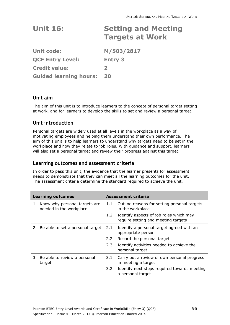# **Unit 16: Setting and Meeting Targets at Work**

**Unit code: M/503/2817 QCF Entry Level: Entry 3 Credit value: 2 Guided learning hours: 20** 

### **Unit aim**

The aim of this unit is to introduce learners to the concept of personal target setting at work, and for learners to develop the skills to set and review a personal target.

### **Unit introduction**

Personal targets are widely used at all levels in the workplace as a way of motivating employees and helping them understand their own performance. The aim of this unit is to help learners to understand why targets need to be set in the workplace and how they relate to job roles. With guidance and support, learners will also set a personal target and review their progress against this target.

### **Learning outcomes and assessment criteria**

| <b>Learning outcomes</b> |                                                          | <b>Assessment criteria</b> |                                                                                |  |
|--------------------------|----------------------------------------------------------|----------------------------|--------------------------------------------------------------------------------|--|
| 1                        | Know why personal targets are<br>needed in the workplace | 1.1                        | Outline reasons for setting personal targets<br>in the workplace               |  |
|                          |                                                          | $1.2^{\circ}$              | Identify aspects of job roles which may<br>require setting and meeting targets |  |
| 2                        | Be able to set a personal target                         | 2.1                        | Identify a personal target agreed with an<br>appropriate person                |  |
|                          |                                                          | $2.2^{\circ}$              | Record the personal target                                                     |  |
|                          |                                                          | 2.3                        | Identify activities needed to achieve the<br>personal target                   |  |
| 3.                       | Be able to review a personal<br>target                   | 3.1                        | Carry out a review of own personal progress<br>in meeting a target             |  |
|                          |                                                          | $3.2^{\circ}$              | Identify next steps required towards meeting<br>a personal target              |  |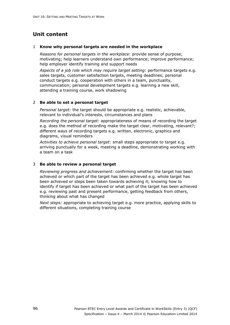#### 1 **Know why personal targets are needed in the workplace**

*Reasons for personal targets in the workplace*: provide sense of purpose; motivating; help learners understand own performance; improve performance; help employer identify training and support needs

*Aspects of a job role which may require target setting:* performance targets e.g. sales targets, customer satisfaction targets, meeting deadlines; personal conduct targets e.g. cooperation with others in a team, punctuality, communication; personal development targets e.g. learning a new skill, attending a training course, work shadowing

#### 2 **Be able to set a personal target**

*Personal target:* the target should be appropriate e.g. realistic, achievable, relevant to individual's interests, circumstances and plans

*Recording the personal target:* appropriateness of means of recording the target e.g. does the method of recording make the target clear, motivating, relevant?; different ways of recording targets e.g. written, electronic, graphics and diagrams, visual reminders

*Activities to achieve personal target*: small steps appropriate to target e.g. arriving punctually for a week, meeting a deadline, demonstrating working with a team on a task

#### 3 **Be able to review a personal target**

*Reviewing progress and achievement:* confirming whether the target has been achieved or which part of the target has been achieved e.g. whole target has been achieved or steps been taken towards achieving it; knowing how to identify if target has been achieved or what part of the target has been achieved e.g. reviewing past and present performance, getting feedback from others, thinking about what has changed

*Next steps:* appropriate to achieving target e.g. more practice, applying skills to different situations, completing training course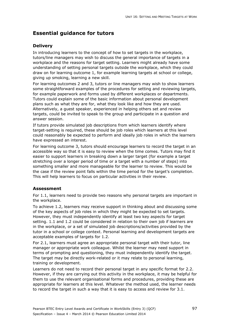### **Delivery**

In introducing learners to the concept of how to set targets in the workplace, tutors/line managers may wish to discuss the general importance of targets in a workplace and the reasons for target setting. Learners might already have some understanding of setting personal targets outside the workplace, which they could draw on for learning outcome 1, for example learning targets at school or college, giving up smoking, learning a new skill.

For learning outcomes 2 and 3, tutors or line managers may wish to show learners some straightforward examples of the procedures for setting and reviewing targets, for example paperwork and forms used by different workplaces or departments. Tutors could explain some of the basic information about personal development plans such as what they are for, what they look like and how they are used. Alternatively, a guest speaker, experienced in helping others set and review targets, could be invited to speak to the group and participate in a question and answer session.

If tutors provide simulated job descriptions from which learners identify where target-setting is required, these should be job roles which learners at this level could reasonably be expected to perform and ideally job roles in which the learners have expressed an interest.

For learning outcome 3, tutors should encourage learners to record the target in an accessible way so that it is easy to review when the time comes. Tutors may find it easier to support learners in breaking down a larger target (for example a target stretching over a longer period of time or a target with a number of steps) into something smaller and more manageable for the learner to review. This would be the case if the review point falls within the time period for the target's completion. This will help learners to focus on particular activities in their review.

### **Assessment**

For 1.1, learners need to provide two reasons why personal targets are important in the workplace.

To achieve 1.2, learners may receive support in thinking about and discussing some of the key aspects of job roles in which they might be expected to set targets. However, they must independently identify at least two key aspects for target setting. 1.1 and 1.2 could be considered in relation to their own job if learners are in the workplace, or a set of simulated job descriptions/activities provided by the tutor in a school or college context. Personal learning and development targets are acceptable examples of targets for 1.2.

For 2.1, learners must agree an appropriate personal target with their tutor, line manager or appropriate work colleague. Whilst the learner may need support in terms of prompting and questioning, they must independently identify the target. The target may be directly work-related or it may relate to personal learning, training or development.

Learners do not need to record their personal target in any specific format for 2.2. However, if they are carrying out this activity in the workplace, it may be helpful for them to use the relevant organisational forms and procedures, providing these are appropriate for learners at this level. Whatever the method used, the learner needs to record the target in such a way that it is easy to access and review for 3.1.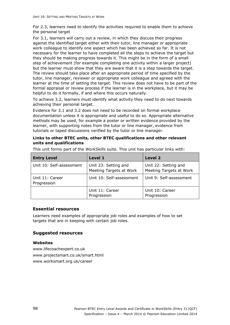For 2.3, learners need to identify the activities required to enable them to achieve the personal target

For 3.1, learners will carry out a review, in which they discuss their progress against the identified target either with their tutor, line manager or appropriate work colleague to identify one aspect which has been achieved so far. It is not necessary for the learner to have completed all the steps to achieve the target but they should be making progress towards it. This might be in the form of a small step of achievement (for example completing one activity within a larger project) but the learner must show that they are aware that it is a step towards the target. The review should take place after an appropriate period of time specified by the tutor, line manager, reviewer or appropriate work colleague and agreed with the learner at the time of setting the target. This review does not have to be part of the formal appraisal or review process if the learner is in the workplace, but it may be helpful to do it formally, if and where this occurs naturally.

To achieve 3.2, learners must identify what activity they need to do next towards achieving their personal target.

Evidence for 3.1 and 3.2 does not need to be recorded on formal workplace documentation unless it is appropriate and useful to do so. Appropriate alternative methods may be used, for example a poster or written evidence provided by the learner, with supporting notes from the tutor or line manager, evidence from tutorials or taped discussions verified by the tutor or line manager.

#### **Links to other BTEC units, other BTEC qualifications and other relevant units and qualifications**

| <b>Entry Level</b>             | Level 1                                         | Level 2                                         |
|--------------------------------|-------------------------------------------------|-------------------------------------------------|
| Unit 10: Self-assessment       | Unit 23: Setting and<br>Meeting Targets at Work | Unit 22: Setting and<br>Meeting Targets at Work |
| Unit 11: Career<br>Progression | Unit 10: Self-assessment                        | Unit 9: Self-assessment                         |
|                                | Unit 11: Career<br>Progression                  | Unit 10: Career<br>Progression                  |

This unit forms part of the *WorkSkills* suite. This unit has particular links with:

#### **Essential resources**

Learners need examples of appropriate job roles and examples of how to set targets that are in keeping with certain job roles.

### **Suggested resources**

#### **Websites**

www.lifecoachexpert.co.uk www.projectsmart.co.uk/smart.html www.worksmart.org.uk/career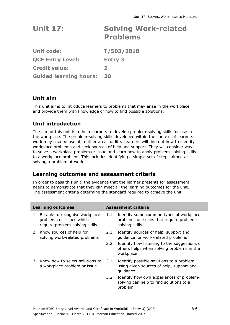| <b>Unit 17:</b>   | <b>Solving Work-related</b><br><b>Problems</b> |
|-------------------|------------------------------------------------|
| <b>Unit code:</b> | T/503/2818                                     |

**QCF Entry Level: Entry 3 Credit value: 2 Guided learning hours: 20** 

### **Unit aim**

This unit aims to introduce learners to problems that may arise in the workplace and provide them with knowledge of how to find possible solutions.

## **Unit introduction**

The aim of this unit is to help learners to develop problem-solving skills for use in the workplace. The problem-solving skills developed within the context of learners' work may also be useful in other areas of life. Learners will find out how to identify workplace problems and seek sources of help and support. They will consider ways to solve a workplace problem or issue and learn how to apply problem-solving skills to a workplace problem. This includes identifying a simple set of steps aimed at solving a problem at work.

### **Learning outcomes and assessment criteria**

|   | <b>Learning outcomes</b>                                                                     |               | <b>Assessment criteria</b>                                                                             |  |
|---|----------------------------------------------------------------------------------------------|---------------|--------------------------------------------------------------------------------------------------------|--|
| 1 | Be able to recognise workplace<br>problems or issues which<br>require problem-solving skills | 1.1           | Identify some common types of workplace<br>problems or issues that require problem-<br>solving skills  |  |
| 2 | Know sources of help for<br>solving work-related problems                                    | 2.1           | Identify sources of help, support and<br>guidance for work-related problems                            |  |
|   |                                                                                              | $2.2^{\circ}$ | Identify how listening to the suggestions of<br>others helps when solving problems in the<br>workplace |  |
| 3 | Know how to select solutions to<br>a workplace problem or issue                              | 3.1           | Identify possible solutions to a problem,<br>using given sources of help, support and<br>guidance      |  |
|   |                                                                                              | 3.2           | Identify how own experiences of problem-<br>solving can help to find solutions to a<br>problem         |  |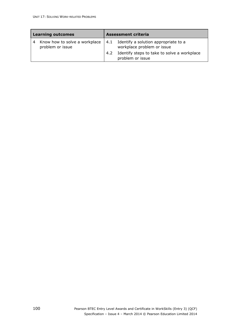| <b>Learning outcomes</b> |                                                   | <b>Assessment criteria</b> |                                                                    |
|--------------------------|---------------------------------------------------|----------------------------|--------------------------------------------------------------------|
| 4                        | Know how to solve a workplace<br>problem or issue | 4.1                        | Identify a solution appropriate to a<br>workplace problem or issue |
|                          |                                                   | 4.2                        | Identify steps to take to solve a workplace<br>problem or issue    |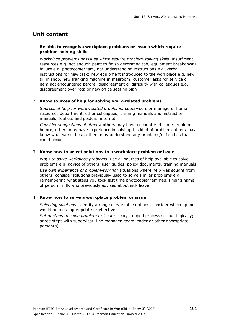### 1 **Be able to recognise workplace problems or issues which require problem-solving skills**

*Workplace problems or issues which require problem-solving skills:* insufficient resources e.g. not enough paint to finish decorating job; equipment breakdown/ failure e.g. photocopier jam*;* not understanding instructions e.g. verbal instructions for new task; new equipment introduced to the workplace e.g. new till in shop, new franking machine in mailroom; customer asks for service or item not encountered before; disagreement or difficulty with colleagues e.g. disagreement over rota or new office seating plan

#### 2 **Know sources of help for solving work-related problems**

*Sources of help for work-related problems:* supervisors or managers*;* human resources department, other colleagues; training manuals and instruction manuals; leaflets and posters, internet

*Consider suggestions of others:* others may have encountered same problem before; others may have experience in solving this kind of problem; others may know what works best; others may understand any problems/difficulties that could occur

### 3 **Know how to select solutions to a workplace problem or issue**

*Ways to solve workplace problems:* use all sources of help available to solve problems e.g. advice of others, user guides, policy documents, training manuals *Use own experience of problem-solving:* situations where help was sought from others; consider solutions previously used to solve similar problems e.g. remembering what steps you took last time photocopier jammed, finding name of person in HR who previously advised about sick leave

#### 4 **Know how to solve a workplace problem or issue**

*Selecting solutions:* identify a range of workable options; consider which option would be most appropriate or effective

*Set of steps to solve problem or issue:* clear, stepped process set out logically; agree steps with supervisor, line manager, team leader or other appropriate person(s)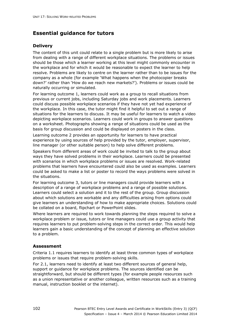### **Delivery**

The content of this unit could relate to a single problem but is more likely to arise from dealing with a range of different workplace situations. The problems or issues should be those which a learner working at this level might commonly encounter in the workplace and for which it would be reasonable to expect the learner to help resolve. Problems are likely to centre on the learner rather than to be issues for the company as a whole (for example 'What happens when the photocopier breaks down?' rather than 'How do we reach new markets?'). Problems or issues could be naturally occurring or simulated.

For learning outcome 1, learners could work as a group to recall situations from previous or current jobs, including Saturday jobs and work placements. Learners could discuss possible workplace scenarios if they have not yet had experience of the workplace. In this case, the tutor might find it helpful to set out a range of situations for the learners to discuss. It may be useful for learners to watch a video depicting workplace scenarios. Learners could work in groups to answer questions on a worksheet. Photographs showing a range of situations could be used as the basis for group discussion and could be displayed on posters in the class.

Learning outcome 2 provides an opportunity for learners to have practical experience by using sources of help provided by the tutor, employer, supervisor, line manager (or other suitable person) to help solve different problems.

Speakers from different areas of work could be invited to talk to the group about ways they have solved problems in their workplace. Learners could be presented with scenarios in which workplace problems or issues are resolved. Work-related problems that learners have encountered could also be used as examples. Learners could be asked to make a list or poster to record the ways problems were solved in the situations.

For learning outcome 3, tutors or line managers could provide learners with a description of a range of workplace problems and a range of possible solutions. Learners could select a solution and it to the rest of the group. Group discussion about which solutions are workable and any difficulties arising from options could give learners an understanding of how to make appropriate choices. Solutions could be collated on a board, flipchart or PowerPoint slides.

Where learners are required to work towards planning the steps required to solve a workplace problem or issue, tutors or line managers could use a group activity that requires learners to put problem-solving steps in the correct order. This would help learners gain a basic understanding of the concept of planning an effective solution to a problem.

### **Assessment**

Criteria 1.1 requires learners to identify at least three common types of workplace problems or issues that require problem-solving skills.

For 2.1, learners need to identify at least two different sources of general help, support or guidance for workplace problems. The sources identified can be straightforward, but should be different types (for example people resources such as a union representative or another colleague, written resources such as a training manual, instruction booklet or the internet).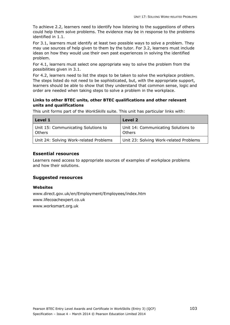To achieve 2.2, learners need to identify how listening to the suggestions of others could help them solve problems. The evidence may be in response to the problems identified in 1.1.

For 3.1, learners must identify at least two possible ways to solve a problem. They may use sources of help given to them by the tutor. For 3.2, learners must include ideas on how they would use their own past experiences in solving the identified problem.

For 4.1, learners must select one appropriate way to solve the problem from the possibilities given in 3.1.

For 4.2, learners need to list the steps to be taken to solve the workplace problem. The steps listed do not need to be sophisticated, but, with the appropriate support, learners should be able to show that they understand that common sense, logic and order are needed when taking steps to solve a problem in the workplace.

### **Links to other BTEC units, other BTEC qualifications and other relevant units and qualifications**

This unit forms part of the *WorkSkills* suite. This unit has particular links with:

| Level 1                                              | Level 2                                       |
|------------------------------------------------------|-----------------------------------------------|
| Unit 15: Communicating Solutions to<br><b>Others</b> | Unit 14: Communicating Solutions to<br>Others |
| Unit 24: Solving Work-related Problems               | Unit 23: Solving Work-related Problems        |

### **Essential resources**

Learners need access to appropriate sources of examples of workplace problems and how their solutions.

#### **Suggested resources**

#### **Websites**

www.direct.gov.uk/en/Employment/Employees/index.htm www.lifecoachexpert.co.uk www.worksmart.org.uk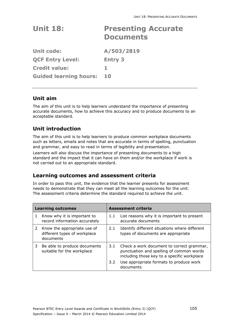| <b>Unit 18:</b>               | <b>Presenting Accurate</b><br><b>Documents</b> |
|-------------------------------|------------------------------------------------|
| <b>Unit code:</b>             | A/503/2819                                     |
| <b>QCF Entry Level:</b>       | <b>Entry 3</b>                                 |
| <b>Credit value:</b>          | 1.                                             |
| <b>Guided learning hours:</b> | 10                                             |
|                               |                                                |

## **Unit aim**

The aim of this unit is to help learners understand the importance of presenting accurate documents, how to achieve this accuracy and to produce documents to an acceptable standard.

# **Unit introduction**

The aim of this unit is to help learners to produce common workplace documents such as letters, emails and notes that are accurate in terms of spelling, punctuation and grammar, and easy to read in terms of legibility and presentation.

Learners will also discuss the importance of presenting documents to a high standard and the impact that it can have on them and/or the workplace if work is not carried out to an appropriate standard.

## **Learning outcomes and assessment criteria**

|   | <b>Learning outcomes</b>                                                   |               | <b>Assessment criteria</b>                                                                                                           |
|---|----------------------------------------------------------------------------|---------------|--------------------------------------------------------------------------------------------------------------------------------------|
|   | Know why it is important to<br>record information accurately               | 1.1           | List reasons why it is important to present<br>accurate documents                                                                    |
|   | 2 Know the appropriate use of<br>different types of workplace<br>documents | 2.1           | Identify different situations where different<br>types of documents are appropriate                                                  |
| 3 | Be able to produce documents<br>suitable for the workplace                 | 3.1           | Check a work document to correct grammar,<br>punctuation and spelling of common words<br>including those key to a specific workplace |
|   |                                                                            | $3.2^{\circ}$ | Use appropriate formats to produce work<br>documents                                                                                 |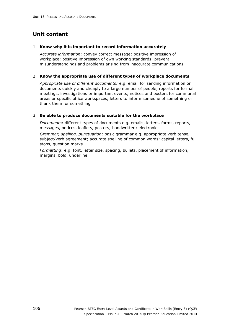#### 1 **Know why it is important to record information accurately**

*Accurate information*: convey correct message; positive impression of workplace; positive impression of own working standards; prevent misunderstandings and problems arising from inaccurate communications

#### 2 **Know the appropriate use of different types of workplace documents**

*Appropriate use of different documents:* e.g. email for sending information or documents quickly and cheaply to a large number of people, reports for formal meetings, investigations or important events, notices and posters for communal areas or specific office workspaces, letters to inform someone of something or thank them for something

### 3 **Be able to produce documents suitable for the workplace**

*Documents*: different types of documents e.g. emails, letters, forms, reports, messages, notices, leaflets, posters; handwritten; electronic

*Grammar, spelling, punctuation*: basic grammar e.g. appropriate verb tense, subject/verb agreement; accurate spelling of common words; capital letters, full stops, question marks

*Formatting*: e.g. font, letter size, spacing, bullets, placement of information, margins, bold, underline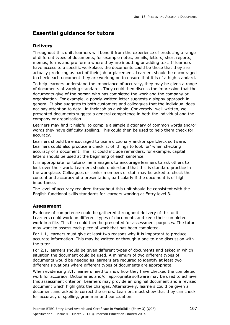### **Delivery**

Throughout this unit, learners will benefit from the experience of producing a range of different types of documents, for example notes, emails, letters, short reports, memos, forms and pro forma where they are inputting or adding text. If learners have access to a specific workplace, the documents could be those that they are actually producing as part of their job or placement. Learners should be encouraged to check each document they are working on to ensure that it is of a high standard.

To help learners understand the importance of accuracy, they may be given a range of documents of varying standards. They could then discuss the impression that the documents give of the person who has completed the work and the company or organisation. For example, a poorly-written letter suggests a sloppy approach in general. It also suggests to both customers and colleagues that the individual does not pay attention to detail in their job as a whole. Conversely, well-written, wellpresented documents suggest a general competence in both the individual and the company or organisation.

Learners may find it helpful to compile a simple dictionary of common words and/or words they have difficulty spelling. This could then be used to help them check for accuracy.

Learners should be encouraged to use a dictionary and/or spellcheck software. Learners could also produce a checklist of 'things to look for' when checking accuracy of a document. The list could include reminders, for example, capital letters should be used at the beginning of each sentence.

It is appropriate for tutors/line managers to encourage learners to ask others to look over their work. Learners should understand that this is standard practice in the workplace. Colleagues or senior members of staff may be asked to check the content and accuracy of a presentation, particularly if the document is of high importance.

The level of accuracy required throughout this unit should be consistent with the English functional skills standards for learners working at Entry level 3.

### **Assessment**

Evidence of competence could be gathered throughout delivery of this unit. Learners could work on different types of documents and keep their completed work in a file. This file could then be presented for assessment purposes. The tutor may want to assess each piece of work that has been completed.

For 1.1, learners must give at least two reasons why it is important to produce accurate information. This may be written or through a one-to-one discussion with the tutor.

For 2.1, learners should be given different types of documents and asked in which situation the document could be used. A minimum of two different types of documents would be needed as learners are required to identify at least two different situations where different types of documents are appropriate.

When evidencing 3.1, learners need to show how they have checked the completed work for accuracy. Dictionaries and/or appropriate software may be used to achieve this assessment criterion. Learners may provide an original document and a revised document which highlights the changes. Alternatively, learners could be given a document and asked to correct the errors. Learners must show that they can check for accuracy of spelling, grammar and punctuation.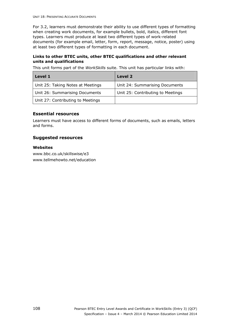For 3.2, learners must demonstrate their ability to use different types of formatting when creating work documents, for example bullets, bold, italics, different font types. Learners must produce at least two different types of work-related documents (for example email, letter, form, report, message, notice, poster) using at least two different types of formatting in each document.

### **Links to other BTEC units, other BTEC qualifications and other relevant units and qualifications**

This unit forms part of the *WorkSkills* suite. This unit has particular links with:

| Level 1                           | Level 2                           |
|-----------------------------------|-----------------------------------|
| Unit 25: Taking Notes at Meetings | Unit 24: Summarising Documents    |
| Unit 26: Summarising Documents    | Unit 25: Contributing to Meetings |
| Unit 27: Contributing to Meetings |                                   |

### **Essential resources**

Learners must have access to different forms of documents, such as emails, letters and forms.

### **Suggested resources**

### **Websites**

www.bbc.co.uk/skillswise/e3 www.tellmehowto.net/education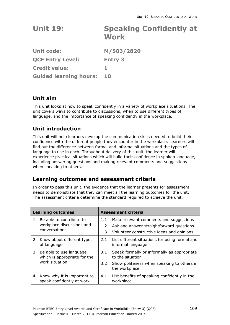| <b>Unit 19:</b>               | <b>Speaking Confidently at</b><br><b>Work</b> |
|-------------------------------|-----------------------------------------------|
| <b>Unit code:</b>             | M/503/2820                                    |
| <b>QCF Entry Level:</b>       | <b>Entry 3</b>                                |
| <b>Credit value:</b>          | 1.                                            |
| <b>Guided learning hours:</b> | <b>10</b>                                     |

## **Unit aim**

This unit looks at how to speak confidently in a variety of workplace situations. The unit covers ways to contribute to discussions, when to use different types of language, and the importance of speaking confidently in the workplace.

# **Unit introduction**

This unit will help learners develop the communication skills needed to build their confidence with the different people they encounter in the workplace. Learners will find out the difference between formal and informal situations and the types of language to use in each. Throughout delivery of this unit, the learner will experience practical situations which will build their confidence in spoken language, including answering questions and making relevant comments and suggestions when speaking to others.

# **Learning outcomes and assessment criteria**

|   | <b>Learning outcomes</b>                                                  |                      | <b>Assessment criteria</b>                                                                                                      |
|---|---------------------------------------------------------------------------|----------------------|---------------------------------------------------------------------------------------------------------------------------------|
| 1 | Be able to contribute to<br>workplace discussions and<br>conversations    | 1.1<br>1.2<br>1.3    | Make relevant comments and suggestions<br>Ask and answer straightforward questions<br>Volunteer constructive ideas and opinions |
| 2 | Know about different types<br>of language                                 | 2.1                  | List different situations for using formal and<br>informal language                                                             |
| 3 | Be able to use language<br>which is appropriate for the<br>work situation | 3.1<br>$3.2^{\circ}$ | Speak formally or informally as appropriate<br>to the situation<br>Show politeness when speaking to others in                   |
|   |                                                                           |                      | the workplace                                                                                                                   |
| 4 | Know why it is important to<br>speak confidently at work                  | 4.1                  | List benefits of speaking confidently in the<br>workplace                                                                       |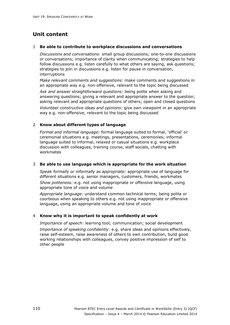#### 1 **Be able to contribute to workplace discussions and conversations**

*Discussions and conversations:* small group discussions; one-to-one discussions or conversations; importance of clarity when communicating; strategies to help follow discussions e.g. listen carefully to what others are saying, ask questions; strategies to join in discussions e.g. listen for pause in conversation, interruptions

*Make relevant comments and suggestions:* make comments and suggestions in an appropriate way e.g. non-offensive, relevant to the topic being discussed *Ask and answer straightforward questions:* being polite when asking and answering questions; giving a relevant and appropriate answer to the question; asking relevant and appropriate questions of others; open and closed questions *Volunteer constructive ideas and opinions:* give own viewpoint in an appropriate way e.g. non-offensive, relevant to the topic being discussed

### 2 **Know about different types of language**

*Formal and informal language:* formal language suited to formal, 'official' or ceremonial situations e.g. meetings, presentations, ceremonies; informal language suited to informal, relaxed or casual situations e.g. workplace discussion with colleagues, training course, staff socials, chatting with workmates

#### 3 **Be able to use language which is appropriate for the work situation**

*Speak formally or informally as appropriate:* appropriate use of language for different situations e.g. senior managers, customers, friends, workmates *Show politeness:* e.g. not using inappropriate or offensive language, using appropriate tone of voice and volume

*Appropriate language*: understand common technical terms; being polite or courteous when speaking to others e.g. not using inappropriate or offensive language, using an appropriate volume and tone of voice

### 4 **Know why it is important to speak confidently at work**

*Importance of speech*: learning tool; communication; social development *Importance of speaking confidently*: e.g. share ideas and opinions effectively, raise self-esteem, raise awareness of others to own contribution, build good working relationships with colleagues, convey positive impression of self to other people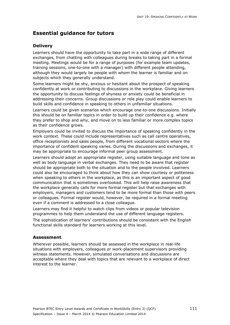### **Delivery**

Learners should have the opportunity to take part in a wide range of different exchanges, from chatting with colleagues during breaks to taking part in a formal meeting. Meetings would be for a range of purposes (for example team updates, training sessions, one-to-one with a manager) with different people attending, although they would largely be people with whom the learner is familiar and on subjects which they generally understand.

Some learners might be shy, anxious or hesitant about the prospect of speaking confidently at work or contributing to discussions in the workplace. Giving learners the opportunity to discuss feelings of shyness or anxiety could be beneficial in addressing their concerns. Group discussions or role play could enable learners to build skills and confidence in speaking to others in unfamiliar situations.

Learners could be given scenarios which encourage one-to-one discussions. Initially this should be on familiar topics in order to build up their confidence e.g. where they prefer to shop and why, and move on to less familiar or more complex topics as their confidence grows.

Employers could be invited to discuss the importance of speaking confidently in the work context. These could include representatives such as call centre operatives, office receptionists and sales people, from different vocational sectors where the importance of confident speaking varies. During the discussions and exchanges, it may be appropriate to encourage informal peer group assessment.

Learners should adopt an appropriate register, using suitable language and tone as well as body language in verbal exchanges. They need to be aware that register should be appropriate both to the situation and to the people involved. Learners could also be encouraged to think about how they can show courtesy or politeness when speaking to others in the workplace, as this is an important aspect of good communication that is sometimes overlooked. This will help raise awareness that the workplace generally calls for more formal register but that exchanges with employers, managers and customers tend to be more formal than those with peers or colleagues. Formal register would, however, be required in a formal meeting even if a comment is addressed to a close colleague.

Learners may find it helpful to watch clips from videos or popular television programmes to help them understand the use of different language registers. The sophistication of learners' contributions should be consistent with the English functional skills standard for learners working at this level.

### **Assessment**

Wherever possible, learners should be assessed in the workplace in real-life situations with employers, colleagues or work-placement supervisors providing witness statements. However, simulated conversations and discussions are acceptable where they deal with topics that are relevant to a workplace of direct interest to the learner.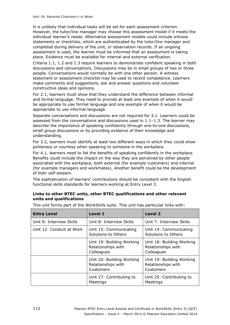It is unlikely that individual tasks will be set for each assessment criterion. However, the tutor/line manager may choose this assessment model if it meets the individual learner's needs. Alternative assessment models could include witness statements or checklists, which are authenticated by the tutor/line manager and completed during delivery of the unit, or observation records. If an ongoing assessment is used, the learner must be informed that an assessment is taking place. Evidence must be available for internal and external verification.

Criteria 1.1, 1.2 and 1.3 require learners to demonstrate confident speaking in both discussions and conversations. Discussions may be in small groups of two or three people. Conversations would normally be with one other person. A witness statement or assessment checklist may be used to record competence. Learners make comments and suggestions, ask and answer questions and volunteer constructive ideas and opinions.

For 2.1, learners must show that they understand the difference between informal and formal language. They need to provide at least one example of when it would be appropriate to use formal language and one example of when it would be appropriate to use informal language.

Separate conversations and discussions are not required for 3.1. Learners could be assessed from the conversations and discussions used in  $1.1-1.3$ . The learner may describe the importance of speaking confidently through one-to-one discussions, small group discussions or by providing evidence of their knowledge and understanding.

For 3.2, learners must identify at least two different ways in which they could show politeness or courtesy when speaking to someone in the workplace.

For 4.1, learners need to list the benefits of speaking confidently in the workplace. Benefits could include the impact on the way they are perceived by other people associated with the workplace, both external (for example customers) and internal (for example managers and workmates). Another benefit could be the development of their self-esteem.

The sophistication of learners' contributions should be consistent with the English functional skills standards for learners working at Entry Level 3.

### **Links to other BTEC units, other BTEC qualifications and other relevant units and qualifications**

| <b>Entry Level</b>       | Level 1                                                       | Level 2                                                       |
|--------------------------|---------------------------------------------------------------|---------------------------------------------------------------|
| Unit 8: Interview Skills | Unit 8: Interview Skills                                      | Unit 7: Interview Skills                                      |
| Unit 12: Conduct at Work | Unit 15: Communicating<br>Solutions to Others                 | Unit 14: Communicating<br>Solutions to Others                 |
|                          | Unit 19: Building Working<br>Relationships with<br>Colleagues | Unit 18: Building Working<br>Relationships with<br>Colleagues |
|                          | Unit 20: Building Working<br>Relationships with<br>Customers  | Unit 19: Building Working<br>Relationships with<br>Customers  |
|                          | Unit 27: Contributing to<br>Meetings                          | Unit 25: Contributing to<br>Meetings                          |

This unit forms part of the *WorkSkills* suite. This unit has particular links with: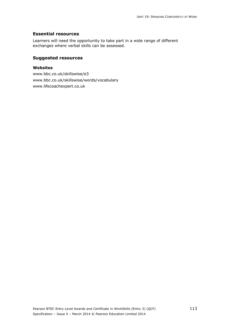### **Essential resources**

Learners will need the opportunity to take part in a wide range of different exchanges where verbal skills can be assessed.

### **Suggested resources**

### **Websites**

www.bbc.co.uk/skillswise/e3 www.bbc.co.uk/skillswise/words/vocabulary www.lifecoachexpert.co.uk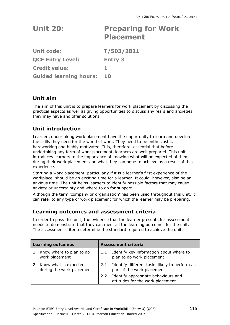| <b>Unit 20:</b>               | <b>Preparing for Work</b><br><b>Placement</b> |
|-------------------------------|-----------------------------------------------|
| Unit code:                    | T/503/2821                                    |
| <b>QCF Entry Level:</b>       | <b>Entry 3</b>                                |
| <b>Credit value:</b>          | 1.                                            |
| <b>Guided learning hours:</b> | 10                                            |
|                               |                                               |

## **Unit aim**

The aim of this unit is to prepare learners for work placement by discussing the practical aspects as well as giving opportunities to discuss any fears and anxieties they may have and offer solutions.

# **Unit introduction**

Learners undertaking work placement have the opportunity to learn and develop the skills they need for the world of work. They need to be enthusiastic, hardworking and highly motivated. It is, therefore, essential that before undertaking any form of work placement, learners are well prepared. This unit introduces learners to the importance of knowing what will be expected of them during their work placement and what they can hope to achieve as a result of this experience.

Starting a work placement, particularly if it is a learner's first experience of the workplace, should be an exciting time for a learner. It could, however, also be an anxious time. The unit helps learners to identify possible factors that may cause anxiety or uncertainty and where to go for support.

Although the term 'company or organisation' has been used throughout this unit, it can refer to any type of work placement for which the learner may be preparing.

## **Learning outcomes and assessment criteria**

| <b>Learning outcomes</b>                           | <b>Assessment criteria</b> |                                                                             |
|----------------------------------------------------|----------------------------|-----------------------------------------------------------------------------|
| Know where to plan to do<br>work placement         | 1.1                        | Identify key information about where to<br>plan to do work placement        |
| Know what is expected<br>during the work placement | 2.1                        | Identify different tasks likely to perform as<br>part of the work placement |
|                                                    | 2.2                        | Identify appropriate behaviours and<br>attitudes for the work placement     |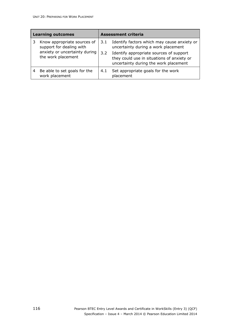| <b>Learning outcomes</b>                                                                                       | <b>Assessment criteria</b> |                                                                                                                                                                                                                      |
|----------------------------------------------------------------------------------------------------------------|----------------------------|----------------------------------------------------------------------------------------------------------------------------------------------------------------------------------------------------------------------|
| Know appropriate sources of<br>support for dealing with<br>anxiety or uncertainty during<br>the work placement | 3.1<br>3.2                 | Identify factors which may cause anxiety or<br>uncertainty during a work placement<br>Identify appropriate sources of support<br>they could use in situations of anxiety or<br>uncertainty during the work placement |
| Be able to set goals for the<br>work placement                                                                 | 4.1                        | Set appropriate goals for the work<br>placement                                                                                                                                                                      |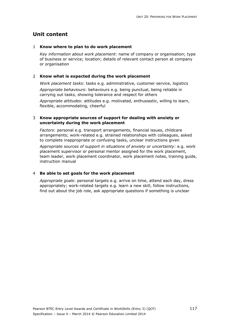#### 1 **Know where to plan to do work placement**

*Key information about work placement*: name of company or organisation; type of business or service; location; details of relevant contact person at company or organisation

### 2 **Know what is expected during the work placement**

*Work placement tasks*: tasks e.g. administrative, customer service, logistics *Appropriate behaviours*: behaviours e.g. being punctual, being reliable in carrying out tasks, showing tolerance and respect for others *Appropriate attitudes*: attitudes e.g. motivated, enthusiastic, willing to learn, flexible, accommodating, cheerful

#### 3 **Know appropriate sources of support for dealing with anxiety or uncertainty during the work placement**

*Factors*: personal e.g. transport arrangements, financial issues, childcare arrangements; work-related e.g. strained relationships with colleagues, asked to complete inappropriate or confusing tasks, unclear instructions given

*Appropriate sources of support in situations of anxiety or uncertainty:* e.g. work placement supervisor or personal mentor assigned for the work placement, team leader, work placement coordinator, work placement notes, training guide, instruction manual

#### 4 **Be able to set goals for the work placement**

*Appropriate goals*: personal targets e.g. arrive on time, attend each day, dress appropriately; work-related targets e.g. learn a new skill, follow instructions, find out about the job role, ask appropriate questions if something is unclear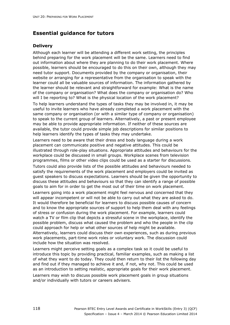### **Delivery**

Although each learner will be attending a different work setting, the principles behind preparing for the work placement will be the same. Learners need to find out information about where they are planning to do their work placement. Where possible, learners should be encouraged to do this on their own, although they may need tutor support. Documents provided by the company or organisation, their website or arranging for a representative from the organisation to speak with the learner could all be valuable sources of information. The information gathered by the learner should be relevant and straightforward for example: What is the name of the company or organisation? What does the company or organisation do? Who will I be reporting to? What is the physical location of the work placement?

To help learners understand the types of tasks they may be involved in, it may be useful to invite learners who have already completed a work placement with the same company or organisation (or with a similar type of company or organisation) to speak to the current group of learners. Alternatively, a past or present employee may be able to provide appropriate information. If neither of these sources are available, the tutor could provide simple job descriptions for similar positions to help learners identify the types of tasks they may undertake.

Learners need to be aware that their dress and body language during a work placement can communicate positive and negative attitudes. This could be illustrated through role-play situations. Appropriate attitudes and behaviours for the workplace could be discussed in small groups. Workplace scenes from television programmes, films or other video clips could be used as a starter for discussions.

Tutors could also provide lists of the possible attitudes and behaviours needed to satisfy the requirements of the work placement and employers could be invited as guest speakers to discuss expectations. Learners should be given the opportunity to discuss these attitudes and behaviours so that they can identify a range of possible goals to aim for in order to get the most out of their time on work placement.

Learners going into a work placement might feel nervous and concerned that they will appear incompetent or will not be able to carry out what they are asked to do. It would therefore be beneficial for learners to discuss possible causes of concern and to know the appropriate sources of support to help them deal with any feelings of stress or confusion during the work placement. For example, learners could watch a TV or film clip that depicts a stressful scene in the workplace, identify the possible problem, discuss what caused the problem and who the people in the clip could approach for help or what other sources of help might be available. Alternatively, learners could discuss their own experiences, such as during previous work placements, part-time work roles or voluntary work. The discussion could include how the situation was resolved.

Learners might perceive setting goals as a complex task so it could be useful to introduce this topic by providing practical, familiar examples, such as making a list of what they want to do today. They could then return to their list the following day and find out if they managed to achieve it and, if not, why not. This could be used as an introduction to setting realistic, appropriate goals for their work placement.

Learners may wish to discuss possible work placement goals in group situations and/or individually with tutors or careers advisers.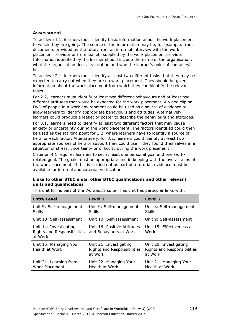### **Assessment**

To achieve 1.1, learners must identify basic information about the work placement to which they are going. The source of the information may be, for example, from documents provided by the tutor, from an informal interview with the work placement provider or from leaflets supplied by the work placement provider. Information identified by the learner should include the name of the organisation, what the organisation does, its location and who the learner's point of contact will be.

To achieve 2.1, learners must identify at least two different tasks that they may be expected to carry out when they are on work placement. They should be given information about the work placement from which they can identify the relevant tasks.

For 2.2, learners must identify at least two different behaviours and at least two different attitudes that would be expected for the work placement. A video clip or DVD of people in a work environment could be used as a source of evidence to allow learners to identify appropriate behaviours and attitudes. Alternatively, learners could produce a leaflet or poster to describe the behaviours and attitudes.

For 3.1, learners need to identify at least two different factors that may cause anxiety or uncertainty during the work placement. The factors identified could then be used as the starting point for 3.2, where learners have to identify a source of help for each factor. Alternatively, for 3.2, learners could identify at least two appropriate sources of help or support they could use if they found themselves in a situation of stress, uncertainty or difficulty during the work placement.

Criterion 4.1 requires learners to set at least one personal goal and one workrelated goal. The goals must be appropriate and in keeping with the overall aims of the work placement. If this is carried out as part of a tutorial, evidence must be available for internal and external verification.

### **Links to other BTEC units, other BTEC qualifications and other relevant units and qualifications**

| <b>Entry Level</b>                                               | Level 1                                                          | <b>Level 2</b>                                                          |
|------------------------------------------------------------------|------------------------------------------------------------------|-------------------------------------------------------------------------|
| Unit 9: Self-management<br><b>Skills</b>                         | Unit 9: Self-management<br><b>Skills</b>                         | Unit 8: Self-management<br><b>Skills</b>                                |
| Unit 10: Self-assessment                                         | Unit 10: Self-assessment                                         | Unit 9: Self-assessment                                                 |
| Unit 14: Investigating<br>Rights and Responsibilities<br>at Work | Unit 16: Positive Attitudes<br>and Behaviours at Work            | Unit 15: Effectiveness at<br>Work                                       |
| Unit 15: Managing Your<br>Health at Work                         | Unit 21: Investigating<br>Rights and Responsibilities<br>at Work | Unit 20: Investigating<br><b>Rights and Responsibilities</b><br>at Work |
| Unit 21: Learning from<br><b>Work Placement</b>                  | Unit 22: Managing Your<br>Health at Work                         | Unit 21: Managing Your<br>Health at Work                                |

This unit forms part of the *WorkSkills* suite. This unit has particular links with: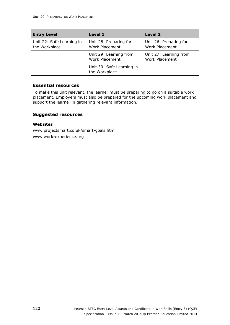| <b>Entry Level</b>                         | Level 1                                         | Level 2                                         |
|--------------------------------------------|-------------------------------------------------|-------------------------------------------------|
| Unit 22: Safe Learning in<br>the Workplace | Unit 28: Preparing for<br><b>Work Placement</b> | Unit 26: Preparing for<br><b>Work Placement</b> |
|                                            | Unit 29: Learning from<br><b>Work Placement</b> | Unit 27: Learning from<br>Work Placement        |
|                                            | Unit 30: Safe Learning in<br>the Workplace      |                                                 |

### **Essential resources**

To make this unit relevant, the learner must be preparing to go on a suitable work placement. Employers must also be prepared for the upcoming work placement and support the learner in gathering relevant information.

### **Suggested resources**

### **Websites**

www.projectsmart.co.uk/smart-goals.html www.work-experience.org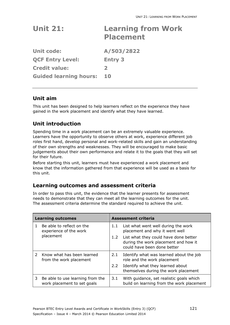| <b>Unit 21:</b>    | <b>Learning from Work</b><br><b>Placement</b> |
|--------------------|-----------------------------------------------|
| المتماسم والمقابلة | A / EAS / 3033                                |

**Unit code: A/503/2822 QCF Entry Level: Entry 3 Credit value: 2 Guided learning hours: 10** 

# **Unit aim**

This unit has been designed to help learners reflect on the experience they have gained in the work placement and identify what they have learned.

# **Unit introduction**

Spending time in a work placement can be an extremely valuable experience. Learners have the opportunity to observe others at work, experience different job roles first hand, develop personal and work-related skills and gain an understanding of their own strengths and weaknesses. They will be encouraged to make basic judgements about their own performance and relate it to the goals that they will set for their future.

Before starting this unit, learners must have experienced a work placement and know that the information gathered from that experience will be used as a basis for this unit.

# **Learning outcomes and assessment criteria**

| <b>Learning outcomes</b> |                                                                 | <b>Assessment criteria</b> |                                                                                                              |
|--------------------------|-----------------------------------------------------------------|----------------------------|--------------------------------------------------------------------------------------------------------------|
|                          | Be able to reflect on the<br>experience of the work             | 1.1                        | List what went well during the work<br>placement and why it went well                                        |
|                          | placement                                                       | 1.2                        | List what they could have done better<br>during the work placement and how it<br>could have been done better |
|                          | Know what has been learned<br>from the work placement           | 2.1                        | Identify what was learned about the job<br>role and the work placement                                       |
|                          |                                                                 | $2.2^{\circ}$              | Identify what they learned about<br>themselves during the work placement                                     |
| 3                        | Be able to use learning from the<br>work placement to set goals | 3.1                        | With guidance, set realistic goals which<br>build on learning from the work placement                        |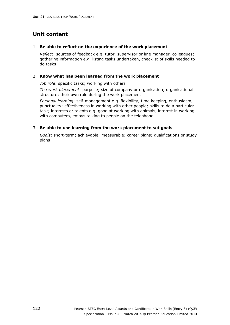### 1 **Be able to reflect on the experience of the work placement**

*Reflect*: sources of feedback e.g. tutor, supervisor or line manager, colleagues; gathering information e.g. listing tasks undertaken, checklist of skills needed to do tasks

### 2 **Know what has been learned from the work placement**

*Job role*: specific tasks; working with others

*The work placement*: purpose; size of company or organisation; organisational structure; their own role during the work placement

*Personal learning*: self-management e.g. flexibility, time keeping, enthusiasm, punctuality; effectiveness in working with other people; skills to do a particular task; interests or talents e.g. good at working with animals, interest in working with computers, enjoys talking to people on the telephone

### 3 **Be able to use learning from the work placement to set goals**

*Goals*: short-term; achievable; measurable; career plans; qualifications or study plans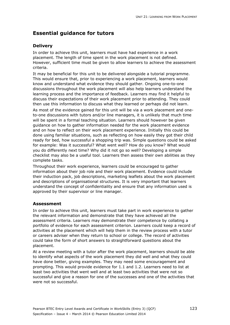### **Delivery**

In order to achieve this unit, learners must have had experience in a work placement. The length of time spent in the work placement is not defined. However, sufficient time must be given to allow learners to achieve the assessment criteria.

It may be beneficial for this unit to be delivered alongside a tutorial programme. This would ensure that, prior to experiencing a work placement, learners would know and understand what evidence they should gather. Ongoing one-to-one discussions throughout the work placement will also help learners understand the learning process and the importance of feedback. Learners may find it helpful to discuss their expectations of their work placement prior to attending. They could then use this information to discuss what they learned or perhaps did not learn.

As most of the evidence gained for this unit will be via a work placement and oneto-one discussions with tutors and/or line managers, it is unlikely that much time will be spent in a formal teaching situation. Learners should however be given guidance on how to gather information needed for the work placement evidence and on how to reflect on their work placement experience. Initially this could be done using familiar situations, such as reflecting on how easily they got their child ready for bed, how successful a shopping trip was. Simple questions could be asked for example: Was it successful? What went well? How do you know? What would you do differently next time? Why did it not go so well? Developing a simple checklist may also be a useful tool. Learners then assess their own abilities as they complete tasks.

Throughout their work experience, learners could be encouraged to gather information about their job role and their work placement. Evidence could include their induction pack, job descriptions, marketing leaflets about the work placement and descriptions of organisational structures. It is very important that learners understand the concept of confidentiality and ensure that any information used is approved by their supervisor or line manager.

### **Assessment**

In order to achieve this unit, learners must take part in work experience to gather the relevant information and demonstrate that they have achieved all the assessment criteria. Learners may demonstrate their competence by collating a portfolio of evidence for each assessment criterion. Learners could keep a record of activities at the placement which will help them in the review process with a tutor or careers adviser when they return to school or college. The record of activities could take the form of short answers to straightforward questions about the placement.

At a review meeting with a tutor after the work placement, learners should be able to identify what aspects of the work placement they did well and what they could have done better, giving examples. They may need some encouragement and prompting. This would provide evidence for 1.1 and 1.2. Learners need to list at least two activities that went well and at least two activities that were not so successful and give a reason for one of the successes and one of the activities that were not so successful.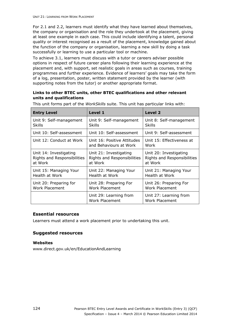For 2.1 and 2.2, learners must identify what they have learned about themselves, the company or organisation and the role they undertook at the placement, giving at least one example in each case. This could include identifying a talent, personal quality or interest recognised as a result of the placement, knowledge gained about the function of the company or organisation, learning a new skill by doing a task successfully or learning to use a particular tool or machine.

To achieve 3.1, learners must discuss with a tutor or careers adviser possible options in respect of future career plans following their learning experience at the placement and, with support, set realistic goals in areas such as courses, training programmes and further experience. Evidence of learners' goals may take the form of a log, presentation, poster, written statement provided by the learner (with supporting notes from the tutor) or another appropriate format.

### **Links to other BTEC units, other BTEC qualifications and other relevant units and qualifications**

| <b>Entry Level</b>          | Level 1                                               | <b>Level 2</b>                           |
|-----------------------------|-------------------------------------------------------|------------------------------------------|
| Unit 9: Self-management     | Unit 9: Self-management                               | Unit 8: Self-management                  |
| <b>Skills</b>               | Skills                                                | <b>Skills</b>                            |
| Unit 10: Self-assessment    | Unit 10: Self-assessment                              | Unit 9: Self-assessment                  |
| Unit 12: Conduct at Work    | Unit 16: Positive Attitudes<br>and Behaviours at Work | Unit 15: Effectiveness at<br>Work        |
| Unit 14: Investigating      | Unit 21: Investigating                                | Unit 20: Investigating                   |
| Rights and Responsibilities | Rights and Responsibilities                           | Rights and Responsibilities              |
| at Work                     | at Work                                               | at Work                                  |
| Unit 15: Managing Your      | Unit 22: Managing Your                                | Unit 21: Managing Your                   |
| Health at Work              | Health at Work                                        | Health at Work                           |
| Unit 20: Preparing for      | Unit 28: Preparing For                                | Unit 26: Preparing For                   |
| Work Placement              | Work Placement                                        | Work Placement                           |
|                             | Unit 29: Learning from<br>Work Placement              | Unit 27: Learning from<br>Work Placement |

This unit forms part of the *WorkSkills* suite. This unit has particular links with:

### **Essential resources**

Learners must attend a work placement prior to undertaking this unit.

### **Suggested resources**

### **Websites**

www.direct.gov.uk/en/EducationAndLearning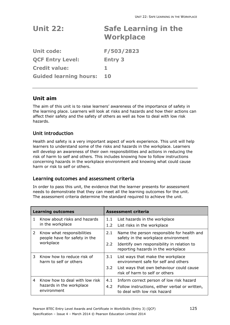| <b>Unit 22:</b> | <b>Safe Learning in the</b> |
|-----------------|-----------------------------|
|                 | <b>Workplace</b>            |

**Unit code: F/503/2823 QCF Entry Level: Entry 3 Credit value: 1 Guided learning hours: 10** 

## **Unit aim**

The aim of this unit is to raise learners' awareness of the importance of safety in the learning place. Learners will look at risks and hazards and how their actions can affect their safety and the safety of others as well as how to deal with low risk hazards.

## **Unit introduction**

Health and safety is a very important aspect of work experience. This unit will help learners to understand some of the risks and hazards in the workplace. Learners will develop an awareness of their own responsibilities and actions in reducing the risk of harm to self and others. This includes knowing how to follow instructions concerning hazards in the workplace environment and knowing what could cause harm or risk to self or others.

### **Learning outcomes and assessment criteria**

|                | <b>Learning outcomes</b>                                    |               | Assessment criteria                                                               |
|----------------|-------------------------------------------------------------|---------------|-----------------------------------------------------------------------------------|
| 1.             | Know about risks and hazards                                | 1.1           | List hazards in the workplace                                                     |
|                | in the workplace                                            | 1.2           | List risks in the workplace                                                       |
| $\overline{2}$ | Know what responsibilities<br>people have for safety in the | 2.1           | Name the person responsible for health and<br>safety in the workplace environment |
|                | workplace                                                   | $2.2^{\circ}$ | Identify own responsibility in relation to<br>reporting hazards in the workplace  |
| 3              | Know how to reduce risk of<br>harm to self or others        | 3.1           | List ways that make the workplace<br>environment safe for self and others         |
|                |                                                             | $3.2^{\circ}$ | List ways that own behaviour could cause<br>risk of harm to self or others        |
| 4              | Know how to deal with low risk                              | 4.1           | Inform correct person of low risk hazard                                          |
|                | hazards in the workplace<br>environment                     | 4.2           | Follow instructions, either verbal or written,<br>to deal with low risk hazard    |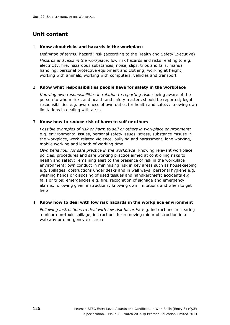### 1 **Know about risks and hazards in the workplace**

*Definition of terms:* hazard; risk (according to the Health and Safety Executive) *Hazards and risks in the workplace:* low risk hazards and risks relating to e.g. electricity, fire, hazardous substances, noise, slips, trips and falls, manual handling; personal protective equipment and clothing; working at height, working with animals, working with computers, vehicles and transport

### 2 **Know what responsibilities people have for safety in the workplace**

*Knowing own responsibilities in relation to reporting risks:* being aware of the person to whom risks and health and safety matters should be reported; legal responsibilities e.g. awareness of own duties for health and safety; knowing own limitations in dealing with a risk

### 3 **Know how to reduce risk of harm to self or others**

*Possible examples of risk or harm to self or others in workplace environment:*  e.g. environmental issues, personal safety issues, stress, substance misuse in the workplace, work-related violence, bullying and harassment, lone working, mobile working and length of working time

*Own behaviour for safe practice in the workplace*: knowing relevant workplace policies, procedures and safe working practice aimed at controlling risks to health and safety; remaining alert to the presence of risk in the workplace environment; own conduct in minimising risk in key areas such as housekeeping e.g. spillages, obstructions under desks and in walkways; personal hygiene e.g. washing hands or disposing of used tissues and handkerchiefs; accidents e.g. falls or trips; emergencies e.g. fire, recognition of signage and emergency alarms, following given instructions; knowing own limitations and when to get help

### 4 **Know how to deal with low risk hazards in the workplace environment**

*Following instructions to deal with low risk hazards*: e.g. instructions in clearing a minor non-toxic spillage, instructions for removing minor obstruction in a walkway or emergency exit area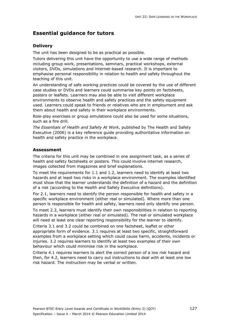### **Delivery**

The unit has been designed to be as practical as possible.

Tutors delivering this unit have the opportunity to use a wide range of methods including group work, presentations, seminars, practical workshops, external visitors, DVDs, simulations and internet-based research. It is important to emphasise personal responsibility in relation to health and safety throughout the teaching of this unit.

An understanding of safe working practices could be covered by the use of different case studies or DVDs and learners could summarise key points on factsheets, posters or leaflets. Learners may also be able to visit different workplace environments to observe health and safety practices and the safety equipment used. Learners could speak to friends or relatives who are in employment and ask them about health and safety in their workplace environments.

Role-play exercises or group simulations could also be used for some situations, such as a fire drill.

*The Essentials of Health and Safety At Work*, published by The Health and Safety Executive (2006) is a key reference guide providing authoritative information on health and safety practice in the workplace.

### **Assessment**

The criteria for this unit may be combined in one assignment task, as a series of health and safety factsheets or posters. This could involve internet research, images collected from magazines and brief explanations.

To meet the requirements for 1.1 and 1.2, learners need to identify at least two hazards and at least two risks in a workplace environment. The examples identified must show that the learner understands the definition of a hazard and the definition of a risk (according to the Health and Safety Executive definitions).

For 2.1, learners need to identify the person responsible for health and safety in a specific workplace environment (either real or simulated). Where more than one person is responsible for health and safety, learners need only identify one person.

To meet 2.2, learners must identify their own responsibilities in relation to reporting hazards in a workplace (either real or simulated). The real or simulated workplace will need at least one clear reporting responsibility for the learner to identify.

Criteria 3.1 and 3.2 could be combined on one factsheet, leaflet or other appropriate form of evidence. 3.1 requires at least two specific, straightforward examples from a workplace setting which could cause harm, accidents, incidents or injuries. 3.2 requires learners to identify at least two examples of their own behaviour which could minimise risk in the workplace.

Criteria 4.1 requires learners to alert the correct person of a low risk hazard and then, for 4.2, learners need to carry out instructions to deal with at least one low risk hazard. The instruction may be verbal or written.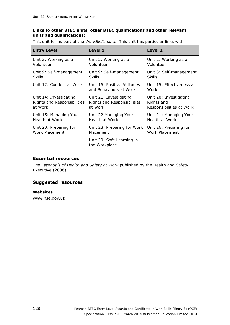### **Links to other BTEC units, other BTEC qualifications and other relevant units and qualifications:**

This unit forms part of the *WorkSkills* suite. This unit has particular links with:

| <b>Entry Level</b>          | <b>Level 1</b>                                        | <b>Level 2</b>                    |
|-----------------------------|-------------------------------------------------------|-----------------------------------|
| Unit 2: Working as a        | Unit 2: Working as a                                  | Unit 2: Working as a              |
| Volunteer                   | Volunteer                                             | Volunteer                         |
| Unit 9: Self-management     | Unit 9: Self-management                               | Unit 8: Self-management           |
| <b>Skills</b>               | <b>Skills</b>                                         | <b>Skills</b>                     |
| Unit 12: Conduct at Work    | Unit 16: Positive Attitudes<br>and Behaviours at Work | Unit 15: Effectiveness at<br>Work |
| Unit 14: Investigating      | Unit 21: Investigating                                | Unit 20: Investigating            |
| Rights and Responsibilities | Rights and Responsibilities                           | Rights and                        |
| at Work                     | at Work                                               | Responsibilities at Work          |
| Unit 15: Managing Your      | Unit 22 Managing Your                                 | Unit 21: Managing Your            |
| Health at Work              | Health at Work                                        | Health at Work                    |
| Unit 20: Preparing for      | Unit 28: Preparing for Work                           | Unit 26: Preparing for            |
| <b>Work Placement</b>       | Placement                                             | <b>Work Placement</b>             |
|                             | Unit 30: Safe Learning in<br>the Workplace            |                                   |

### **Essential resources**

*The Essentials of Health and Safety at Work* published by the Health and Safety Executive (2006)

### **Suggested resources**

#### **Websites**

www.hse.gov.uk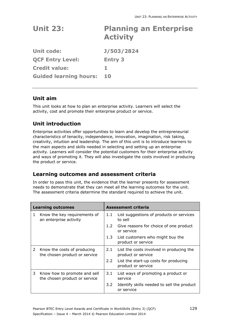| <b>Unit 23:</b>               | <b>Planning an Enterprise</b><br><b>Activity</b> |
|-------------------------------|--------------------------------------------------|
| <b>Unit code:</b>             | <b>J/503/2824</b>                                |
| <b>QCF Entry Level:</b>       | <b>Entry 3</b>                                   |
| <b>Credit value:</b>          | 1.                                               |
| <b>Guided learning hours:</b> | <b>10</b>                                        |

## **Unit aim**

This unit looks at how to plan an enterprise activity. Learners will select the activity, cost and promote their enterprise product or service.

# **Unit introduction**

Enterprise activities offer opportunities to learn and develop the entrepreneurial characteristics of tenacity, independence, innovation, imagination, risk taking, creativity, intuition and leadership. The aim of this unit is to introduce learners to the main aspects and skills needed in selecting and setting up an enterprise activity. Learners will consider the potential customers for their enterprise activity and ways of promoting it. They will also investigate the costs involved in producing the product or service.

## **Learning outcomes and assessment criteria**

|   | <b>Learning outcomes</b>                                      |               | Assessment criteria                                            |  |
|---|---------------------------------------------------------------|---------------|----------------------------------------------------------------|--|
| 1 | Know the key requirements of<br>an enterprise activity        | 1.1           | List suggestions of products or services<br>to sell            |  |
|   |                                                               | 1.2           | Give reasons for choice of one product<br>or service           |  |
|   |                                                               | 1.3           | List customers who might buy the<br>product or service         |  |
| 2 | Know the costs of producing<br>the chosen product or service  | 2.1           | List the costs involved in producing the<br>product or service |  |
|   |                                                               | $2.2^{\circ}$ | List the start-up costs for producing<br>product or service    |  |
| 3 | Know how to promote and sell<br>the chosen product or service | 3.1           | List ways of promoting a product or<br>service                 |  |
|   |                                                               | 3.2           | Identify skills needed to sell the product<br>or service       |  |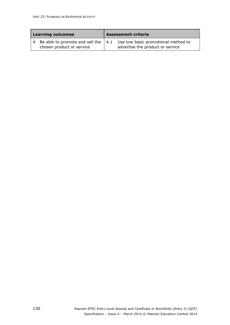| <b>Learning outcomes</b> |                           | <b>Assessment criteria</b> |                                                                                                                       |
|--------------------------|---------------------------|----------------------------|-----------------------------------------------------------------------------------------------------------------------|
|                          | chosen product or service |                            | 4 Be able to promote and sell the $\vert 4.1$ Use one basic promotional method to<br>advertise the product or service |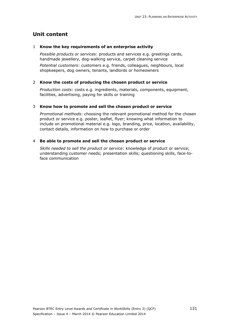#### 1 **Know the key requirements of an enterprise activity**

*Possible products or services*: products and services e.g. greetings cards, handmade jewellery, dog-walking service, carpet cleaning service

*Potential customers*: customers e.g. friends, colleagues, neighbours, local shopkeepers, dog owners, tenants, landlords or homeowners

#### 2 **Know the costs of producing the chosen product or service**

*Production costs*: costs e.g. ingredients, materials, components, equipment, facilities, advertising, paying for skills or training

#### 3 **Know how to promote and sell the chosen product or service**

*Promotional methods*: choosing the relevant promotional method for the chosen product or service e.g. poster, leaflet, flyer; knowing what information to include on promotional material e.g. logo, branding, price, location, availability, contact details, information on how to purchase or order

#### 4 **Be able to promote and sell the chosen product or service**

*Skills needed to sell the product or service*: knowledge of product or service; understanding customer needs; presentation skills; questioning skills, face-toface communication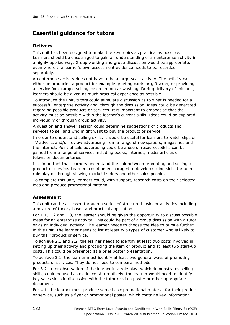### **Delivery**

This unit has been designed to make the key topics as practical as possible. Learners should be encouraged to gain an understanding of an enterprise activity in a highly applied way. Group working and group discussion would be appropriate, even where the learner's own assessment evidence needs to be recorded separately.

An enterprise activity does not have to be a large-scale activity. The activity can either be producing a product for example greeting cards or gift wrap, or providing a service for example selling ice cream or car washing. During delivery of this unit, learners should be given as much practical experience as possible.

To introduce the unit, tutors could stimulate discussion as to what is needed for a successful enterprise activity and, through the discussion, ideas could be generated regarding possible products or services. It is important to emphasise that the activity must be possible within the learner's current skills. Ideas could be explored individually or through group activity.

A question and answer session could determine suggestions of products and services to sell and who might want to buy the product or service.

In order to understand selling skills, it would be useful for learners to watch clips of TV adverts and/or review advertising from a range of newspapers, magazines and the internet. Point of sale advertising could be a useful resource. Skills can be gained from a range of services including books, internet, media articles or television documentaries.

It is important that learners understand the link between promoting and selling a product or service. Learners could be encouraged to develop selling skills through role play or through viewing market traders and other sales people.

To complete this unit, learners could, with support, research costs on their selected idea and produce promotional material.

### **Assessment**

This unit can be assessed through a series of structured tasks or activities including a mixture of theory-based and practical application.

For 1.1, 1.2 and 1.3, the learner should be given the opportunity to discuss possible ideas for an enterprise activity. This could be part of a group discussion with a tutor or as an individual activity. The learner needs to choose the idea to pursue further in this unit. The learner needs to list at least two types of customer who is likely to buy their product or service.

To achieve 2.1 and 2.2, the learner needs to identify at least two costs involved in setting up their activity and producing the item or product and at least two start-up costs. This could be presented as a brief poster presentation.

To achieve 3.1, the learner must identify at least two general ways of promoting products or services. They do not need to compare methods

For 3.2, tutor observation of the learner in a role play, which demonstrates selling skills, could be used as evidence. Alternatively, the learner would need to identify key sales skills in discussion with the tutor or via a poster or other appropriate document.

For 4.1, the learner must produce some basic promotional material for their product or service, such as a flyer or promotional poster, which contains key information.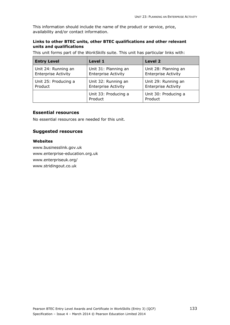This information should include the name of the product or service, price, availability and/or contact information.

### **Links to other BTEC units, other BTEC qualifications and other relevant units and qualifications**

This unit forms part of the *WorkSkills* suite. This unit has particular links with:

| <b>Entry Level</b>         | Level 1                         | <b>Level 2</b>                  |
|----------------------------|---------------------------------|---------------------------------|
| Unit 24: Running an        | Unit 31: Planning an            | Unit 28: Planning an            |
| <b>Enterprise Activity</b> | <b>Enterprise Activity</b>      | <b>Enterprise Activity</b>      |
| Unit 25: Producing a       | Unit 32: Running an             | Unit 29: Running an             |
| Product                    | <b>Enterprise Activity</b>      | <b>Enterprise Activity</b>      |
|                            | Unit 33: Producing a<br>Product | Unit 30: Producing a<br>Product |

### **Essential resources**

No essential resources are needed for this unit.

### **Suggested resources**

#### **Websites**

www.businesslink.gov.uk www.enterprise-education.org.uk www.enterpriseuk.org/ www.stridingout.co.uk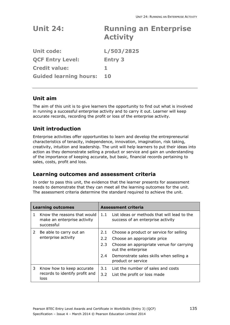| <b>Unit 24:</b>               | <b>Running an Enterprise</b><br><b>Activity</b> |
|-------------------------------|-------------------------------------------------|
| <b>Unit code:</b>             | L/503/2825                                      |
| <b>QCF Entry Level:</b>       | <b>Entry 3</b>                                  |
| <b>Credit value:</b>          | 1.                                              |
| <b>Guided learning hours:</b> | <b>10</b>                                       |

## **Unit aim**

The aim of this unit is to give learners the opportunity to find out what is involved in running a successful enterprise activity and to carry it out. Learner will keep accurate records, recording the profit or loss of the enterprise activity.

# **Unit introduction**

Enterprise activities offer opportunities to learn and develop the entrepreneurial characteristics of tenacity, independence, innovation, imagination, risk taking, creativity, intuition and leadership. The unit will help learners to put their ideas into action as they demonstrate selling a product or service and gain an understanding of the importance of keeping accurate, but basic, financial records pertaining to sales, costs, profit and loss.

## **Learning outcomes and assessment criteria**

|   | <b>Learning outcomes</b>                                                 | <b>Assessment criteria</b> |                                                                                  |  |
|---|--------------------------------------------------------------------------|----------------------------|----------------------------------------------------------------------------------|--|
|   | Know the reasons that would<br>make an enterprise activity<br>successful | 1.1                        | List ideas or methods that will lead to the<br>success of an enterprise activity |  |
| 2 | Be able to carry out an                                                  | 2.1                        | Choose a product or service for selling                                          |  |
|   | enterprise activity                                                      | 2.2                        | Choose an appropriate price                                                      |  |
|   |                                                                          | 2.3                        | Choose an appropriate venue for carrying<br>out the enterprise                   |  |
|   |                                                                          | $2.4^{\circ}$              | Demonstrate sales skills when selling a<br>product or service                    |  |
| 3 | Know how to keep accurate<br>records to identify profit and<br>loss      | 3.1                        | List the number of sales and costs                                               |  |
|   |                                                                          | $3.2^{\circ}$              | List the profit or loss made                                                     |  |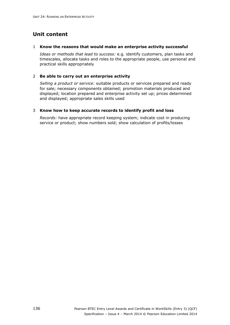#### 1 **Know the reasons that would make an enterprise activity successful**

*Ideas or methods that lead to success:* e.g. identify customers, plan tasks and timescales, allocate tasks and roles to the appropriate people, use personal and practical skills appropriately

#### 2 **Be able to carry out an enterprise activity**

*Selling a product or service:* suitable products or services prepared and ready for sale; necessary components obtained; promotion materials produced and displayed; location prepared and enterprise activity set up; prices determined and displayed; appropriate sales skills used

### 3 **Know how to keep accurate records to identify profit and loss**

*Records:* have appropriate record keeping system; indicate cost in producing service or product; show numbers sold; show calculation of profits/losses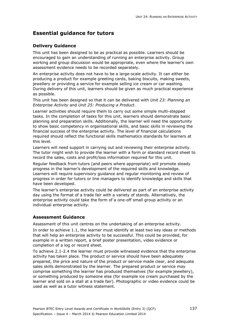# **Delivery Guidance**

This unit has been designed to be as practical as possible. Learners should be encouraged to gain an understanding of running an enterprise activity. Group working and group discussion would be appropriate, even where the learner's own assessment evidence needs to be recorded separately.

An enterprise activity does not have to be a large-scale activity. It can either be producing a product for example greeting cards, baking biscuits, making sweets, jewellery or providing a service for example selling ice cream or car washing. During delivery of this unit, learners should be given as much practical experience as possible.

This unit has been designed so that it can be delivered with *Unit 23: Planning an Enterprise Activity* and *Unit 25: Producing a Product*.

Learner activities should require them to carry out some simple multi-stepped tasks. In the completion of tasks for this unit, learners should demonstrate basic planning and preparation skills. Additionally, the learner will need the opportunity to show basic competency in organisational skills, and basic skills in reviewing the financial success of the enterprise activity. The level of financial calculations required should reflect the functional skills mathematics standards for learners at this level.

Learners will need support in carrying out and reviewing their enterprise activity. The tutor might wish to provide the learner with a form or standard record sheet to record the sales, costs and profit/loss information required for this unit.

Regular feedback from tutors (and peers where appropriate) will promote steady progress in the learner's development of the required skills and knowledge. Learners will require supervisory guidance and regular monitoring and review of progress in order for tutors or line managers to identify knowledge and skills that have been developed.

The learner's enterprise activity could be delivered as part of an enterprise activity day using the format of a trade fair with a variety of stands. Alternatively, the enterprise activity could take the form of a one-off small group activity or an individual enterprise activity.

# **Assessment Guidance**

Assessment of this unit centres on the undertaking of an enterprise activity. In order to achieve 1.1, the learner must identify at least two key ideas or methods that will help an enterprise activity to be successful. This could be provided, for example in a written report, a brief poster presentation, video evidence or completion of a log or record sheet.

To achieve 2.1-2.4 the learner must provide witnessed evidence that the enterprise activity has taken place. The product or service should have been adequately prepared, the price and nature of the product or service made clear, and adequate sales skills demonstrated by the learner. The prepared product or service may comprise something the learner has produced themselves (for example jewellery), or something produced by someone else (for example ice cream purchased by the learner and sold on a stall at a trade fair). Photographic or video evidence could be used as well as a tutor witness statement.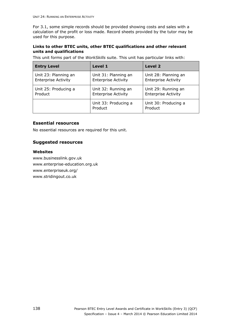For 3.1, some simple records should be provided showing costs and sales with a calculation of the profit or loss made. Record sheets provided by the tutor may be used for this purpose.

#### **Links to other BTEC units, other BTEC qualifications and other relevant units and qualifications**

This unit forms part of the *WorkSkills* suite. This unit has particular links with:

| <b>Entry Level</b>                                                                   | Level 1                                            | Level 2                                            |
|--------------------------------------------------------------------------------------|----------------------------------------------------|----------------------------------------------------|
| Unit 23: Planning an<br><b>Enterprise Activity</b>                                   | Unit 31: Planning an<br><b>Enterprise Activity</b> | Unit 28: Planning an<br><b>Enterprise Activity</b> |
| Unit 25: Producing a<br>Unit 32: Running an<br><b>Enterprise Activity</b><br>Product |                                                    | Unit 29: Running an<br><b>Enterprise Activity</b>  |
|                                                                                      | Unit 33: Producing a<br>Product                    | Unit 30: Producing a<br>Product                    |

### **Essential resources**

No essential resources are required for this unit.

### **Suggested resources**

#### **Websites**

www.businesslink.gov.uk www.enterprise-education.org.uk www.enterpriseuk.org/ www.stridingout.co.uk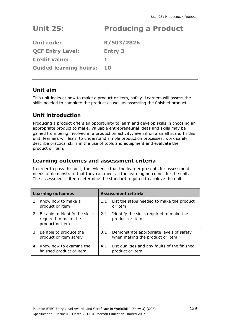# **Unit 25: Producing a Product**

| <b>Unit code:</b>             | R/503/2826     |
|-------------------------------|----------------|
| <b>QCF Entry Level:</b>       | <b>Entry 3</b> |
| <b>Credit value:</b>          |                |
| <b>Guided learning hours:</b> | 10             |

# **Unit aim**

This unit looks at how to make a product or item, safely. Learners will assess the skills needed to complete the product as well as assessing the finished product.

# **Unit introduction**

Producing a product offers an opportunity to learn and develop skills in choosing an appropriate product to make. Valuable entrepreneurial ideas and skills may be gained from being involved in a production activity, even if on a small scale. In this unit, learners will learn to understand simple production processes, work safely, describe practical skills in the use of tools and equipment and evaluate their product or item.

# **Learning outcomes and assessment criteria**

| <b>Learning outcomes</b> |                                                                           | <b>Assessment criteria</b> |                                                                             |  |
|--------------------------|---------------------------------------------------------------------------|----------------------------|-----------------------------------------------------------------------------|--|
|                          | Know how to make a<br>product or item                                     | 1.1                        | List the steps needed to make the product<br>or item                        |  |
| 2                        | Be able to identify the skills<br>required to make the<br>product or item | 2.1                        | Identify the skills required to make the<br>product or item                 |  |
| 3                        | Be able to produce the<br>product or item safely                          | 3.1                        | Demonstrate appropriate levels of safety<br>when making the product or item |  |
| 4                        | Know how to examine the<br>finished product or item                       | 4.1                        | List qualities and any faults of the finished<br>product or item            |  |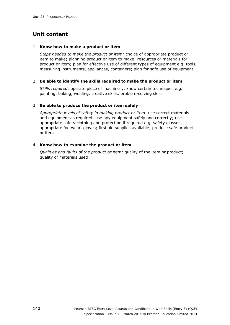#### 1 **Know how to make a product or item**

*Steps needed to make the product or item:* choice of appropriate product or item to make; planning product or item to make; resources or materials for product or item; plan for effective use of different types of equipment e.g. tools, measuring instruments, appliances, containers; plan for safe use of equipment

#### 2 **Be able to identify the skills required to make the product or item**

*Skills required:* operate piece of machinery, know certain techniques e.g. painting, baking, welding, creative skills, problem-solving skills

#### 3 **Be able to produce the product or item safely**

*Appropriate levels of safety in making product or item*: use correct materials and equipment as required; use any equipment safely and correctly; use appropriate safety clothing and protection if required e.g. safety glasses, appropriate footwear, gloves; first aid supplies available; produce safe product or item

#### 4 **Know how to examine the product or item**

*Qualities and faults of the product or item:* quality of the item or product; quality of materials used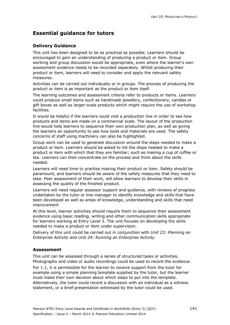### **Delivery Guidance**

This unit has been designed to be as practical as possible. Learners should be encouraged to gain an understanding of producing a product or item. Group working and group discussion would be appropriate, even where the learner's own assessment evidence needs to be recorded separately. Whilst producing their product or item, learners will need to consider and apply the relevant safety measures.

Activities can be carried out individually or in groups. The process of producing the product or item is as important as the product or item itself.

The learning outcomes and assessment criteria refer to products or items. Learners could produce small items such as handmade jewellery, confectionery, candles or gift boxes as well as larger-scale products which might require the use of workshop facilities.

It would be helpful if the learners could visit a production line in order to see how products and items are made on a commercial scale. The layout of the production line would help learners to sequence their own production plan, as well as giving the learners an opportunity to see how tools and materials are used. The safety concerns of staff using machinery can also be highlighted.

Group work can be used to generate discussion around the steps needed to make a product or item. Learners should be asked to list the steps needed to make a product or item with which that they are familiar; such as making a cup of coffee or tea. Learners can then concentrate on the process and think about the skills needed.

Learners will need time to practise making their product or item. Safety should be paramount, and learners should be aware of the safety measures that they need to take. Peer assessment of their work, will allow learners to develop their skills in assessing the quality of the finished product.

Learners will need regular assessor support and guidance, with reviews of progress undertaken by the tutor or line manager to identify knowledge and skills that have been developed as well as areas of knowledge, understanding and skills that need improvement

At this level, learner activities should require them to sequence their assessment evidence using basic reading, writing and other communication skills appropriate for learners working at Entry Level 3. The unit focuses on developing the skills needed to make a product or item under supervision.

Delivery of this unit could be carried out in conjunction with *Unit 23: Planning an Enterprise Activity* and *Unit 24: Running an Enterprise Activity*.

#### **Assessment**

This unit can be assessed through a series of structured tasks or activities. Photographs and video or audio recordings could be used to record the evidence.

For 1.1, it is permissible for the learner to receive support from the tutor for example using a simple planning template supplied by the tutor, but the learner must make their own decision about which steps to put into the template. Alternatively, the tutor could record a discussion with an individual as a witness statement, or a brief presentation witnessed by the tutor could be used.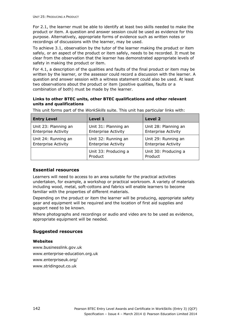For 2.1, the learner must be able to identify at least two skills needed to make the product or item. A question and answer session could be used as evidence for this purpose. Alternatively, appropriate forms of evidence such as written notes or recordings of discussions with the learner, may be used.

To achieve 3.1, observation by the tutor of the learner making the product or item safely, or an aspect of the product or item safely, needs to be recorded. It must be clear from the observation that the learner has demonstrated appropriate levels of safety in making the product or item.

For 4.1, a description of the qualities and faults of the final product or item may be written by the learner, or the assessor could record a discussion with the learner. A question and answer session with a witness statement could also be used. At least two observations about the product or item (positive qualities, faults or a combination of both) must be made by the learner.

### **Links to other BTEC units, other BTEC qualifications and other relevant units and qualifications**

| <b>Entry Level</b>         | Level 1                         | Level 2                         |
|----------------------------|---------------------------------|---------------------------------|
| Unit 23: Planning an       | Unit 31: Planning an            | Unit 28: Planning an            |
| <b>Enterprise Activity</b> | <b>Enterprise Activity</b>      | <b>Enterprise Activity</b>      |
| Unit 24: Running an        | Unit 32: Running an             | Unit 29: Running an             |
| <b>Enterprise Activity</b> | <b>Enterprise Activity</b>      | <b>Enterprise Activity</b>      |
|                            | Unit 33: Producing a<br>Product | Unit 30: Producing a<br>Product |

This unit forms part of the *WorkSkills* suite. This unit has particular links with:

#### **Essential resources**

Learners will need to access to an area suitable for the practical activities undertaken, for example, a workshop or practical workroom. A variety of materials including wood, metal, soft-cottons and fabrics will enable learners to become familiar with the properties of different materials.

Depending on the product or item the learner will be producing, appropriate safety gear and equipment will be required and the location of first aid supplies and support need to be known.

Where photographs and recordings or audio and video are to be used as evidence, appropriate equipment will be needed.

### **Suggested resources**

#### **Websites**

www.businesslink.gov.uk www.enterprise-education.org.uk www.enterpriseuk.org/ www.stridingout.co.uk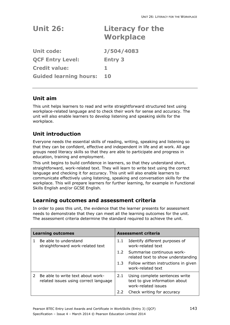| <b>Unit 26:</b>               | Literacy for the<br><b>Workplace</b> |
|-------------------------------|--------------------------------------|
| <b>Unit code:</b>             | J/504/4083                           |
| <b>OCF Entry Level:</b>       | <b>Entry 3</b>                       |
| <b>Credit value:</b>          | 1                                    |
| <b>Guided learning hours:</b> | 10                                   |

# **Unit aim**

This unit helps learners to read and write straightforward structured text using workplace-related language and to check their work for sense and accuracy. The unit will also enable learners to develop listening and speaking skills for the workplace.

# **Unit introduction**

Everyone needs the essential skills of reading, writing, speaking and listening so that they can be confident, effective and independent in life and at work. All age groups need literacy skills so that they are able to participate and progress in education, training and employment.

This unit begins to build confidence in learners, so that they understand short, straightforward, work-related text. They will learn to write text using the correct language and checking it for accuracy. This unit will also enable learners to communicate effectively using listening, speaking and conversation skills for the workplace. This will prepare learners for further learning, for example in Functional Skills English and/or GCSE English.

# **Learning outcomes and assessment criteria**

| <b>Learning outcomes</b> |                                                                            | <b>Assessment criteria</b> |                                                                                         |
|--------------------------|----------------------------------------------------------------------------|----------------------------|-----------------------------------------------------------------------------------------|
|                          | Be able to understand<br>straightforward work-related text                 | 1.1                        | Identify different purposes of<br>work-related text                                     |
|                          |                                                                            | 1.2 <sub>1</sub>           | Summarise continuous work-<br>related text to show understanding                        |
|                          |                                                                            | 1.3                        | Follow written instructions in given<br>work-related text                               |
| $\mathcal{P}$            | Be able to write text about work-<br>related issues using correct language | 2.1                        | Using complete sentences write<br>text to give information about<br>work-related issues |
|                          |                                                                            | 2.2                        | Check writing for accuracy                                                              |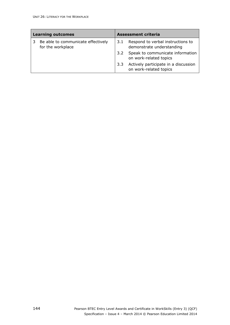| <b>Learning outcomes</b> |                                                         | <b>Assessment criteria</b> |                                                                |
|--------------------------|---------------------------------------------------------|----------------------------|----------------------------------------------------------------|
|                          | Be able to communicate effectively<br>for the workplace | 3.1                        | Respond to verbal instructions to<br>demonstrate understanding |
|                          |                                                         | 3.2                        | Speak to communicate information<br>on work-related topics     |
|                          |                                                         | 3.3                        | Actively participate in a discussion<br>on work-related topics |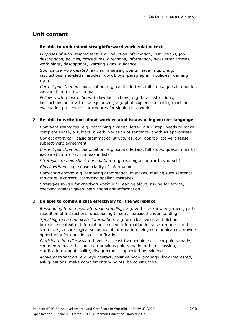#### 1 **Be able to understand straightforward work-related text**

*Purposes of work-related text*: e.g. induction information, instructions, job descriptions, policies, procedures, directions, information, newsletter articles, work blogs, descriptions, warning signs, guidance

*Summarise work-related text*: summarising points made in text, e.g. instructions, newsletter articles, work blogs, paragraphs in policies, warning signs

*Correct punctuation*: punctuation, e.g. capital letters, full stops, question marks, exclamation marks, commas

*Follow written instructions*: follow instructions, e.g. task instructions, instructions on how to use equipment, e.g. photocopier, laminating machine, evacuation procedures, procedures for signing into work

#### 2 **Be able to write text about work-related issues using correct language**

*Complete sentences*: e.g. containing a capital letter, a full stop; needs to make complete sense, a subject, a verb, variation of sentence length as appropriate

*Correct grammar*: basic grammatical structures, e.g. appropriate verb tense, subject-verb agreement

*Correct punctuation*: punctuation, e.g. capital letters, full stops, question marks, exclamation marks, commas in lists

*Strategies to help check punctuation*: e.g. reading aloud (or to yourself) *Check writing*: e.g. sense, clarity of information

*Correcting errors*: e.g. removing grammatical mistakes, making sure sentence structure is correct, correcting spelling mistakes

*Strategies to use for checking work*: e.g. reading aloud, asking for advice, checking against given instructions and information

#### 3 **Be able to communicate effectively for the workplace**

*Responding to demonstrate understanding*: e.g. verbal acknowledgement, partrepetition of instructions, questioning to seek increased understanding

*Speaking to communicate information*: e.g. use clear voice and diction, introduce context of information, present information in easy-to-understand sentences, ensure logical sequence of information being communicated, provide opportunity for questions or clarification

*Participate in a discussion*: involve at least two people e.g. clear points made, comments made that build on previous points made in the discussion, clarification sought, polite, disagreement supported by evidence

*Active participation*: e.g. eye contact, positive body language, look interested, ask questions, make complementary points, be constructive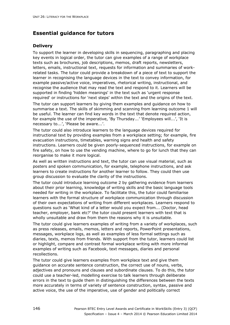## **Delivery**

To support the learner in developing skills in sequencing, paragraphing and placing key events in logical order, the tutor can give examples of a range of workplace texts such as brochures, job descriptions, memos, draft reports, newsletters, letters, emails, instructional text, requests for information and summaries of workrelated tasks. The tutor could provide a breakdown of a piece of text to support the learner in recognising the language devices in the text to convey information, for example passive/active voice, imperatives, rhetorical writing, instructional, and recognise the audience that may read the text and respond to it. Learners will be supported in finding 'hidden meanings' in the text such as 'urgent response required' or instructions for 'next steps' within the text and the origins of the text.

The tutor can support learners by giving them examples and guidance on how to summarise a text. The skills of skimming and scanning from learning outcome 1 will be useful. The learner can find key words in the text that denote required action, for example the use of the imperative, 'By Thursday...' 'Employees will...', 'It is necessary to...', 'Please be aware...'.

The tutor could also introduce learners to the language devices required for instructional text by providing examples from a workplace setting; for example, fire evacuation instructions, timetables, warning signs and health and safety instructions. Learners could be given poorly-sequenced instructions, for example on fire safety, on how to use the vending machine, where to go for lunch that they can reorganise to make it more logical.

As well as written instructions and text, the tutor can use visual material, such as posters and spoken communication, for example, telephone instructions, and ask learners to create instructions for another learner to follow. They could then use group discussion to evaluate the clarity of the instructions.

The tutor could introduce learning outcome 2 by gathering evidence from learners about their prior learning, knowledge of writing skills and the basic language tools needed for writing in the workplace. To facilitate this, the tutor could familiarise learners with the formal structure of workplace communication through discussion of their own expectations of writing from different workplaces. Learners respond to questions such as 'What kind of a letter would you expect from... (Doctor, head teacher, employer, bank etc?' the tutor could present learners with text that is wholly unsuitable and draw from them the reasons why it is unsuitable.

The tutor could give learners examples of writing from a variety of workplaces, such as press releases, emails, memos, letters and reports, PowerPoint presentations, messages, workplace logs, as well as examples of less formal settings such as diaries, texts, memos from friends. With support from the tutor, learners could list or highlight, compare and contrast formal workplace writing with more informal examples of writing such as Facebook, text messages, diaries and personal recollections.

The tutor could give learners examples from workplace text and give them guidance on accurate sentence construction, the correct use of nouns, verbs, adjectives and pronouns and clauses and subordinate clauses. To do this, the tutor could use a teacher-led, modelling exercise to talk learners through deliberate errors in the text to guide them in distinguishing the differences between the texts more accurately in terms of variety of sentence construction, syntax, passive and active voice, the use of the imperative, use of gender and politically correct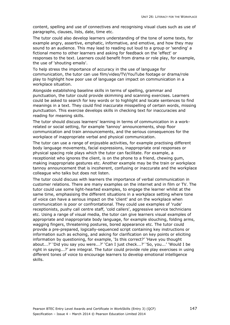content, spelling and use of connectives and recognising visual clues such as use of paragraphs, clauses, lists, date, time etc.

The tutor could also develop learners understanding of the tone of some texts, for example angry, assertive, emphatic, informative, and emotive, and how they may sound to an audience. This may lead to reading out loud to a group or 'sending' a fictional memo to other learners and asking for feedback on the 'effect' or responses to the text. Learners could benefit from drama or role play, for example, the use of 'shouting emails'.

To help stress the importance of accuracy in the use of language for communication, the tutor can use film/video/TV/YouTube footage or drama/role play to highlight how poor use of language can impact on communication in a workplace situation.

Alongside establishing baseline skills in terms of spelling, grammar and punctuation, the tutor could provide skimming and scanning exercises. Learners could be asked to search for key words or to highlight and locate sentences to find meanings in a text. They could find inaccurate misspelling of certain words, missing punctuation. This exercise develops skills in checking text for inaccuracies and reading for meaning skills.

The tutor should discuss learners' learning in terms of communication in a workrelated or social setting, for example 'tannoy' announcements, shop floor communication and train announcements, and the serious consequences for the workplace of inappropriate verbal and physical communication.

The tutor can use a range of enjoyable activities, for example practising different body language movements, facial expressions, inappropriate oral responses or physical spacing role plays which the tutor can facilitate. For example, a receptionist who ignores the client, is on the phone to a friend, chewing gum, making inappropriate gestures etc. Another example may be the train or workplace tannoy announcement that is incoherent, confusing or inaccurate and the workplace colleague who talks but does not listen.

The tutor could discuss with learners the importance of verbal communication in customer relations. There are many examples on the internet and in film or TV. The tutor could use some light-hearted examples, to engage the learner whilst at the same time, emphasising the different situations in a workplace setting where tone of voice can have a serious impact on the 'client' and on the workplace when communication is poor or confrontational. They could use examples of 'rude' receptionists, pushy call centre staff, 'cold callers', aggressive service technicians etc. Using a range of visual media, the tutor can give learners visual examples of appropriate and inappropriate body language, for example slouching, folding arms, wagging fingers, threatening postures, bored appearance etc. The tutor could provide a pre-prepared, logically-sequenced script containing key instructions or information such as echoing, and asking for clarification on key points or eliciting information by questioning, for example, 'Is this correct?' 'Have you thought about...?' 'Did you say you were...?' 'Can I just check...?' 'So, you...' 'Would I be right in saying...?' are integral. The tutor could provide role play exercises in using different tones of voice to encourage learners to develop emotional intelligence skills.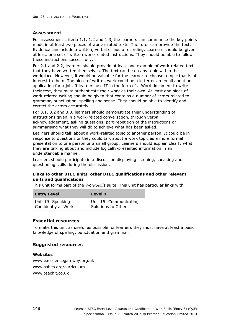#### **Assessment**

For assessment criteria 1.1, 1.2 and 1.3, the learners can summarise the key points made in at least two pieces of work-related texts. The tutor can provide the text. Evidence can include a written, verbal or audio recording. Learners should be given at least one set of written work-related instructions. They should be able to follow these instructions successfully.

For 2.1 and 2.2, learners should provide at least one example of work-related text that they have written themselves. The text can be on any topic within the workplace. However, it would be valuable for the learner to choose a topic that is of interest to them. The piece of written work could be a letter or an email about an application for a job. If learners use IT in the form of a Word document to write their text, they must authenticate their work as their own. At least one piece of work-related writing should be given that contains a number of errors related to grammar, punctuation, spelling and sense. They should be able to identify and correct the errors accurately.

For 3.1, 3.2 and 3.3, learners should demonstrate their understanding of instructions given in a work-related conversation, through verbal acknowledgement, asking questions, part-repetition of the instructions or summarising what they will do to achieve what has been asked.

Learners should talk about a work-related topic to another person. It could be in response to questions or they could talk about a work topic as a more formal presentation to one person or a small group. Learners should explain clearly what they are talking about and include logically-presented information in an understandable manner.

Learners should participate in a discussion displaying listening, speaking and questioning skills during the discussion.

### **Links to other BTEC units, other BTEC qualifications and other relevant units and qualifications**

This unit forms part of the *WorkSkills* suite. This unit has particular links with:

| <b>Entry Level</b>  | Level 1                |
|---------------------|------------------------|
| Unit 19: Speaking   | Unit 15: Communicating |
| Confidently at Work | Solutions to Others    |

#### **Essential resources**

To make this unit as useful as possible for learners they must have at least a basic knowledge of spelling, punctuation and grammar.

### **Suggested resources**

#### **Websites**

www.excellencegateway.org.uk www.sabes.org/curriculum www.teachit.co.uk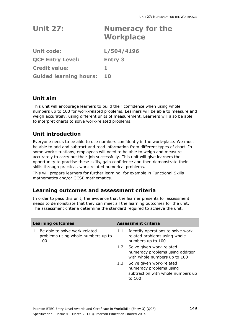| <b>Unit 27:</b>               | <b>Numeracy for the</b><br><b>Workplace</b> |
|-------------------------------|---------------------------------------------|
| <b>Unit code:</b>             | L/504/4196                                  |
| <b>QCF Entry Level:</b>       | <b>Entry 3</b>                              |
| <b>Credit value:</b>          | 1                                           |
| <b>Guided learning hours:</b> | 10                                          |
|                               |                                             |

# **Unit aim**

This unit will encourage learners to build their confidence when using whole numbers up to 100 for work-related problems. Learners will be able to measure and weigh accurately, using different units of measurement. Learners will also be able to interpret charts to solve work-related problems.

# **Unit introduction**

Everyone needs to be able to use numbers confidently in the work-place. We must be able to add and subtract and read information from different types of chart. In some work situations, employees will need to be able to weigh and measure accurately to carry out their job successfully. This unit will give learners the opportunity to practise these skills, gain confidence and then demonstrate their skills through practical, work-related numerical problems.

This will prepare learners for further learning, for example in Functional Skills mathematics and/or GCSE mathematics.

# **Learning outcomes and assessment criteria**

| <b>Learning outcomes</b>                                                   |     | Assessment criteria                                                                                |
|----------------------------------------------------------------------------|-----|----------------------------------------------------------------------------------------------------|
| Be able to solve work-related<br>problems using whole numbers up to<br>100 | 1.1 | Identify operations to solve work-<br>related problems using whole<br>numbers up to 100            |
|                                                                            | 1.2 | Solve given work-related<br>numeracy problems using addition<br>with whole numbers up to 100       |
|                                                                            | 1.3 | Solve given work-related<br>numeracy problems using<br>subtraction with whole numbers up<br>to 100 |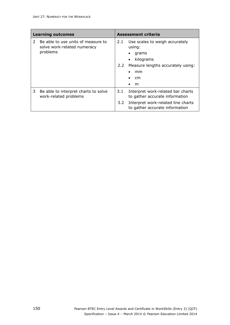|               | <b>Learning outcomes</b>                                                      |                      | <b>Assessment criteria</b>                                                                                                                        |
|---------------|-------------------------------------------------------------------------------|----------------------|---------------------------------------------------------------------------------------------------------------------------------------------------|
| $\mathcal{L}$ | Be able to use units of measure to<br>solve work-related numeracy<br>problems | 2.1<br>$2.2^{\circ}$ | Use scales to weigh accurately<br>using:<br>grams<br>kilograms<br>$\bullet$<br>Measure lengths accurately using:<br>mm<br>٠<br><sub>cm</sub><br>m |
| 3             | Be able to interpret charts to solve<br>work-related problems                 | 3.1<br>3.2           | Interpret work-related bar charts<br>to gather accurate information<br>Interpret work-related line charts<br>to gather accurate information       |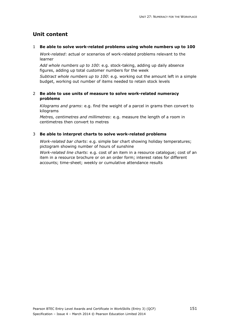#### 1 **Be able to solve work-related problems using whole numbers up to 100**

*Work-related*: actual or scenarios of work-related problems relevant to the learner

*Add whole numbers up to 100*: e.g. stock-taking, adding up daily absence figures, adding up total customer numbers for the week

*Subtract whole numbers up to 100*: e.g. working out the amount left in a simple budget, working out number of items needed to retain stock levels

#### 2 **Be able to use units of measure to solve work-related numeracy problems**

*Kilograms and grams*: e.g. find the weight of a parcel in grams then convert to kilograms

*Metres, centimetres and millimetres*: e.g. measure the length of a room in centimetres then convert to metres

### 3 **Be able to interpret charts to solve work-related problems**

*Work-related bar charts*: e.g. simple bar chart showing holiday temperatures; pictogram showing number of hours of sunshine

*Work-related line charts*: e.g. cost of an item in a resource catalogue; cost of an item in a resource brochure or on an order form; interest rates for different accounts; time-sheet; weekly or cumulative attendance results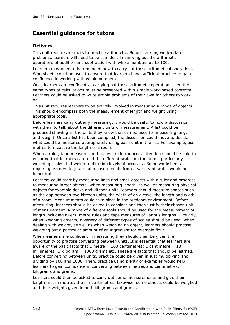### **Delivery**

This unit requires learners to practise arithmetic. Before tackling work-related problems, learners will need to be confident in carrying out the arithmetic operations of addition and subtraction with whole numbers up to 100.

Learners may need to be reminded how to carry out these arithmetical operations. Worksheets could be used to ensure that learners have sufficient practice to gain confidence in working with whole numbers.

Once learners are confident at carrying out these arithmetic operations then the same types of calculations must be presented within simple work-based contexts. Learners could be asked to write simple problems of their own for others to work on.

This unit requires learners to be actively involved in measuring a range of objects. This should encompass both the measurement of length and weight using appropriate tools.

Before learners carry out any measuring, it would be useful to hold a discussion with them to talk about the different units of measurement. A list could be produced showing all the units they know that can be used for measuring length and weight. Once a list has been compiled, the discussion could move to decide what could be measured appropriately using each unit in the list. For example, use metres to measure the length of a room.

When a ruler, tape measures and scales are introduced, attention should be paid to ensuring that learners can read the different scales on the items, particularly weighing scales that weigh to differing levels of accuracy. Some worksheets requiring learners to just read measurements from a variety of scales would be beneficial.

Learners could start by measuring lines and small objects with a ruler and progress to measuring larger objects. When measuring length, as well as measuring physical objects for example desks and kitchen units, learners should measure spaces such as the gap between two kitchen units, the width of an alcove, the length and width of a room. Measurements could take place in the outdoors environment. Before measuring, learners should be asked to consider and then justify their chosen unit of measurement. A range of different tools should be used for the measurement of length including rulers, metre rules and tape measures of various lengths. Similarly, when weighing objects, a variety of different types of scales should be used. When dealing with weight, as well as when weighing an object, learners should practise weighing out a particular amount of an ingredient for example flour.

When learners are confident in measuring they should then be given the opportunity to practise converting between units. It is essential that learners are aware of the basic facts that 1 metre  $= 100$  centimetres; 1 centimetre  $= 10$ millimetres; 1 kilogram = 1000 grams etc. These are facts that should be learned. Before converting between units, practice could be given in just multiplying and dividing by 100 and 1000. Then, practice using plenty of examples would help learners to gain confidence in converting between metres and centimetres, kilograms and grams.

Learners could then be asked to carry out some measurements and give their length first in metres, then in centimetres. Likewise, some objects could be weighed and their weights given in both kilograms and grams.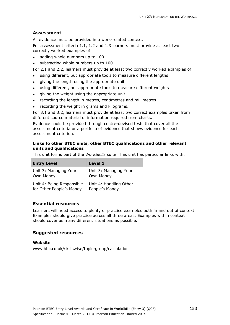### **Assessment**

All evidence must be provided in a work-related context.

For assessment criteria 1.1, 1.2 and 1.3 learners must provide at least two correctly worked examples of:

- adding whole numbers up to 100
- subtracting whole numbers up to 100

For 2.1 and 2.2, learners must provide at least two correctly worked examples of:

- using different, but appropriate tools to measure different lengths
- giving the length using the appropriate unit
- using different, but appropriate tools to measure different weights
- giving the weight using the appropriate unit
- recording the length in metres, centimetres and millimetres
- recording the weight in grams and kilograms.

For 3.1 and 3.2, learners must provide at least two correct examples taken from different source material of information required from charts.

Evidence could be provided through centre-devised tests that cover all the assessment criteria or a portfolio of evidence that shows evidence for each assessment criterion.

#### **Links to other BTEC units, other BTEC qualifications and other relevant units and qualifications**

This unit forms part of the *WorkSkills* suite. This unit has particular links with:

| <b>Entry Level</b>        | Level 1                |
|---------------------------|------------------------|
| Unit 3: Managing Your     | Unit 3: Managing Your  |
| Own Money                 | Own Money              |
| Unit 4: Being Responsible | Unit 4: Handling Other |
| for Other People's Money  | People's Money         |

### **Essential resources**

Learners will need access to plenty of practice examples both in and out of context. Examples should give practice across all three areas. Examples within context should cover as many different situations as possible.

#### **Suggested resources**

#### **Website**

www.bbc.co.uk/skillswise/topic-group/calculation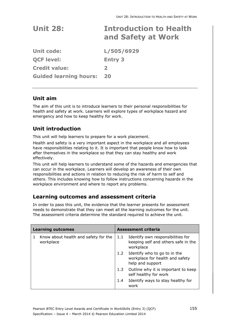| <b>Unit 28:</b> | <b>Introduction to Health</b> |  |  |
|-----------------|-------------------------------|--|--|
|                 | and Safety at Work            |  |  |

| <b>Unit code:</b>             | L/505/6929     |
|-------------------------------|----------------|
| <b>QCF level:</b>             | <b>Entry 3</b> |
| <b>Credit value:</b>          | $\mathbf{z}$   |
| <b>Guided learning hours:</b> | 20             |

# **Unit aim**

The aim of this unit is to introduce learners to their personal responsibilities for health and safety at work. Learners will explore types of workplace hazard and emergency and how to keep healthy for work.

# **Unit introduction**

This unit will help learners to prepare for a work placement.

Health and safety is a very important aspect in the workplace and all employees have responsibilities relating to it. It is important that people know how to look after themselves in the workplace so that they can stay healthy and work effectively.

This unit will help learners to understand some of the hazards and emergencies that can occur in the workplace. Learners will develop an awareness of their own responsibilities and actions in relation to reducing the risk of harm to self and others. This includes knowing how to follow instructions concerning hazards in the workplace environment and where to report any problems.

# **Learning outcomes and assessment criteria**

| <b>Learning outcomes</b> |                                                   | <b>Assessment criteria</b> |                                                                                         |
|--------------------------|---------------------------------------------------|----------------------------|-----------------------------------------------------------------------------------------|
|                          | Know about health and safety for the<br>workplace | 1.1                        | Identify own responsibilities for<br>keeping self and others safe in the<br>workplace   |
|                          |                                                   |                            | 1.2 Identify who to go to in the<br>workplace for health and safety<br>help and support |
|                          |                                                   |                            | 1.3 Outline why it is important to keep<br>self healthy for work                        |
|                          |                                                   | 1.4                        | Identify ways to stay healthy for<br>work                                               |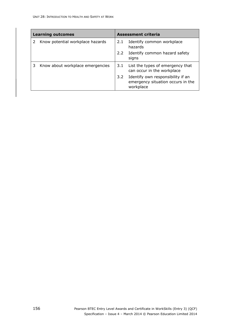| <b>Learning outcomes</b> |                                  | <b>Assessment criteria</b> |                                                                                     |
|--------------------------|----------------------------------|----------------------------|-------------------------------------------------------------------------------------|
|                          | Know potential workplace hazards | 2.1                        | Identify common workplace<br>hazards                                                |
|                          |                                  | $2.2^{\circ}$              | Identify common hazard safety<br>signs                                              |
| 3                        | Know about workplace emergencies | 3.1                        | List the types of emergency that<br>can occur in the workplace                      |
|                          |                                  | $3.2^{\circ}$              | Identify own responsibility if an<br>emergency situation occurs in the<br>workplace |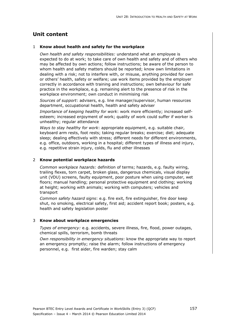#### 1 **Know about health and safety for the workplace**

*Own health and safety responsibilities:* understand what an employee is expected to do at work; to take care of own health and safety and of others who may be affected by own actions; follow instructions; be aware of the person to whom health and safety matters should be reported; know own limitations in dealing with a risk; not to interfere with, or misuse, anything provided for own or others' health, safety or welfare; use work items provided by the employer correctly in accordance with training and instructions; own behaviour for safe practice in the workplace, e.g. remaining alert to the presence of risk in the workplace environment; own conduct in minimising risk

*Sources of support*: advisers, e.g. line manager/supervisor, human resources department, occupational health, health and safety adviser

*Importance of keeping healthy for work*: work more efficiently; increased selfesteem; increased enjoyment of work; quality of work could suffer if worker is unhealthy; regular attendance

*Ways to stay healthy for work*: appropriate equipment, e.g. suitable chair, keyboard arm rests, foot rests; taking regular breaks; exercise; diet; adequate sleep; dealing effectively with stress; different needs for different environments, e.g. office, outdoors, working in a hospital; different types of illness and injury, e.g. repetitive strain injury, colds, flu and other illnesses

#### 2 **Know potential workplace hazards**

*Common workplace hazards:* definition of terms; hazards, e.g. faulty wiring, trailing flexes, torn carpet, broken glass, dangerous chemicals, visual display unit (VDU) screens, faulty equipment, poor posture when using computer, wet floors; manual handling; personal protective equipment and clothing; working at height; working with animals; working with computers; vehicles and transport

*Common safety hazard signs*: e.g. fire exit, fire extinguisher, fire door keep shut, no smoking, electrical safety, first aid; accident report book; posters, e.g. health and safety legislation poster

#### 3 **Know about workplace emergencies**

*Types of emergency:* e.g. accidents, severe illness, fire, flood, power outages, chemical spills, terrorism, bomb threats

*Own responsibility in emergency situations*: know the appropriate way to report an emergency promptly; raise the alarm; follow instructions of emergency personnel, e.g. first aider, fire warden; stay calm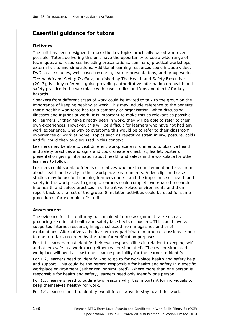### **Delivery**

The unit has been designed to make the key topics practically based wherever possible. Tutors delivering this unit have the opportunity to use a wide range of techniques and resources including presentations, seminars, practical workshops, external visits and simulations. Additional learning resources could include video, DVDs, case studies, web-based research, learner presentations, and group work.

*The Health and Safety Toolbox*, published by The Health and Safety Executive (2013), is a key reference guide providing authoritative information on health and safety practice in the workplace with case studies and 'dos and don'ts' for key hazards.

Speakers from different areas of work could be invited to talk to the group on the importance of keeping healthy at work. This may include reference to the benefits that a healthy workforce has for a company or organisation. When discussing illnesses and injuries at work, it is important to make this as relevant as possible for learners. If they have already been in work, they will be able to refer to their own experiences. However, this will be difficult for learners who have not had any work experience. One way to overcome this would be to refer to their classroom experiences or work at home. Topics such as repetitive strain injury, posture, colds and flu could then be discussed in this context.

Learners may be able to visit different workplace environments to observe health and safety practices and signs and could create a checklist, leaflet, poster or presentation giving information about health and safety in the workplace for other learners to follow.

Learners could speak to friends or relatives who are in employment and ask them about health and safety in their workplace environments. Video clips and case studies may be useful in helping learners understand the importance of health and safety in the workplace. In groups, learners could complete web-based research into health and safety practices in different workplace environments and then report back to the rest of the group. Simulation activities could be used for some procedures, for example a fire drill.

### **Assessment**

The evidence for this unit may be combined in one assignment task such as producing a series of health and safety factsheets or posters. This could involve supported internet research, images collected from magazines and brief explanations. Alternatively, the learner may participate in group discussions or oneto one tutorials, recorded by the tutor for verification purposes

For 1.1, learners must identify their own responsibilities in relation to keeping self and others safe in a workplace (either real or simulated). The real or simulated workplace will need at least one clear responsibility for the learner to identify.

For 1.2, learners need to identify who to go to for workplace health and safety help and support. This could be the person responsible for health and safety in a specific workplace environment (either real or simulated). Where more than one person is responsible for health and safety, learners need only identify one person.

For 1.3, learners need to outline two reasons why it is important for individuals to keep themselves healthy for work.

For 1.4, learners need to identify two different ways to stay health for work.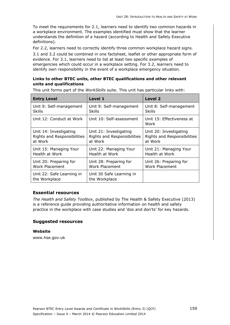To meet the requirements for 2.1, learners need to identify two common hazards in a workplace environment. The examples identified must show that the learner understands the definition of a hazard (according to Health and Safety Executive definitions).

For 2.2, learners need to correctly identify three common workplace hazard signs.

3.1 and 3.2 could be combined in one factsheet, leaflet or other appropriate form of evidence. For 3.1, learners need to list at least two specific examples of emergencies which could occur in a workplace setting. For 3.2, learners need to identify own responsibility in the event of a workplace emergency situation.

#### **Links to other BTEC units, other BTEC qualifications and other relevant units and qualifications**

This unit forms part of the *WorkSkills* suite. This unit has particular links with:

| <b>Entry Level</b>                         | Level 1                                   | Level 2                           |
|--------------------------------------------|-------------------------------------------|-----------------------------------|
| Unit 9: Self-management                    | Unit 9: Self-management                   | Unit 8: Self-management           |
| Skills                                     | Skills                                    | <b>Skills</b>                     |
| Unit 12: Conduct at Work                   | Unit 10: Self-assessment                  | Unit 15: Effectiveness at<br>Work |
| Unit 14: Investigating                     | Unit 21: Investigating                    | Unit 20: Investigating            |
| Rights and Responsibilities                | Rights and Responsibilities               | Rights and Responsibilities       |
| at Work                                    | at Work                                   | at Work                           |
| Unit 15: Managing Your                     | Unit 22: Managing Your                    | Unit 21: Managing Your            |
| Health at Work                             | Health at Work                            | Health at Work                    |
| Unit 20: Preparing for                     | Unit 28: Preparing for                    | Unit 26: Preparing for            |
| <b>Work Placement</b>                      | <b>Work Placement</b>                     | Work Placement                    |
| Unit 22: Safe Learning in<br>the Workplace | Unit 30 Safe Learning in<br>the Workplace |                                   |

### **Essential resources**

*The Health and Safety Toolbox*, published by The Health & Safety Executive (2013) is a reference guide providing authoritative information on health and safety practice in the workplace with case studies and 'dos and don'ts' for key hazards.

#### **Suggested resources**

**Website**  www.hse.gov.uk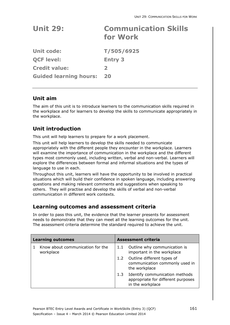| <b>Unit 29:</b>               | <b>Communication Skills</b><br>for Work |
|-------------------------------|-----------------------------------------|
| Unit code:                    | T/505/6925                              |
| <b>QCF level:</b>             | <b>Entry 3</b>                          |
| <b>Credit value:</b>          | $\mathbf{2}$                            |
| <b>Guided learning hours:</b> | 20                                      |

# **Unit aim**

The aim of this unit is to introduce learners to the communication skills required in the workplace and for learners to develop the skills to communicate appropriately in the workplace.

# **Unit introduction**

This unit will help learners to prepare for a work placement.

This unit will help learners to develop the skills needed to communicate appropriately with the different people they encounter in the workplace. Learners will examine the importance of communication in the workplace and the different types most commonly used, including written, verbal and non-verbal. Learners will explore the differences between formal and informal situations and the types of language to use in each.

Throughout this unit, learners will have the opportunity to be involved in practical situations which will build their confidence in spoken language, including answering questions and making relevant comments and suggestions when speaking to others. They will practise and develop the skills of verbal and non-verbal communication in different work contexts.

# **Learning outcomes and assessment criteria**

| <b>Learning outcomes</b> |                                               | Assessment criteria |                                                                                          |
|--------------------------|-----------------------------------------------|---------------------|------------------------------------------------------------------------------------------|
|                          | Know about communication for the<br>workplace | 1.1                 | Outline why communication is<br>important in the workplace                               |
|                          |                                               |                     | 1.2 Outline different types of<br>communication commonly used in<br>the workplace        |
|                          |                                               | 1.3                 | Identify communication methods<br>appropriate for different purposes<br>in the workplace |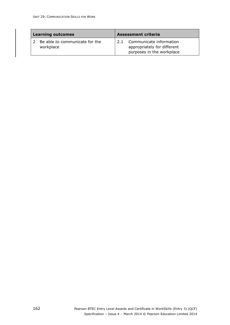| <b>Learning outcomes</b>                    |     | <b>Assessment criteria</b>                                                          |
|---------------------------------------------|-----|-------------------------------------------------------------------------------------|
| Be able to communicate for the<br>workplace | 2.1 | Communicate information<br>appropriately for different<br>purposes in the workplace |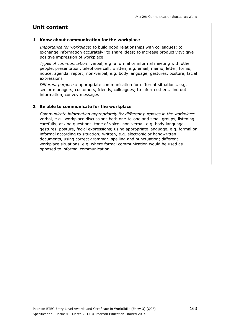### **1 Know about communication for the workplace**

*Importance for workplace*: to build good relationships with colleagues; to exchange information accurately; to share ideas; to increase productivity; give positive impression of workplace

*Types of communication*: verbal, e.g. a formal or informal meeting with other people, presentation, telephone call; written, e.g. email, memo, letter, forms, notice, agenda, report; non-verbal, e.g. body language, gestures, posture, facial expressions

*Different purposes*: appropriate communication for different situations, e.g. senior managers, customers, friends, colleagues; to inform others, find out information, convey messages

### **2 Be able to communicate for the workplace**

*Communicate information appropriately for different purposes in the workplace*: verbal, e.g. workplace discussions both one-to-one and small groups, listening carefully, asking questions, tone of voice; non-verbal, e.g. body language, gestures, posture, facial expressions; using appropriate language, e.g. formal or informal according to situation; written, e.g. electronic or handwritten documents, using correct grammar, spelling and punctuation; different workplace situations, e.g. where formal communication would be used as opposed to informal communication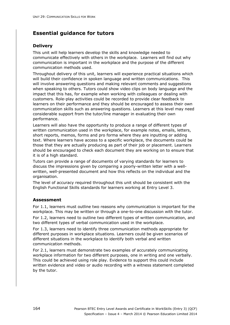### **Delivery**

This unit will help learners develop the skills and knowledge needed to communicate effectively with others in the workplace. Learners will find out why communication is important in the workplace and the purpose of the different communication methods used.

Throughout delivery of this unit, learners will experience practical situations which will build their confidence in spoken language and written communications. This will involve answering questions and making relevant comments and suggestions when speaking to others. Tutors could show video clips on body language and the impact that this has, for example when working with colleagues or dealing with customers. Role-play activities could be recorded to provide clear feedback to learners on their performance and they should be encouraged to assess their own communication skills such as answering questions. Learners at this level may need considerable support from the tutor/line manager in evaluating their own performance.

Learners will also have the opportunity to produce a range of different types of written communication used in the workplace, for example notes, emails, letters, short reports, memos, forms and pro forma where they are inputting or adding text. Where learners have access to a specific workplace, the documents could be those that they are actually producing as part of their job or placement. Learners should be encouraged to check each document they are working on to ensure that it is of a high standard.

Tutors can provide a range of documents of varying standards for learners to discuss the impressions given by comparing a poorly-written letter with a wellwritten, well-presented document and how this reflects on the individual and the organisation.

The level of accuracy required throughout this unit should be consistent with the English Functional Skills standards for learners working at Entry Level 3.

### **Assessment**

For 1.1, learners must outline two reasons why communication is important for the workplace. This may be written or through a one-to-one discussion with the tutor.

For 1.2, learners need to outline two different types of written communication, and two different types of verbal communication used in the workplace.

For 1.3, learners need to identify three communication methods appropriate for different purposes in workplace situations. Learners could be given scenarios of different situations in the workplace to identify both verbal and written communication methods.

For 2.1, learners must demonstrate two examples of accurately communicating workplace information for two different purposes, one in writing and one verbally. This could be achieved using role play. Evidence to support this could include written evidence and video or audio recording with a witness statement completed by the tutor.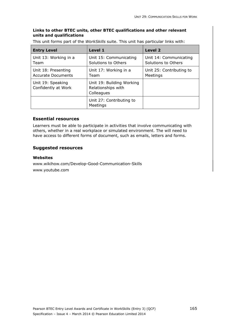### **Links to other BTEC units, other BTEC qualifications and other relevant units and qualifications**

This unit forms part of the *WorkSkills* suite. This unit has particular links with:

| <b>Entry Level</b>                               | Level 1                                                       | Level 2                                       |
|--------------------------------------------------|---------------------------------------------------------------|-----------------------------------------------|
| Unit 13: Working in a<br>Team                    | Unit 15: Communicating<br>Solutions to Others                 | Unit 14: Communicating<br>Solutions to Others |
| Unit 18: Presenting<br><b>Accurate Documents</b> | Unit 17: Working in a<br>Team                                 | Unit 25: Contributing to<br>Meetings          |
| Unit 19: Speaking<br>Confidently at Work         | Unit 19: Building Working<br>Relationships with<br>Colleagues |                                               |
|                                                  | Unit 27: Contributing to<br>Meetings                          |                                               |

### **Essential resources**

Learners must be able to participate in activities that involve communicating with others, whether in a real workplace or simulated environment. The will need to have access to different forms of document, such as emails, letters and forms.

### **Suggested resources**

#### **Websites**

www.wikihow.com/Develop-Good-Communication-Skills www.youtube.com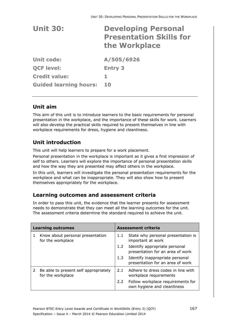| <b>Unit 30:</b>               | <b>Developing Personal</b><br><b>Presentation Skills for</b><br>the Workplace |
|-------------------------------|-------------------------------------------------------------------------------|
| Unit code:                    | A/505/6926                                                                    |
| <b>QCF level:</b>             | <b>Entry 3</b>                                                                |
| <b>Credit value:</b>          | 1                                                                             |
| <b>Guided learning hours:</b> | 10                                                                            |

# **Unit aim**

This aim of this unit is to introduce learners to the basic requirements for personal presentation in the workplace, and the importance of these skills for work. Learners will also develop the practical skills required to present themselves in line with workplace requirements for dress, hygiene and cleanliness.

# **Unit introduction**

This unit will help learners to prepare for a work placement.

Personal presentation in the workplace is important as it gives a first impression of self to others. Learners will explore the importance of personal presentation skills and how the way they are presented may affect others in the workplace.

In this unit, learners will investigate the personal presentation requirements for the workplace and what can be inappropriate. They will also show how to present themselves appropriately for the workplace.

# **Learning outcomes and assessment criteria**

| <b>Learning outcomes</b> |                                                            | <b>Assessment criteria</b> |                                                                     |  |
|--------------------------|------------------------------------------------------------|----------------------------|---------------------------------------------------------------------|--|
| 1.                       | Know about personal presentation<br>for the workplace      | 1.1                        | State why personal presentation is<br>important at work             |  |
|                          |                                                            | 1.2 <sub>1</sub>           | Identify appropriate personal<br>presentation for an area of work   |  |
|                          |                                                            | 1.3                        | Identify inappropriate personal<br>presentation for an area of work |  |
| 2                        | Be able to present self appropriately<br>for the workplace | 2.1                        | Adhere to dress codes in line with<br>workplace requirements        |  |
|                          |                                                            | 2.2                        | Follow workplace requirements for<br>own hygiene and cleanliness    |  |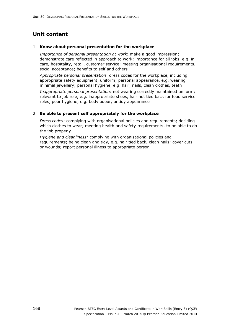#### 1 **Know about personal presentation for the workplace**

*Importance of personal presentation at work*: make a good impression; demonstrate care reflected in approach to work; importance for all jobs, e.g. in care, hospitality, retail, customer service; meeting organisational requirements; social acceptance; benefits to self and others

*Appropriate personal presentation*: dress codes for the workplace, including appropriate safety equipment, uniform; personal appearance, e.g. wearing minimal jewellery; personal hygiene, e.g. hair, nails, clean clothes, teeth

*Inappropriate personal presentation*: not wearing correctly maintained uniform; relevant to job role, e.g. inappropriate shoes, hair not tied back for food service roles, poor hygiene, e.g. body odour, untidy appearance

#### 2 **Be able to present self appropriately for the workplace**

*Dress codes:* complying with organisational policies and requirements; deciding which clothes to wear; meeting health and safety requirements; to be able to do the job properly

*Hygiene and cleanliness:* complying with organisational policies and requirements; being clean and tidy, e.g. hair tied back, clean nails; cover cuts or wounds; report personal illness to appropriate person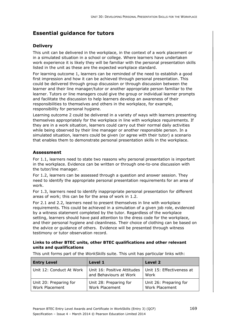# **Delivery**

This unit can be delivered in the workplace, in the context of a work placement or in a simulated situation in a school or college. Where learners have undertaken work experience it is likely they will be familiar with the personal presentation skills listed in the unit as these are the expected workplace standard.

For learning outcome 1, learners can be reminded of the need to establish a good first impression and how it can be achieved through personal presentation. This could be delivered through group discussion or through discussion between the learner and their line manager/tutor or another appropriate person familiar to the learner. Tutors or line managers could give the group or individual learner prompts and facilitate the discussion to help learners develop an awareness of their responsibilities to themselves and others in the workplace, for example, responsibility for personal hygiene.

Learning outcome 2 could be delivered in a variety of ways with learners presenting themselves appropriately for the workplace in line with workplace requirements. If they are in a work situation, learners could carry out their normal daily activities while being observed by their line manager or another responsible person. In a simulated situation, learners could be given (or agree with their tutor) a scenario that enables them to demonstrate personal presentation skills in the workplace.

## **Assessment**

For 1.1, learners need to state two reasons why personal presentation is important in the workplace. Evidence can be written or through one-to-one discussion with the tutor/line manager.

For 1.2, learners can be assessed through a question and answer session. They need to identify the appropriate personal presentation requirements for an area of work.

For 1.3, learners need to identify inappropriate personal presentation for different areas of work; this can be for the area of work in 1.2.

For 2.1 and 2.2, learners need to present themselves in line with workplace requirements. This could be achieved in a simulation of a given job role, evidenced by a witness statement completed by the tutor. Regardless of the workplace setting, learners should have paid attention to the dress code for the workplace, and their personal hygiene and cleanliness. Their choice of clothing can be based on the advice or guidance of others. Evidence will be presented through witness testimony or tutor observation record.

#### **Links to other BTEC units, other BTEC qualifications and other relevant units and qualifications**

| <b>Entry Level</b>                       | Level 1                                               | Level 2                                  |
|------------------------------------------|-------------------------------------------------------|------------------------------------------|
| Unit 12: Conduct At Work                 | Unit 16: Positive Attitudes<br>and Behaviours at Work | Unit 15: Effectiveness at<br>Work        |
| Unit 20: Preparing for<br>Work Placement | Unit 28: Preparing for<br>Work Placement              | Unit 26: Preparing for<br>Work Placement |

This unit forms part of the *WorkSkills* suite. This unit has particular links with: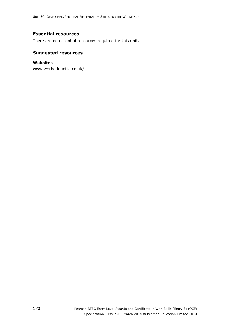### **Essential resources**

There are no essential resources required for this unit.

### **Suggested resources**

#### **Websites**

www.worketiquette.co.uk/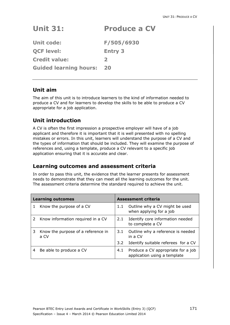# **Unit 31: Produce a CV**

**Unit code: F/505/6930 QCF level: Entry 3 Credit value: 2 Guided learning hours: 20** 

# **Unit aim**

The aim of this unit is to introduce learners to the kind of information needed to produce a CV and for learners to develop the skills to be able to produce a CV appropriate for a job application.

# **Unit introduction**

A CV is often the first impression a prospective employer will have of a job applicant and therefore it is important that it is well presented with no spelling mistakes or errors. In this unit, learners will understand the purpose of a CV and the types of information that should be included. They will examine the purpose of references and, using a template, produce a CV relevant to a specific job application ensuring that it is accurate and clear.

# **Learning outcomes and assessment criteria**

| <b>Learning outcomes</b> |                                            | <b>Assessment criteria</b> |                                                                    |
|--------------------------|--------------------------------------------|----------------------------|--------------------------------------------------------------------|
|                          | Know the purpose of a CV                   | 1.1                        | Outline why a CV might be used<br>when applying for a job          |
|                          | Know information required in a CV          | 2.1                        | Identify core information needed<br>to complete a CV               |
| 3                        | Know the purpose of a reference in<br>a CV | 3.1                        | Outline why a reference is needed<br>in a CV                       |
|                          |                                            | 3.2                        | Identify suitable referees for a CV                                |
| 4                        | Be able to produce a CV                    | 4.1                        | Produce a CV appropriate for a job<br>application using a template |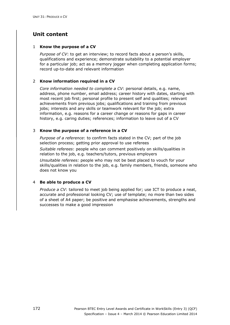### 1 **Know the purpose of a CV**

*Purpose of CV*: to get an interview; to record facts about a person's skills, qualifications and experience; demonstrate suitability to a potential employer for a particular job; act as a memory jogger when completing application forms; record up-to-date and relevant information

### 2 **Know information required in a CV**

*Core information needed to complete a CV*: personal details, e.g. name, address, phone number, email address; career history with dates, starting with most recent job first; personal profile to present self and qualities; relevant achievements from previous jobs; qualifications and training from previous jobs; interests and any skills or teamwork relevant for the job; extra information, e.g. reasons for a career change or reasons for gaps in career history, e.g. caring duties; references; information to leave out of a CV

### 3 **Know the purpose of a reference in a CV**

*Purpose of a reference*: to confirm facts stated in the CV; part of the job selection process; getting prior approval to use referees

*Suitable referees*: people who can comment positively on skills/qualities in relation to the job, e.g. teachers/tutors, previous employers

*Unsuitable referees:* people who may not be best placed to vouch for your skills/qualities in relation to the job, e.g. family members, friends, someone who does not know you

#### 4 **Be able to produce a CV**

*Produce a CV*: tailored to meet job being applied for; use ICT to produce a neat, accurate and professional looking CV; use of template; no more than two sides of a sheet of A4 paper; be positive and emphasise achievements, strengths and successes to make a good impression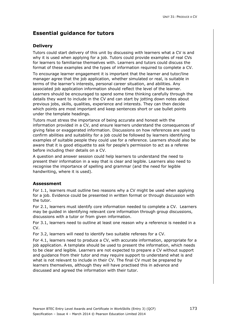## **Essential guidance for tutors**

## **Delivery**

Tutors could start delivery of this unit by discussing with learners what a CV is and why it is used when applying for a job. Tutors could provide examples of real CVs for learners to familiarise themselves with. Learners and tutors could discuss the format of these examples and the types of information required to complete a CV.

To encourage learner engagement it is important that the learner and tutor/line manager agree that the job application, whether simulated or real, is suitable in terms of the learner's interests, personal career situation, and abilities. Any associated job application information should reflect the level of the learner. Learners should be encouraged to spend some time thinking carefully through the details they want to include in the CV and can start by jotting down notes about previous jobs, skills, qualities, experience and interests. They can then decide which points are most important and keep sentences short or use bullet points under the template headings.

Tutors must stress the importance of being accurate and honest with the information provided in a CV, and ensure learners understand the consequences of giving false or exaggerated information. Discussions on how references are used to confirm abilities and suitability for a job could be followed by learners identifying examples of suitable people they could use for a reference. Learners should also be aware that it is good etiquette to ask for people's permission to act as a referee before including their details on a CV.

A question and answer session could help learners to understand the need to present their information in a way that is clear and legible. Learners also need to recognise the importance of spelling and grammar (and the need for legible handwriting, where it is used).

## **Assessment**

For 1.1, learners must outline two reasons why a CV might be used when applying for a job. Evidence could be presented in written format or through discussion with the tutor.

For 2.1, learners must identify core information needed to complete a CV. Learners may be guided in identifying relevant core information through group discussions, discussions with a tutor or from given information.

For 3.1, learners need to outline at least one reason why a reference is needed in a CV.

For 3.2, learners will need to identify two suitable referees for a CV.

For 4.1, learners need to produce a CV, with accurate information, appropriate for a job application. A template should be used to present the information, which needs to be clear and legible. Learners are not expected to prepare a CV without support and guidance from their tutor and may require support to understand what is and what is not relevant to include in their CV. The final CV must be prepared by learners themselves, although they will have practised this in advance and discussed and agreed the information with their tutor.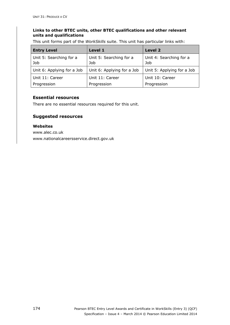### **Links to other BTEC units, other BTEC qualifications and other relevant units and qualifications**

This unit forms part of the *WorkSkills* suite. This unit has particular links with:

| <b>Entry Level</b>             | Level 1                        | Level 2                        |
|--------------------------------|--------------------------------|--------------------------------|
| Unit 5: Searching for a<br>Job | Unit 5: Searching for a<br>Job | Unit 4: Searching for a<br>Job |
| Unit 6: Applying for a Job     | Unit 6: Applying for a Job     | Unit 5: Applying for a Job     |
| Unit 11: Career                | Unit 11: Career                | Unit 10: Career                |
| Progression                    | Progression                    | Progression                    |

## **Essential resources**

There are no essential resources required for this unit.

## **Suggested resources**

#### **Websites**

www.alec.co.uk www.nationalcareersservice.direct.gov.uk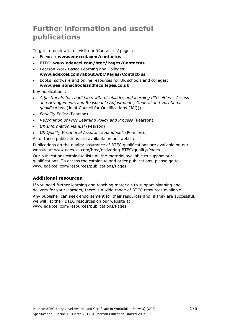## **Further information and useful publications**

To get in touch with us visit our 'Contact us' pages:

- Edexcel: **www.edexcel.com/contactus**
- BTEC: **www.edexcel.com/btec/Pages/Contactus**
- Pearson Work Based Learning and Colleges: **www.edexcel.com/about.wbl/Pages/Contact-us**
- books, software and online resources for UK schools and colleges: **www.pearsonschoolsandfecolleges.co.uk**

Key publications:

- *Adjustments for candidates with disabilities and learning difficulties Access and Arrangements and Reasonable Adjustments, General and Vocational qualifications* (Joint Council for Qualifications (JCQ))
- *Equality Policy* (Pearson)
- *Recognition of Prior Learning Policy and Process* (Pearson)
- *UK Information Manual* (Pearson)
- *UK Quality Vocational Assurance Handbook* (Pearson).

All of these publications are available on our website.

Publications on the quality assurance of BTEC qualifications are available on our website at www.edexcel.com/btec/delivering-BTEC/quality/Pages

Our publications catalogue lists all the material available to support our qualifications. To access the catalogue and order publications, please go to www.edexcel.com/resources/publications/Pages

## **Additional resources**

If you need further learning and teaching materials to support planning and delivery for your learners, there is a wide range of BTEC resources available.

Any publisher can seek endorsement for their resources and, if they are successful, we will list their BTEC resources on our website at: www.edexcel.com/resources/publications/Pages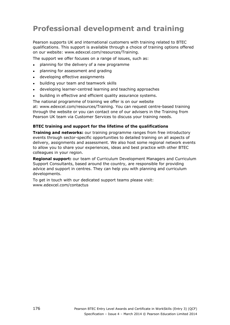# **Professional development and training**

Pearson supports UK and international customers with training related to BTEC qualifications. This support is available through a choice of training options offered on our website: www.edexcel.com/resources/Training.

The support we offer focuses on a range of issues, such as:

- planning for the delivery of a new programme
- planning for assessment and grading
- developing effective assignments
- building your team and teamwork skills
- developing learner-centred learning and teaching approaches
- building in effective and efficient quality assurance systems.

The national programme of training we offer is on our website at: www.edexcel.com/resources/Training. You can request centre-based training through the website or you can contact one of our advisers in the Training from Pearson UK team via Customer Services to discuss your training needs.

#### **BTEC training and support for the lifetime of the qualifications**

**Training and networks:** our training programme ranges from free introductory events through sector-specific opportunities to detailed training on all aspects of delivery, assignments and assessment. We also host some regional network events to allow you to share your experiences, ideas and best practice with other BTEC colleagues in your region.

**Regional support:** our team of Curriculum Development Managers and Curriculum Support Consultants, based around the country, are responsible for providing advice and support in centres. They can help you with planning and curriculum developments.

To get in touch with our dedicated support teams please visit: www.edexcel.com/contactus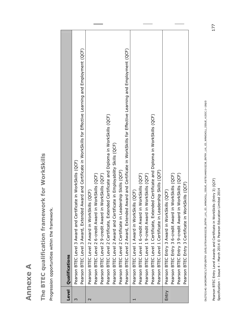**Annexe A Annexe A** 

**The BTEC qualification framework for WorkSkills**  The BTEC qualification framework for WorkSkills

Progression opportunities within the framework. Progression opportunities within the framework.

| Level       | Qualifications                                                                                                                                                                            |
|-------------|-------------------------------------------------------------------------------------------------------------------------------------------------------------------------------------------|
| ო           | Pearson BTEC Level 3 Award, Extended Award and Certificate in WorkSkills for Effective Learning and Employment (QCF)<br>in WorkSkills (QCF)<br>Pearson BTEC Level 3 Award and Certificate |
| $\mathbf 2$ | (QCF)<br>Pearson BTEC Level 2 Award in WorkSkills                                                                                                                                         |
|             | Pearson BTEC Level 2 6-credit Award in WorkSkills (QCF)                                                                                                                                   |
|             | Pearson BTEC Level 2 9-credit Award in WorkSkills (QCF)                                                                                                                                   |
|             | Certificate and Diploma in WorkSkills (QCF)<br>Pearson BTEC Level 2 Certificate, Extended                                                                                                 |
|             | Pearson BTEC Level 2 Award and Certificate in Employability Skills (QCF)                                                                                                                  |
|             | Pearson BTEC Level 2 Certificate in Leadership Skills (QCF)                                                                                                                               |
|             | Pearson BTEC Level 2 Award, Extended Award and Certificate in WorkSkills for Effective Learning and Employment (QCF)                                                                      |
|             | (QCF)<br>Pearson BTEC Level 1 Award in WorkSkills                                                                                                                                         |
|             | Pearson BTEC Level 1 6-credit Award in WorkSkills (QCF)                                                                                                                                   |
|             | Pearson BTEC Level 1 9-credit Award in WorkSkills (QCF)                                                                                                                                   |
|             | Certificate and Diploma in WorkSkills (QCF)<br>Pearson BTEC Level 1 Certificate, Extended                                                                                                 |
|             | Pearson BTEC Level 1 Certificate in Leadership Skills (QCF)                                                                                                                               |
| Entry       | (QCF)<br>Pearson BTEC Entry 3 Award in WorkSkills                                                                                                                                         |
|             | Pearson BTEC Entry 3 6-credit Award in WorkSkills (QCF)                                                                                                                                   |
|             | Pearson BTEC Entry 3 9-credit Award in WorkSkills (QCF)                                                                                                                                   |
|             | Pearson BTEC Entry 3 Certificate in WorkSkills (QCF)                                                                                                                                      |
|             |                                                                                                                                                                                           |

Db270314G:\WORDPROC\LT\PD\ENTRY\_LEVEL\9781446910238\_ENTRY\_LVL\_E3\_WRKSKILL\_ISSUE\_4\9781446910238\_ENTRY\_LVL\_E3\_WRKSKILL\_ISSUE\_4.DOC.1-186/0 Db270314G:\WORDPROC\LT\PD\ENTRY LEVEL\9781446910238\_ENTRY\_LVL\_E3\_WRKSKILL\_ISSUE\_4\9781446910238\_ENTRY\_LVL\_E3\_WRKSKILL\_ISSUE\_4.DOC.1–186/0

Pearson BTEC Entry Level Awards and Certificate in WorkSkills (Entry 3) (QCF) Pearson BTEC Entry Level Awards and Certificate in WorkSkills (Entry 3) (QCF) Specification - Issue 4 - March 2014 © Pearson Education Limited 2014 Specification – Issue 4 – March 2014 © Pearson Education Limited 2014